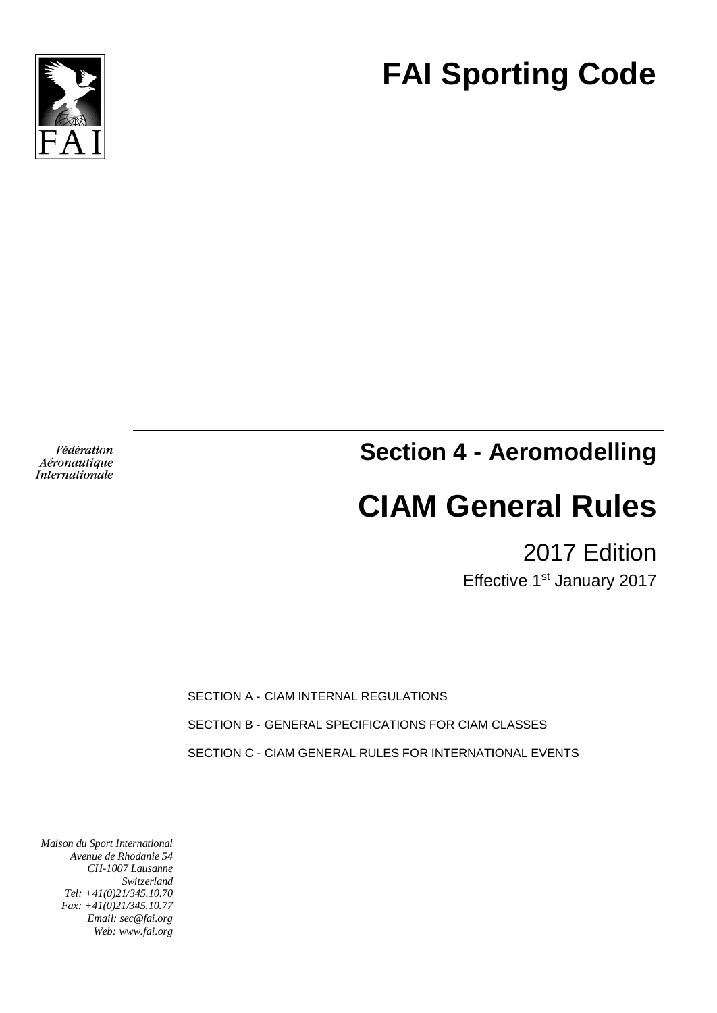

# **FAI Sporting Code**

Fédération Aéronautique Internationale **Section 4 - Aeromodelling**

# **CIAM General Rules**

2017 Edition

Effective 1<sup>st</sup> January 2017

SECTION A - CIAM INTERNAL REGULATIONS

SECTION B - GENERAL SPECIFICATIONS FOR CIAM CLASSES

SECTION C - CIAM GENERAL RULES FOR INTERNATIONAL EVENTS

*Maison du Sport International Avenue de Rhodanie 54 CH-1007 Lausanne Switzerland Tel: +41(0)21/345.10.70 Fax: +41(0)21/345.10.77 Email: sec@fai.org Web: www.fai.org*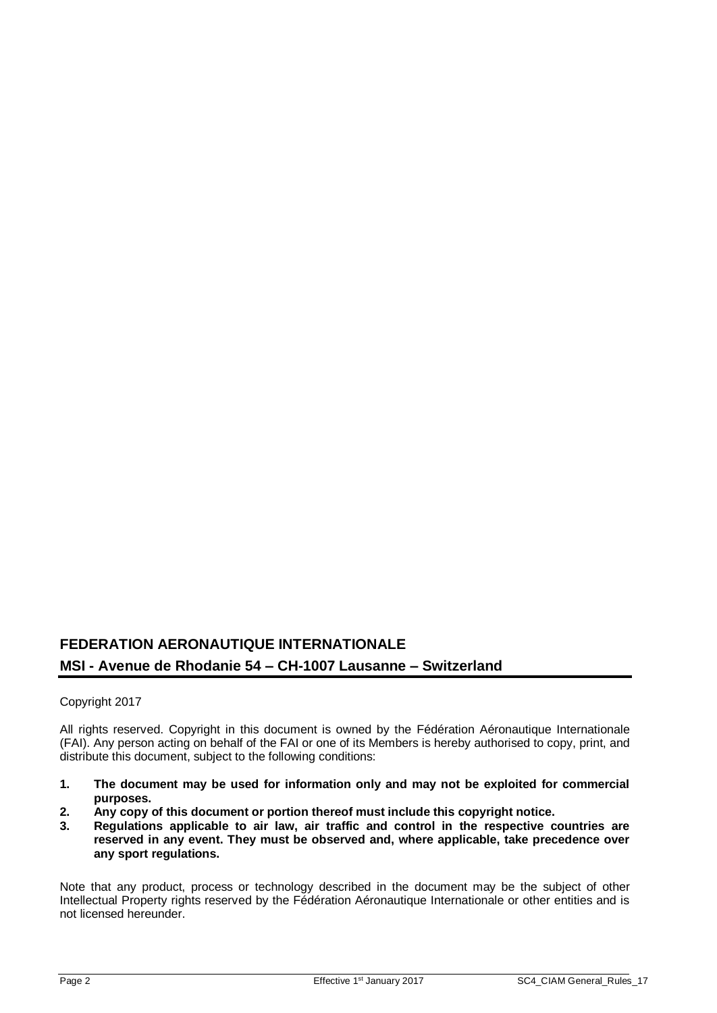# **FEDERATION AERONAUTIQUE INTERNATIONALE MSI - Avenue de Rhodanie 54 – CH-1007 Lausanne – Switzerland**

# Copyright 2017

All rights reserved. Copyright in this document is owned by the Fédération Aéronautique Internationale (FAI). Any person acting on behalf of the FAI or one of its Members is hereby authorised to copy, print, and distribute this document, subject to the following conditions:

- **1. The document may be used for information only and may not be exploited for commercial purposes.**
- **2. Any copy of this document or portion thereof must include this copyright notice.**
- **3. Regulations applicable to air law, air traffic and control in the respective countries are reserved in any event. They must be observed and, where applicable, take precedence over any sport regulations.**

Note that any product, process or technology described in the document may be the subject of other Intellectual Property rights reserved by the Fédération Aéronautique Internationale or other entities and is not licensed hereunder.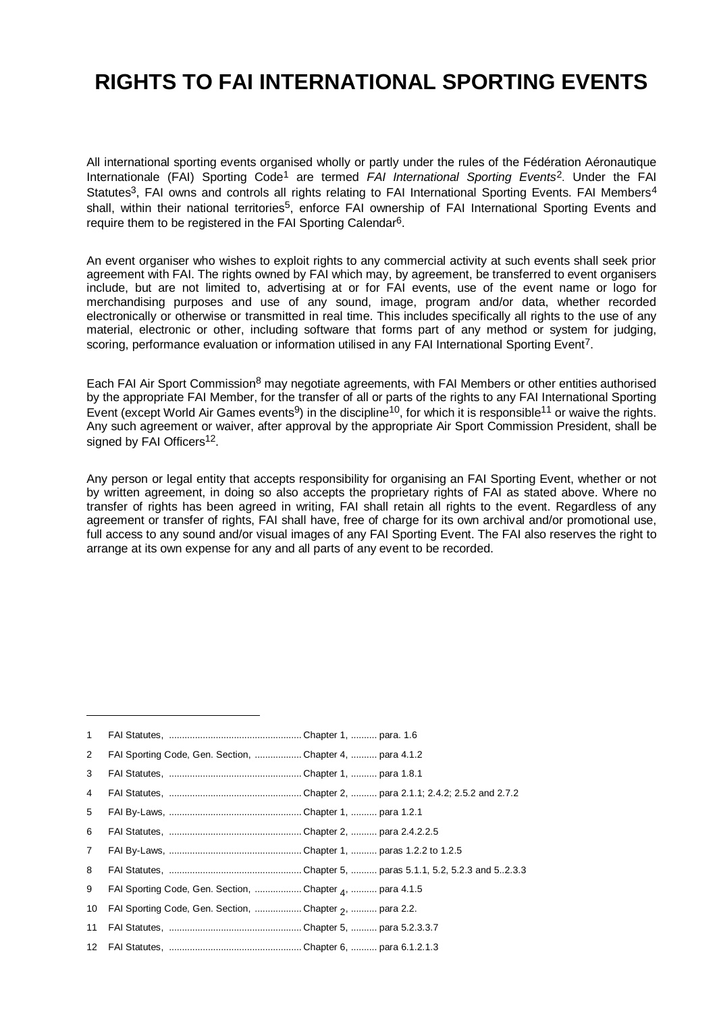# **RIGHTS TO FAI INTERNATIONAL SPORTING EVENTS**

All international sporting events organised wholly or partly under the rules of the Fédération Aéronautique Internationale (FAI) Sporting Code<sup>1</sup> are termed *FAI International Sporting Events*2. Under the FAI Statutes<sup>3</sup>. FAI owns and controls all rights relating to FAI International Sporting Events. FAI Members<sup>4</sup> shall, within their national territories<sup>5</sup>, enforce FAI ownership of FAI International Sporting Events and require them to be registered in the FAI Sporting Calendar<sup>6</sup>.

An event organiser who wishes to exploit rights to any commercial activity at such events shall seek prior agreement with FAI. The rights owned by FAI which may, by agreement, be transferred to event organisers include, but are not limited to, advertising at or for FAI events, use of the event name or logo for merchandising purposes and use of any sound, image, program and/or data, whether recorded electronically or otherwise or transmitted in real time. This includes specifically all rights to the use of any material, electronic or other, including software that forms part of any method or system for judging, scoring, performance evaluation or information utilised in any FAI International Sporting Event<sup>7</sup>.

Each FAI Air Sport Commission<sup>8</sup> may negotiate agreements, with FAI Members or other entities authorised by the appropriate FAI Member, for the transfer of all or parts of the rights to any FAI International Sporting Event (except World Air Games events<sup>9</sup>) in the discipline<sup>10</sup>, for which it is responsible<sup>11</sup> or waive the rights. Any such agreement or waiver, after approval by the appropriate Air Sport Commission President. shall be signed by FAI Officers<sup>12</sup>.

Any person or legal entity that accepts responsibility for organising an FAI Sporting Event, whether or not by written agreement, in doing so also accepts the proprietary rights of FAI as stated above. Where no transfer of rights has been agreed in writing, FAI shall retain all rights to the event. Regardless of any agreement or transfer of rights, FAI shall have, free of charge for its own archival and/or promotional use, full access to any sound and/or visual images of any FAI Sporting Event. The FAI also reserves the right to arrange at its own expense for any and all parts of any event to be recorded.

|  | 2 FAI Sporting Code, Gen. Section, Chapter 4,  para 4.1.2 |  |
|--|-----------------------------------------------------------|--|

<sup>3</sup> FAI Statutes, ................................................... Chapter 1, .......... para 1.8.1

-

- 10 FAI Sporting Code, Gen. Section, ..................Chapter 2, .......... para 2.2.
- 11 FAI Statutes, ................................................... Chapter 5, .......... para 5.2.3.3.7
- 12 FAI Statutes, ................................................... Chapter 6, .......... para 6.1.2.1.3

<sup>4</sup> FAI Statutes, ................................................... Chapter 2, .......... para 2.1.1; 2.4.2; 2.5.2 and 2.7.2

<sup>5</sup> FAI By-Laws, ................................................... Chapter 1, .......... para 1.2.1

<sup>6</sup> FAI Statutes, ................................................... Chapter 2, .......... para 2.4.2.2.5

<sup>7</sup> FAI By-Laws, ................................................... Chapter 1, .......... paras 1.2.2 to 1.2.5

<sup>8</sup> FAI Statutes, ................................................... Chapter 5, .......... paras 5.1.1, 5.2, 5.2.3 and 5..2.3.3

<sup>9</sup> FAI Sporting Code, Gen. Section, ..................Chapter <sub>4</sub>, .......... para 4.1.5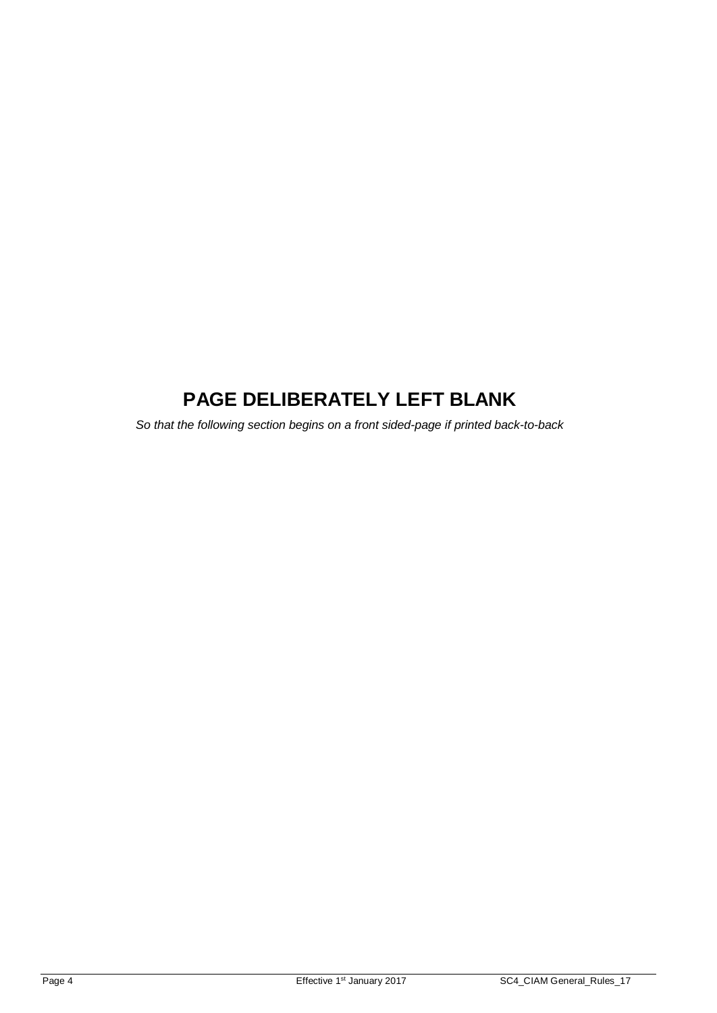# **PAGE DELIBERATELY LEFT BLANK**

*So that the following section begins on a front sided-page if printed back-to-back*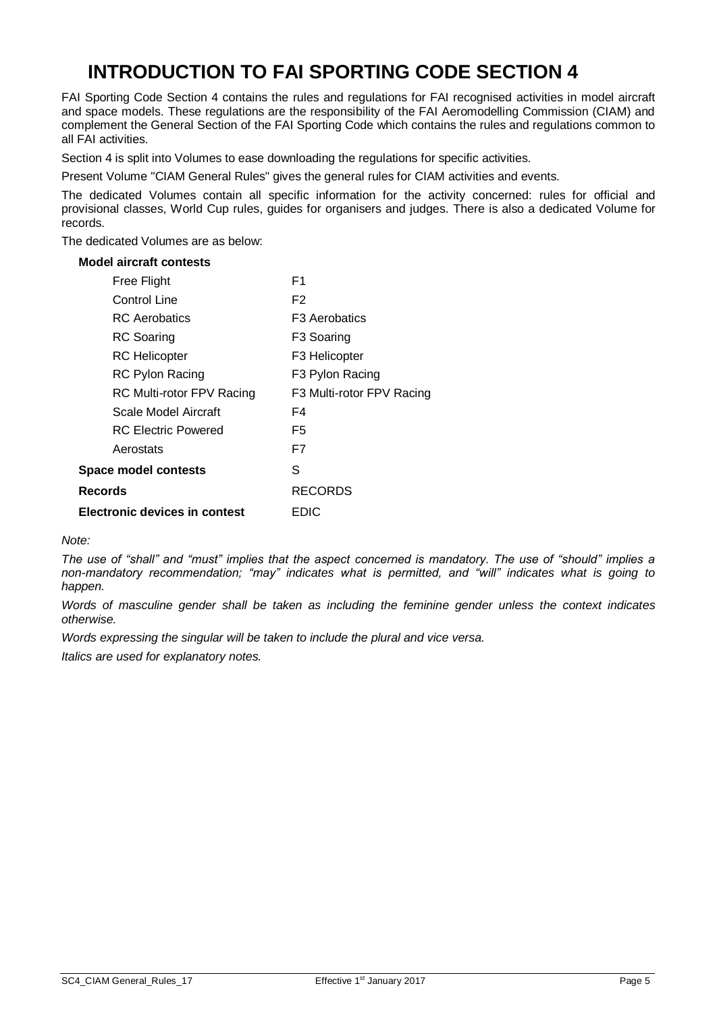# **INTRODUCTION TO FAI SPORTING CODE SECTION 4**

FAI Sporting Code Section 4 contains the rules and regulations for FAI recognised activities in model aircraft and space models. These regulations are the responsibility of the FAI Aeromodelling Commission (CIAM) and complement the General Section of the FAI Sporting Code which contains the rules and regulations common to all FAI activities.

Section 4 is split into Volumes to ease downloading the regulations for specific activities.

Present Volume "CIAM General Rules" gives the general rules for CIAM activities and events.

The dedicated Volumes contain all specific information for the activity concerned: rules for official and provisional classes, World Cup rules, guides for organisers and judges. There is also a dedicated Volume for records.

The dedicated Volumes are as below:

#### **Model aircraft contests**

| Free Flight                      | F1                        |
|----------------------------------|---------------------------|
| Control Line                     | F2                        |
| RC Aerobatics                    | F <sub>3</sub> Aerobatics |
| <b>RC</b> Soaring                | F3 Soaring                |
| <b>RC</b> Helicopter             | F3 Helicopter             |
| <b>RC Pylon Racing</b>           | F3 Pylon Racing           |
| <b>RC Multi-rotor FPV Racing</b> | F3 Multi-rotor FPV Racing |
| Scale Model Aircraft             | F4                        |
| <b>RC Electric Powered</b>       | F5                        |
| Aerostats                        | F7                        |
| <b>Space model contests</b>      | S                         |
| Records                          | <b>RECORDS</b>            |
| Electronic devices in contest    | EDIC                      |

*Note:*

*The use of "shall" and "must" implies that the aspect concerned is mandatory. The use of "should" implies a non-mandatory recommendation; "may" indicates what is permitted, and "will" indicates what is going to happen.*

*Words of masculine gender shall be taken as including the feminine gender unless the context indicates otherwise.*

*Words expressing the singular will be taken to include the plural and vice versa.*

*Italics are used for explanatory notes.*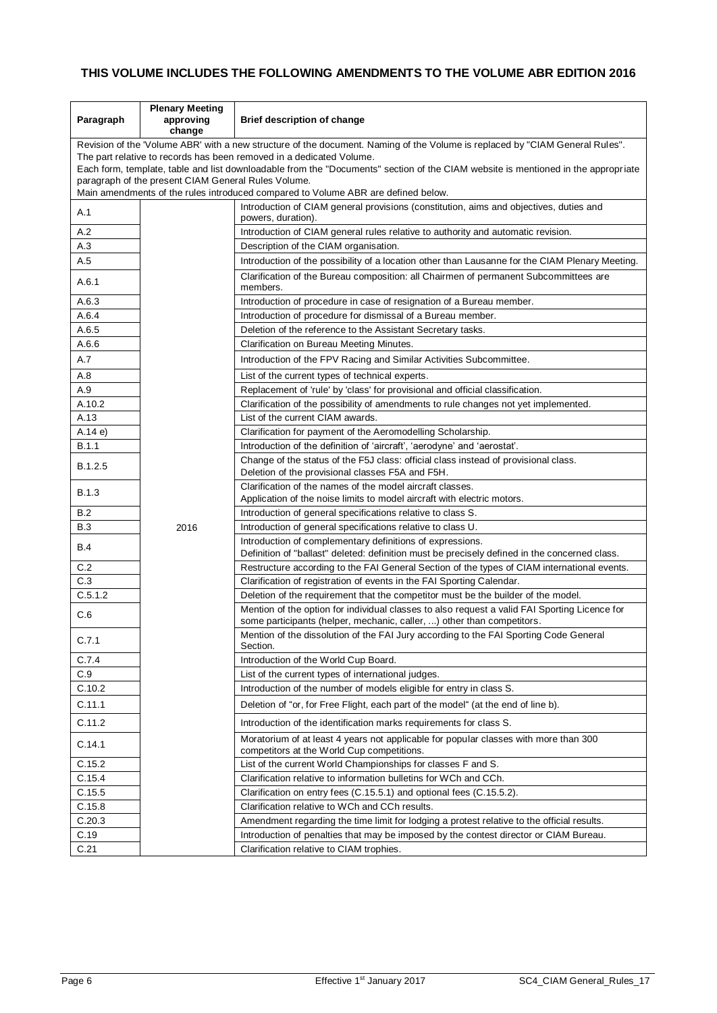# **THIS VOLUME INCLUDES THE FOLLOWING AMENDMENTS TO THE VOLUME ABR EDITION 2016**

| Paragraph                                                            | <b>Plenary Meeting</b><br>approving<br>change                                                                                     | <b>Brief description of change</b>                                                                                                                                      |  |
|----------------------------------------------------------------------|-----------------------------------------------------------------------------------------------------------------------------------|-------------------------------------------------------------------------------------------------------------------------------------------------------------------------|--|
|                                                                      | Revision of the 'Volume ABR' with a new structure of the document. Naming of the Volume is replaced by "CIAM General Rules".      |                                                                                                                                                                         |  |
| The part relative to records has been removed in a dedicated Volume. |                                                                                                                                   |                                                                                                                                                                         |  |
|                                                                      | Each form, template, table and list downloadable from the "Documents" section of the CIAM website is mentioned in the appropriate |                                                                                                                                                                         |  |
|                                                                      | paragraph of the present CIAM General Rules Volume.                                                                               |                                                                                                                                                                         |  |
|                                                                      |                                                                                                                                   | Main amendments of the rules introduced compared to Volume ABR are defined below.                                                                                       |  |
| A.1                                                                  |                                                                                                                                   | Introduction of CIAM general provisions (constitution, aims and objectives, duties and<br>powers, duration).                                                            |  |
| A.2                                                                  |                                                                                                                                   | Introduction of CIAM general rules relative to authority and automatic revision.                                                                                        |  |
| A.3                                                                  |                                                                                                                                   | Description of the CIAM organisation.                                                                                                                                   |  |
| A.5                                                                  |                                                                                                                                   | Introduction of the possibility of a location other than Lausanne for the CIAM Plenary Meeting.                                                                         |  |
| A.6.1                                                                |                                                                                                                                   | Clarification of the Bureau composition: all Chairmen of permanent Subcommittees are<br>members.                                                                        |  |
| A.6.3                                                                |                                                                                                                                   | Introduction of procedure in case of resignation of a Bureau member.                                                                                                    |  |
| A.6.4                                                                |                                                                                                                                   | Introduction of procedure for dismissal of a Bureau member.                                                                                                             |  |
| A.6.5                                                                |                                                                                                                                   | Deletion of the reference to the Assistant Secretary tasks.                                                                                                             |  |
| A.6.6                                                                |                                                                                                                                   | Clarification on Bureau Meeting Minutes.                                                                                                                                |  |
| A.7                                                                  |                                                                                                                                   | Introduction of the FPV Racing and Similar Activities Subcommittee.                                                                                                     |  |
| A.8                                                                  |                                                                                                                                   | List of the current types of technical experts.                                                                                                                         |  |
| A.9                                                                  |                                                                                                                                   | Replacement of 'rule' by 'class' for provisional and official classification.                                                                                           |  |
| A.10.2                                                               |                                                                                                                                   | Clarification of the possibility of amendments to rule changes not yet implemented.                                                                                     |  |
| A.13                                                                 |                                                                                                                                   | List of the current CIAM awards.                                                                                                                                        |  |
| A.14e                                                                |                                                                                                                                   | Clarification for payment of the Aeromodelling Scholarship.                                                                                                             |  |
| B.1.1                                                                |                                                                                                                                   | Introduction of the definition of 'aircraft', 'aerodyne' and 'aerostat'.                                                                                                |  |
| B.1.2.5                                                              |                                                                                                                                   | Change of the status of the F5J class: official class instead of provisional class.                                                                                     |  |
|                                                                      |                                                                                                                                   | Deletion of the provisional classes F5A and F5H.                                                                                                                        |  |
| <b>B.1.3</b>                                                         |                                                                                                                                   | Clarification of the names of the model aircraft classes.<br>Application of the noise limits to model aircraft with electric motors.                                    |  |
| B.2                                                                  |                                                                                                                                   | Introduction of general specifications relative to class S.                                                                                                             |  |
| <b>B.3</b>                                                           | 2016                                                                                                                              | Introduction of general specifications relative to class U.                                                                                                             |  |
| <b>B.4</b>                                                           |                                                                                                                                   | Introduction of complementary definitions of expressions.                                                                                                               |  |
|                                                                      |                                                                                                                                   | Definition of "ballast" deleted: definition must be precisely defined in the concerned class.                                                                           |  |
| C.2                                                                  |                                                                                                                                   | Restructure according to the FAI General Section of the types of CIAM international events.                                                                             |  |
| C.3                                                                  |                                                                                                                                   | Clarification of registration of events in the FAI Sporting Calendar.                                                                                                   |  |
| C.5.1.2                                                              |                                                                                                                                   | Deletion of the requirement that the competitor must be the builder of the model.                                                                                       |  |
| C.6                                                                  |                                                                                                                                   | Mention of the option for individual classes to also request a valid FAI Sporting Licence for<br>some participants (helper, mechanic, caller, ) other than competitors. |  |
| C.7.1                                                                |                                                                                                                                   | Mention of the dissolution of the FAI Jury according to the FAI Sporting Code General<br>Section.                                                                       |  |
| C.7.4                                                                |                                                                                                                                   | Introduction of the World Cup Board.                                                                                                                                    |  |
| C.9                                                                  |                                                                                                                                   | List of the current types of international judges.                                                                                                                      |  |
| C.10.2                                                               |                                                                                                                                   | Introduction of the number of models eligible for entry in class S.                                                                                                     |  |
| C.11.1                                                               |                                                                                                                                   | Deletion of "or, for Free Flight, each part of the model" (at the end of line b).                                                                                       |  |
| C.11.2                                                               |                                                                                                                                   | Introduction of the identification marks requirements for class S.                                                                                                      |  |
| C.14.1                                                               |                                                                                                                                   | Moratorium of at least 4 years not applicable for popular classes with more than 300<br>competitors at the World Cup competitions.                                      |  |
| C.15.2                                                               |                                                                                                                                   | List of the current World Championships for classes F and S.                                                                                                            |  |
| C.15.4                                                               |                                                                                                                                   | Clarification relative to information bulletins for WCh and CCh.                                                                                                        |  |
| C.15.5                                                               |                                                                                                                                   | Clarification on entry fees (C.15.5.1) and optional fees (C.15.5.2).                                                                                                    |  |
| C.15.8                                                               |                                                                                                                                   | Clarification relative to WCh and CCh results.                                                                                                                          |  |
| C.20.3                                                               |                                                                                                                                   | Amendment regarding the time limit for lodging a protest relative to the official results.                                                                              |  |
| C.19                                                                 |                                                                                                                                   | Introduction of penalties that may be imposed by the contest director or CIAM Bureau.                                                                                   |  |
| C.21                                                                 |                                                                                                                                   | Clarification relative to CIAM trophies.                                                                                                                                |  |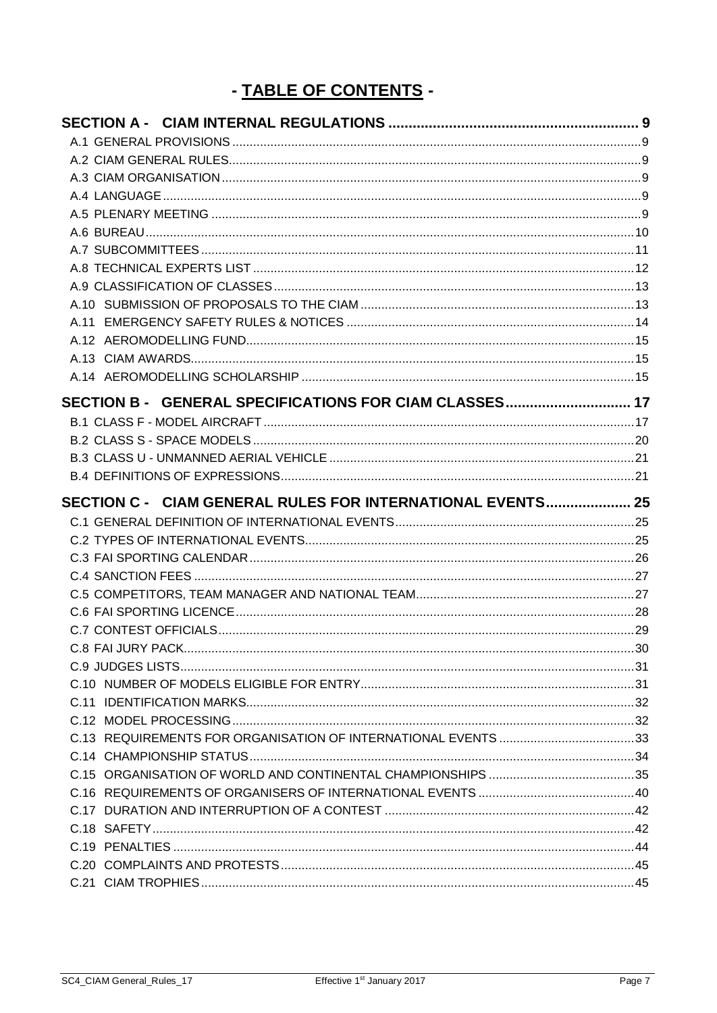# - TABLE OF CONTENTS -

| SECTION B - GENERAL SPECIFICATIONS FOR CIAM CLASSES 17     |  |
|------------------------------------------------------------|--|
|                                                            |  |
|                                                            |  |
|                                                            |  |
|                                                            |  |
| SECTION C - CIAM GENERAL RULES FOR INTERNATIONAL EVENTS 25 |  |
|                                                            |  |
|                                                            |  |
|                                                            |  |
|                                                            |  |
|                                                            |  |
|                                                            |  |
|                                                            |  |
|                                                            |  |
|                                                            |  |
|                                                            |  |
|                                                            |  |
|                                                            |  |
|                                                            |  |
|                                                            |  |
|                                                            |  |
|                                                            |  |
|                                                            |  |
|                                                            |  |
|                                                            |  |
|                                                            |  |
|                                                            |  |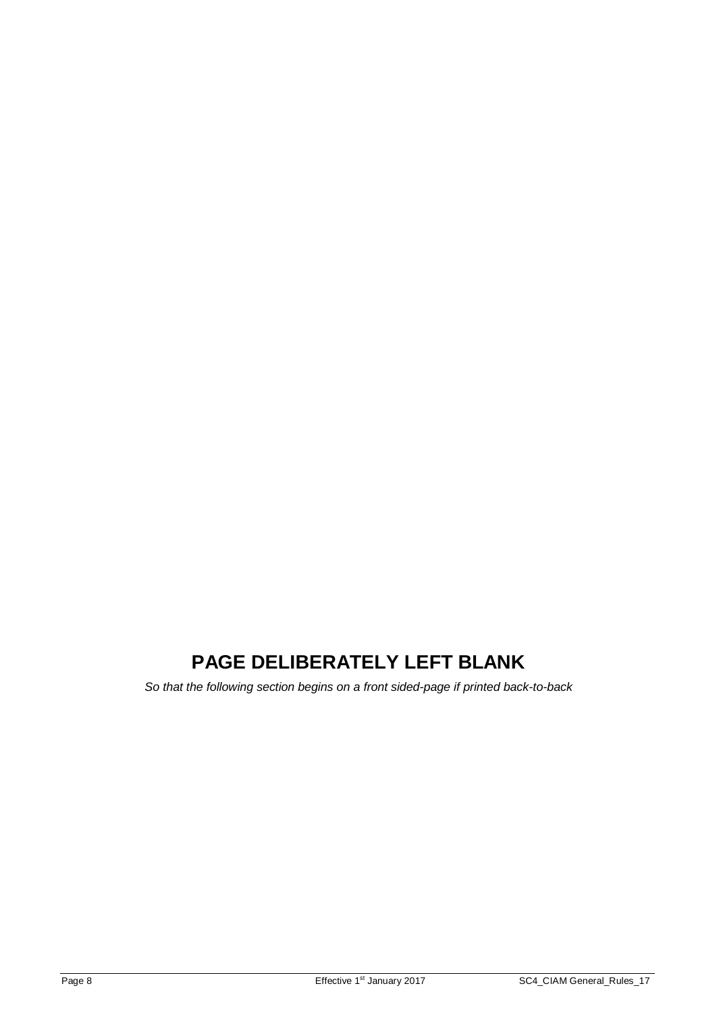# **PAGE DELIBERATELY LEFT BLANK**

*So that the following section begins on a front sided-page if printed back-to-back*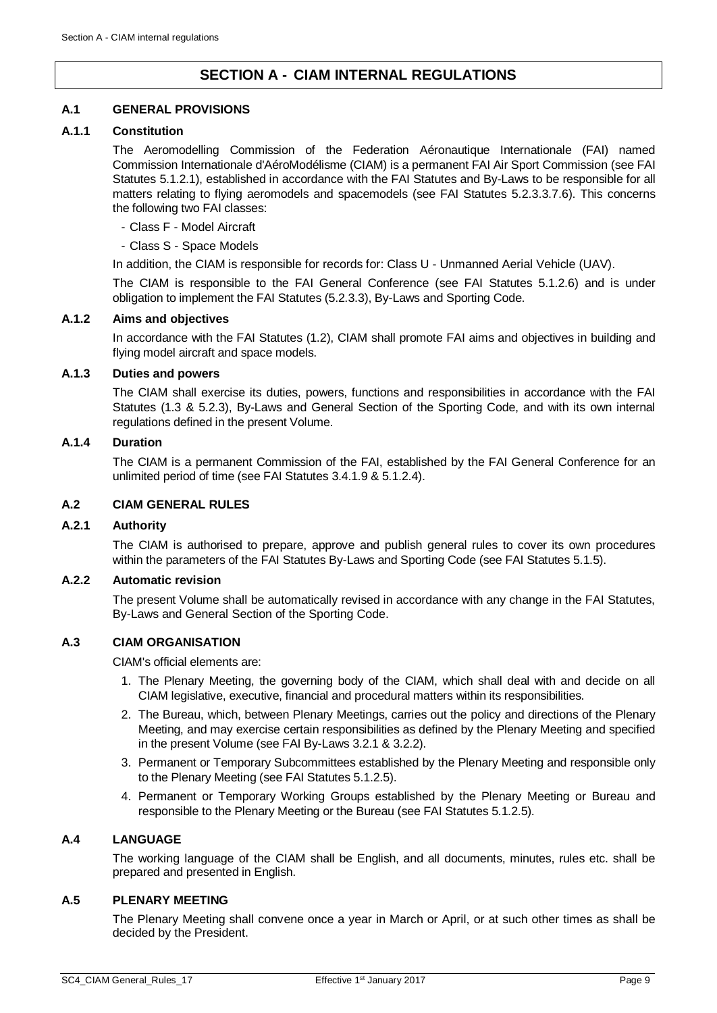# **SECTION A - CIAM INTERNAL REGULATIONS**

# <span id="page-8-1"></span><span id="page-8-0"></span>**A.1 GENERAL PROVISIONS**

#### **A.1.1 Constitution**

The Aeromodelling Commission of the Federation Aéronautique Internationale (FAI) named Commission Internationale d'AéroModélisme (CIAM) is a permanent FAI Air Sport Commission (see FAI Statutes 5.1.2.1), established in accordance with the FAI Statutes and By-Laws to be responsible for all matters relating to flying aeromodels and spacemodels (see FAI Statutes 5.2.3.3.7.6). This concerns the following two FAI classes:

- Class F Model Aircraft
- Class S Space Models

In addition, the CIAM is responsible for records for: Class U - Unmanned Aerial Vehicle (UAV).

The CIAM is responsible to the FAI General Conference (see FAI Statutes 5.1.2.6) and is under obligation to implement the FAI Statutes (5.2.3.3), By-Laws and Sporting Code.

#### **A.1.2 Aims and objectives**

In accordance with the FAI Statutes (1.2), CIAM shall promote FAI aims and objectives in building and flying model aircraft and space models.

#### **A.1.3 Duties and powers**

The CIAM shall exercise its duties, powers, functions and responsibilities in accordance with the FAI Statutes (1.3 & 5.2.3), By-Laws and General Section of the Sporting Code, and with its own internal regulations defined in the present Volume.

# **A.1.4 Duration**

The CIAM is a permanent Commission of the FAI, established by the FAI General Conference for an unlimited period of time (see FAI Statutes 3.4.1.9 & 5.1.2.4).

#### <span id="page-8-2"></span>**A.2 CIAM GENERAL RULES**

# **A.2.1 Authority**

The CIAM is authorised to prepare, approve and publish general rules to cover its own procedures within the parameters of the FAI Statutes By-Laws and Sporting Code (see FAI Statutes 5.1.5).

#### **A.2.2 Automatic revision**

The present Volume shall be automatically revised in accordance with any change in the FAI Statutes, By-Laws and General Section of the Sporting Code.

# <span id="page-8-3"></span>**A.3 CIAM ORGANISATION**

CIAM's official elements are:

- 1. The Plenary Meeting, the governing body of the CIAM, which shall deal with and decide on all CIAM legislative, executive, financial and procedural matters within its responsibilities.
- 2. The Bureau, which, between Plenary Meetings, carries out the policy and directions of the Plenary Meeting, and may exercise certain responsibilities as defined by the Plenary Meeting and specified in the present Volume (see FAI By-Laws 3.2.1 & 3.2.2).
- 3. Permanent or Temporary Subcommittees established by the Plenary Meeting and responsible only to the Plenary Meeting (see FAI Statutes 5.1.2.5).
- 4. Permanent or Temporary Working Groups established by the Plenary Meeting or Bureau and responsible to the Plenary Meeting or the Bureau (see FAI Statutes 5.1.2.5).

# <span id="page-8-4"></span>**A.4 LANGUAGE**

The working language of the CIAM shall be English, and all documents, minutes, rules etc. shall be prepared and presented in English.

# <span id="page-8-5"></span>**A.5 PLENARY MEETING**

The Plenary Meeting shall convene once a year in March or April, or at such other times as shall be decided by the President.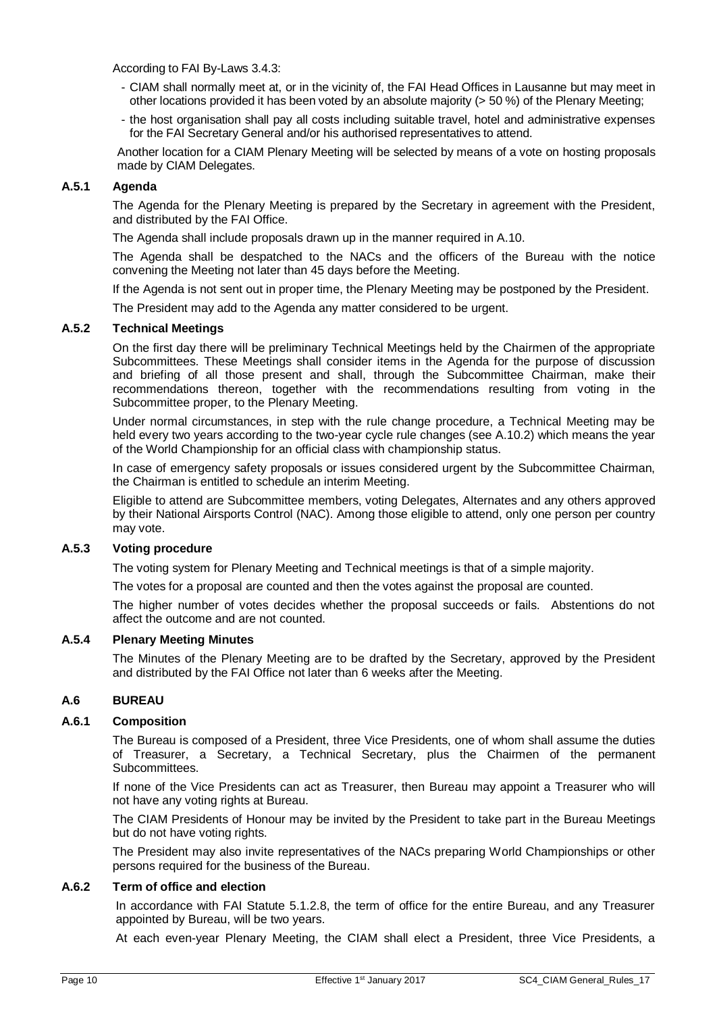According to FAI By-Laws 3.4.3:

- CIAM shall normally meet at, or in the vicinity of, the FAI Head Offices in Lausanne but may meet in other locations provided it has been voted by an absolute majority (> 50 %) of the Plenary Meeting;
- the host organisation shall pay all costs including suitable travel, hotel and administrative expenses for the FAI Secretary General and/or his authorised representatives to attend.

Another location for a CIAM Plenary Meeting will be selected by means of a vote on hosting proposals made by CIAM Delegates.

# **A.5.1 Agenda**

The Agenda for the Plenary Meeting is prepared by the Secretary in agreement with the President, and distributed by the FAI Office.

The Agenda shall include proposals drawn up in the manner required i[n A.10.](#page-12-1)

The Agenda shall be despatched to the NACs and the officers of the Bureau with the notice convening the Meeting not later than 45 days before the Meeting.

If the Agenda is not sent out in proper time, the Plenary Meeting may be postponed by the President.

The President may add to the Agenda any matter considered to be urgent.

#### **A.5.2 Technical Meetings**

On the first day there will be preliminary Technical Meetings held by the Chairmen of the appropriate Subcommittees. These Meetings shall consider items in the Agenda for the purpose of discussion and briefing of all those present and shall, through the Subcommittee Chairman, make their recommendations thereon, together with the recommendations resulting from voting in the Subcommittee proper, to the Plenary Meeting.

Under normal circumstances, in step with the rule change procedure, a Technical Meeting may be held every two years according to the two-year cycle rule changes (see [A.10.2\)](#page-12-2) which means the year of the World Championship for an official class with championship status.

In case of emergency safety proposals or issues considered urgent by the Subcommittee Chairman, the Chairman is entitled to schedule an interim Meeting.

Eligible to attend are Subcommittee members, voting Delegates, Alternates and any others approved by their National Airsports Control (NAC). Among those eligible to attend, only one person per country may vote.

# **A.5.3 Voting procedure**

The voting system for Plenary Meeting and Technical meetings is that of a simple majority.

The votes for a proposal are counted and then the votes against the proposal are counted.

The higher number of votes decides whether the proposal succeeds or fails. Abstentions do not affect the outcome and are not counted.

#### **A.5.4 Plenary Meeting Minutes**

The Minutes of the Plenary Meeting are to be drafted by the Secretary, approved by the President and distributed by the FAI Office not later than 6 weeks after the Meeting.

# <span id="page-9-0"></span>**A.6 BUREAU**

# **A.6.1 Composition**

The Bureau is composed of a President, three Vice Presidents, one of whom shall assume the duties of Treasurer, a Secretary, a Technical Secretary, plus the Chairmen of the permanent Subcommittees.

If none of the Vice Presidents can act as Treasurer, then Bureau may appoint a Treasurer who will not have any voting rights at Bureau.

The CIAM Presidents of Honour may be invited by the President to take part in the Bureau Meetings but do not have voting rights.

The President may also invite representatives of the NACs preparing World Championships or other persons required for the business of the Bureau.

#### **A.6.2 Term of office and election**

In accordance with FAI Statute 5.1.2.8, the term of office for the entire Bureau, and any Treasurer appointed by Bureau, will be two years.

At each even-year Plenary Meeting, the CIAM shall elect a President, three Vice Presidents, a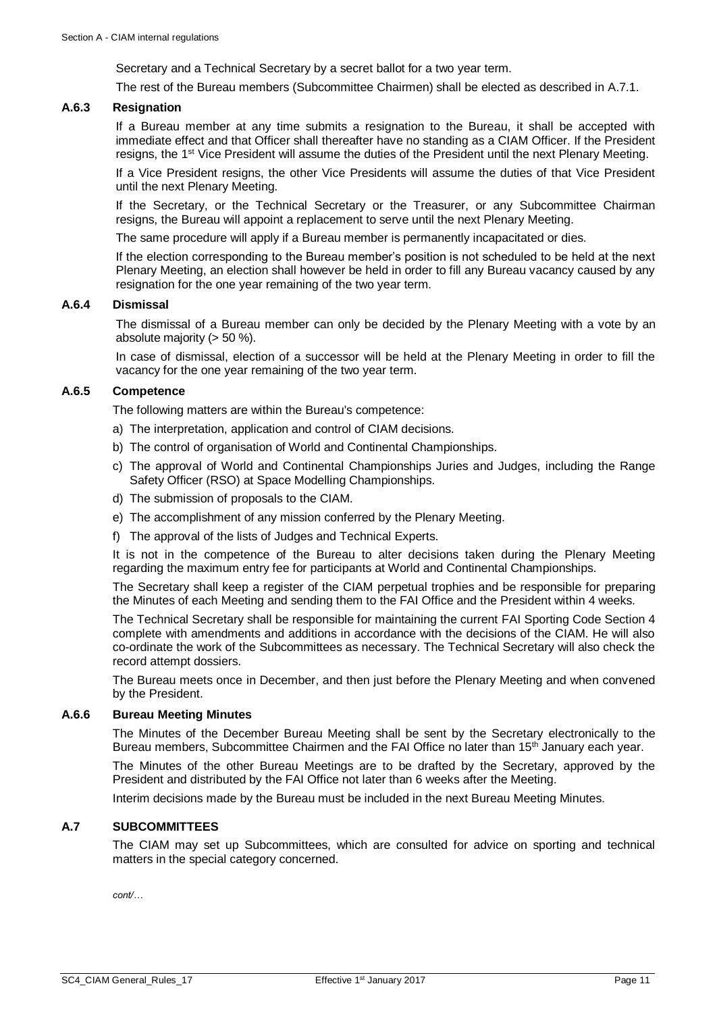Secretary and a Technical Secretary by a secret ballot for a two year term.

The rest of the Bureau members (Subcommittee Chairmen) shall be elected as described i[n A.7.1.](#page-11-1)

#### **A.6.3 Resignation**

If a Bureau member at any time submits a resignation to the Bureau, it shall be accepted with immediate effect and that Officer shall thereafter have no standing as a CIAM Officer. If the President resigns, the 1<sup>st</sup> Vice President will assume the duties of the President until the next Plenary Meeting.

If a Vice President resigns, the other Vice Presidents will assume the duties of that Vice President until the next Plenary Meeting.

If the Secretary, or the Technical Secretary or the Treasurer, or any Subcommittee Chairman resigns, the Bureau will appoint a replacement to serve until the next Plenary Meeting.

The same procedure will apply if a Bureau member is permanently incapacitated or dies.

If the election corresponding to the Bureau member's position is not scheduled to be held at the next Plenary Meeting, an election shall however be held in order to fill any Bureau vacancy caused by any resignation for the one year remaining of the two year term.

#### **A.6.4 Dismissal**

The dismissal of a Bureau member can only be decided by the Plenary Meeting with a vote by an absolute majority (> 50 %).

In case of dismissal, election of a successor will be held at the Plenary Meeting in order to fill the vacancy for the one year remaining of the two year term.

# **A.6.5 Competence**

The following matters are within the Bureau's competence:

- a) The interpretation, application and control of CIAM decisions.
- b) The control of organisation of World and Continental Championships.
- c) The approval of World and Continental Championships Juries and Judges, including the Range Safety Officer (RSO) at Space Modelling Championships.
- d) The submission of proposals to the CIAM.
- e) The accomplishment of any mission conferred by the Plenary Meeting.
- f) The approval of the lists of Judges and Technical Experts.

It is not in the competence of the Bureau to alter decisions taken during the Plenary Meeting regarding the maximum entry fee for participants at World and Continental Championships.

The Secretary shall keep a register of the CIAM perpetual trophies and be responsible for preparing the Minutes of each Meeting and sending them to the FAI Office and the President within 4 weeks.

The Technical Secretary shall be responsible for maintaining the current FAI Sporting Code Section 4 complete with amendments and additions in accordance with the decisions of the CIAM. He will also co-ordinate the work of the Subcommittees as necessary. The Technical Secretary will also check the record attempt dossiers.

The Bureau meets once in December, and then just before the Plenary Meeting and when convened by the President.

#### **A.6.6 Bureau Meeting Minutes**

The Minutes of the December Bureau Meeting shall be sent by the Secretary electronically to the Bureau members, Subcommittee Chairmen and the FAI Office no later than 15<sup>th</sup> January each year.

The Minutes of the other Bureau Meetings are to be drafted by the Secretary, approved by the President and distributed by the FAI Office not later than 6 weeks after the Meeting.

Interim decisions made by the Bureau must be included in the next Bureau Meeting Minutes.

#### <span id="page-10-0"></span>**A.7 SUBCOMMITTEES**

The CIAM may set up Subcommittees, which are consulted for advice on sporting and technical matters in the special category concerned.

*cont/…*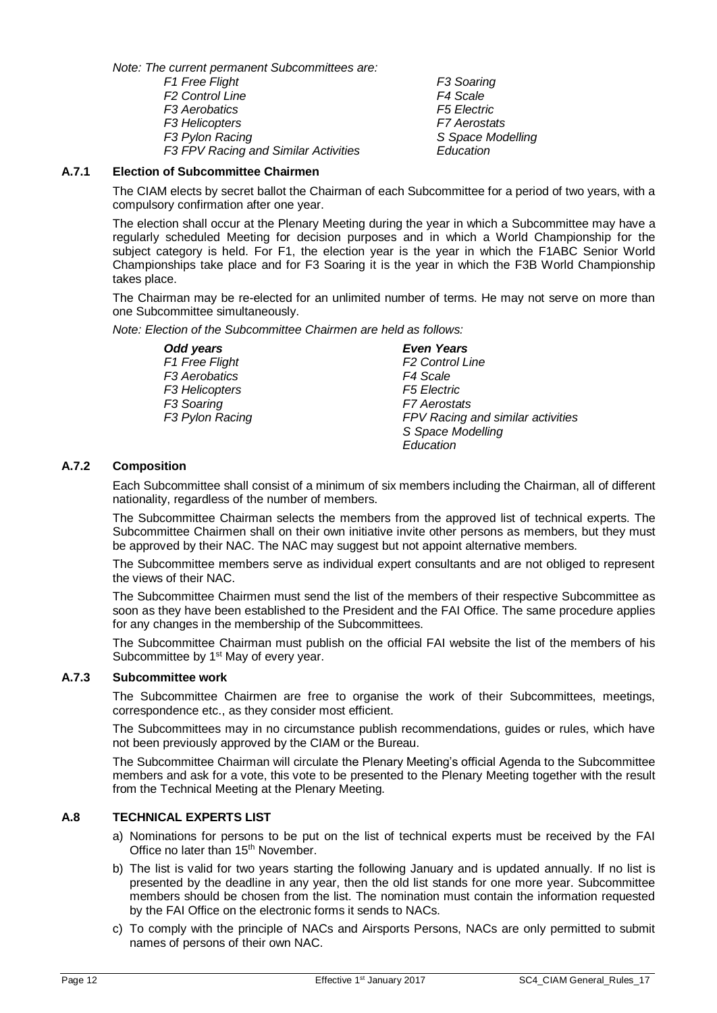*Note: The current permanent Subcommittees are:*

*F1 Free Flight F3 Soaring F2 Control Line F4 Scale F3 Aerobatics F5 Electric F3 Helicopters F7 Aerostats F3 FPV Racing and Similar Activities Education*

*F3 Pylon Racing S Space Modelling*

# <span id="page-11-1"></span>**A.7.1 Election of Subcommittee Chairmen**

The CIAM elects by secret ballot the Chairman of each Subcommittee for a period of two years, with a compulsory confirmation after one year.

The election shall occur at the Plenary Meeting during the year in which a Subcommittee may have a regularly scheduled Meeting for decision purposes and in which a World Championship for the subject category is held. For F1, the election year is the year in which the F1ABC Senior World Championships take place and for F3 Soaring it is the year in which the F3B World Championship takes place.

The Chairman may be re-elected for an unlimited number of terms. He may not serve on more than one Subcommittee simultaneously.

*Note: Election of the Subcommittee Chairmen are held as follows:*

*Odd years Even Years*  $F1$  Free Flight *F3 Aerobatics F4 Scale F3 Helicopters F5 Electric F3 Soaring F7 Aerostats F3 Pylon Racing FPV Racing and similar activities*

*S Space Modelling Education*

# **A.7.2 Composition**

Each Subcommittee shall consist of a minimum of six members including the Chairman, all of different nationality, regardless of the number of members.

The Subcommittee Chairman selects the members from the approved list of technical experts. The Subcommittee Chairmen shall on their own initiative invite other persons as members, but they must be approved by their NAC. The NAC may suggest but not appoint alternative members.

The Subcommittee members serve as individual expert consultants and are not obliged to represent the views of their NAC.

The Subcommittee Chairmen must send the list of the members of their respective Subcommittee as soon as they have been established to the President and the FAI Office. The same procedure applies for any changes in the membership of the Subcommittees.

The Subcommittee Chairman must publish on the official FAI website the list of the members of his Subcommittee by 1<sup>st</sup> May of every year.

# **A.7.3 Subcommittee work**

The Subcommittee Chairmen are free to organise the work of their Subcommittees, meetings, correspondence etc., as they consider most efficient.

The Subcommittees may in no circumstance publish recommendations, guides or rules, which have not been previously approved by the CIAM or the Bureau.

The Subcommittee Chairman will circulate the Plenary Meeting's official Agenda to the Subcommittee members and ask for a vote, this vote to be presented to the Plenary Meeting together with the result from the Technical Meeting at the Plenary Meeting.

# <span id="page-11-0"></span>**A.8 TECHNICAL EXPERTS LIST**

- a) Nominations for persons to be put on the list of technical experts must be received by the FAI Office no later than 15<sup>th</sup> November.
- b) The list is valid for two years starting the following January and is updated annually. If no list is presented by the deadline in any year, then the old list stands for one more year. Subcommittee members should be chosen from the list. The nomination must contain the information requested by the FAI Office on the electronic forms it sends to NACs.
- c) To comply with the principle of NACs and Airsports Persons, NACs are only permitted to submit names of persons of their own NAC.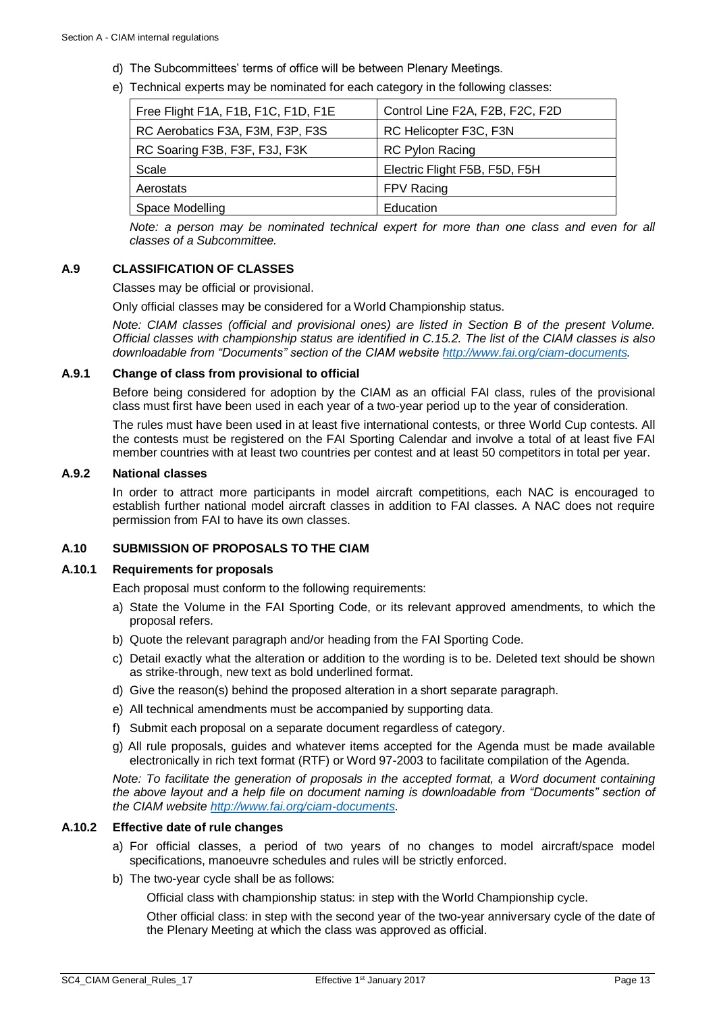- d) The Subcommittees' terms of office will be between Plenary Meetings.
- e) Technical experts may be nominated for each category in the following classes:

| Free Flight F1A, F1B, F1C, F1D, F1E | Control Line F2A, F2B, F2C, F2D |
|-------------------------------------|---------------------------------|
| RC Aerobatics F3A, F3M, F3P, F3S    | RC Helicopter F3C, F3N          |
| RC Soaring F3B, F3F, F3J, F3K       | <b>RC Pylon Racing</b>          |
| Scale                               | Electric Flight F5B, F5D, F5H   |
| Aerostats                           | FPV Racing                      |
| Space Modelling                     | Education                       |
|                                     |                                 |

*Note: a person may be nominated technical expert for more than one class and even for all classes of a Subcommittee.*

# <span id="page-12-0"></span>**A.9 CLASSIFICATION OF CLASSES**

Classes may be official or provisional.

Only official classes may be considered for a World Championship status.

*Note: CIAM classes (official and provisional ones) are listed in Section B of the present Volume. Official classes with championship status are identified in [C.15.2.](#page-35-0) The list of the CIAM classes is also downloadable from "Documents" section of the CIAM website [http://www.fai.org/ciam-documents.](http://www.fai.org/ciam-documents)*

#### **A.9.1 Change of class from provisional to official**

Before being considered for adoption by the CIAM as an official FAI class, rules of the provisional class must first have been used in each year of a two-year period up to the year of consideration.

The rules must have been used in at least five international contests, or three World Cup contests. All the contests must be registered on the FAI Sporting Calendar and involve a total of at least five FAI member countries with at least two countries per contest and at least 50 competitors in total per year.

#### **A.9.2 National classes**

In order to attract more participants in model aircraft competitions, each NAC is encouraged to establish further national model aircraft classes in addition to FAI classes. A NAC does not require permission from FAI to have its own classes.

# <span id="page-12-1"></span>**A.10 SUBMISSION OF PROPOSALS TO THE CIAM**

#### **A.10.1 Requirements for proposals**

Each proposal must conform to the following requirements:

- a) State the Volume in the FAI Sporting Code, or its relevant approved amendments, to which the proposal refers.
- b) Quote the relevant paragraph and/or heading from the FAI Sporting Code.
- c) Detail exactly what the alteration or addition to the wording is to be. Deleted text should be shown as strike-through, new text as bold underlined format.
- d) Give the reason(s) behind the proposed alteration in a short separate paragraph.
- e) All technical amendments must be accompanied by supporting data.
- f) Submit each proposal on a separate document regardless of category.
- g) All rule proposals, guides and whatever items accepted for the Agenda must be made available electronically in rich text format (RTF) or Word 97-2003 to facilitate compilation of the Agenda.

*Note: To facilitate the generation of proposals in the accepted format, a Word document containing the above layout and a help file on document naming is downloadable from "Documents" section of the CIAM websit[e http://www.fai.org/ciam-documents.](http://www.fai.org/ciam-documents)* 

#### <span id="page-12-2"></span>**A.10.2 Effective date of rule changes**

- a) For official classes, a period of two years of no changes to model aircraft/space model specifications, manoeuvre schedules and rules will be strictly enforced.
- b) The two-year cycle shall be as follows:

Official class with championship status: in step with the World Championship cycle.

Other official class: in step with the second year of the two-year anniversary cycle of the date of the Plenary Meeting at which the class was approved as official.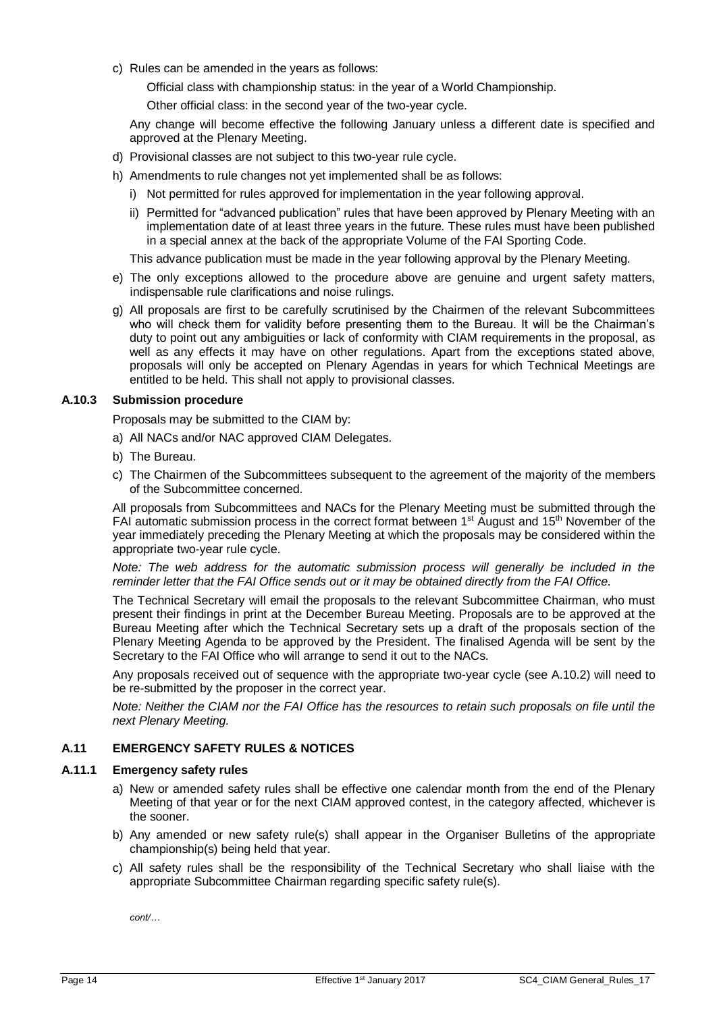c) Rules can be amended in the years as follows:

Official class with championship status: in the year of a World Championship.

Other official class: in the second year of the two-year cycle.

Any change will become effective the following January unless a different date is specified and approved at the Plenary Meeting.

- d) Provisional classes are not subject to this two-year rule cycle.
- h) Amendments to rule changes not yet implemented shall be as follows:
	- i) Not permitted for rules approved for implementation in the year following approval.
	- ii) Permitted for "advanced publication" rules that have been approved by Plenary Meeting with an implementation date of at least three years in the future. These rules must have been published in a special annex at the back of the appropriate Volume of the FAI Sporting Code.

This advance publication must be made in the year following approval by the Plenary Meeting.

- e) The only exceptions allowed to the procedure above are genuine and urgent safety matters, indispensable rule clarifications and noise rulings.
- g) All proposals are first to be carefully scrutinised by the Chairmen of the relevant Subcommittees who will check them for validity before presenting them to the Bureau. It will be the Chairman's duty to point out any ambiguities or lack of conformity with CIAM requirements in the proposal, as well as any effects it may have on other regulations. Apart from the exceptions stated above, proposals will only be accepted on Plenary Agendas in years for which Technical Meetings are entitled to be held. This shall not apply to provisional classes.

#### **A.10.3 Submission procedure**

Proposals may be submitted to the CIAM by:

- a) All NACs and/or NAC approved CIAM Delegates.
- b) The Bureau.
- c) The Chairmen of the Subcommittees subsequent to the agreement of the majority of the members of the Subcommittee concerned.

All proposals from Subcommittees and NACs for the Plenary Meeting must be submitted through the FAI automatic submission process in the correct format between  $1<sup>st</sup>$  August and  $15<sup>th</sup>$  November of the year immediately preceding the Plenary Meeting at which the proposals may be considered within the appropriate two-year rule cycle.

*Note: The web address for the automatic submission process will generally be included in the reminder letter that the FAI Office sends out or it may be obtained directly from the FAI Office.*

The Technical Secretary will email the proposals to the relevant Subcommittee Chairman, who must present their findings in print at the December Bureau Meeting. Proposals are to be approved at the Bureau Meeting after which the Technical Secretary sets up a draft of the proposals section of the Plenary Meeting Agenda to be approved by the President. The finalised Agenda will be sent by the Secretary to the FAI Office who will arrange to send it out to the NACs.

Any proposals received out of sequence with the appropriate two-year cycle (see [A.10.2\)](#page-12-2) will need to be re-submitted by the proposer in the correct year.

*Note: Neither the CIAM nor the FAI Office has the resources to retain such proposals on file until the next Plenary Meeting.*

# <span id="page-13-0"></span>**A.11 EMERGENCY SAFETY RULES & NOTICES**

#### **A.11.1 Emergency safety rules**

- a) New or amended safety rules shall be effective one calendar month from the end of the Plenary Meeting of that year or for the next CIAM approved contest, in the category affected, whichever is the sooner.
- b) Any amended or new safety rule(s) shall appear in the Organiser Bulletins of the appropriate championship(s) being held that year.
- c) All safety rules shall be the responsibility of the Technical Secretary who shall liaise with the appropriate Subcommittee Chairman regarding specific safety rule(s).

*cont/…*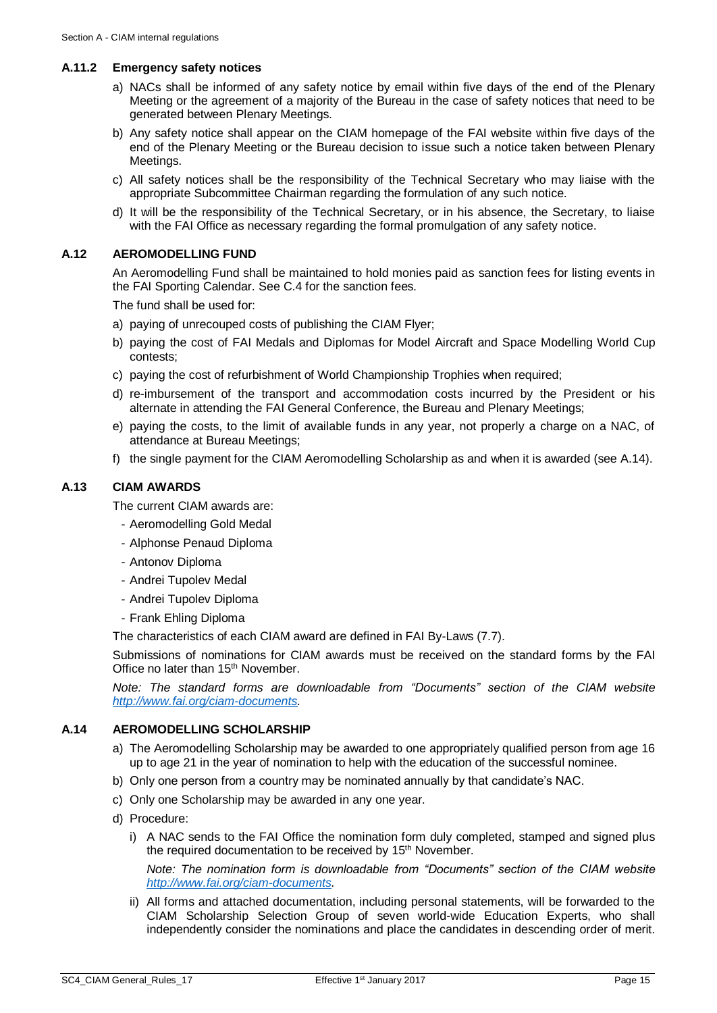#### **A.11.2 Emergency safety notices**

- a) NACs shall be informed of any safety notice by email within five days of the end of the Plenary Meeting or the agreement of a majority of the Bureau in the case of safety notices that need to be generated between Plenary Meetings.
- b) Any safety notice shall appear on the CIAM homepage of the FAI website within five days of the end of the Plenary Meeting or the Bureau decision to issue such a notice taken between Plenary Meetings.
- c) All safety notices shall be the responsibility of the Technical Secretary who may liaise with the appropriate Subcommittee Chairman regarding the formulation of any such notice.
- d) It will be the responsibility of the Technical Secretary, or in his absence, the Secretary, to liaise with the FAI Office as necessary regarding the formal promulgation of any safety notice.

#### <span id="page-14-0"></span>**A.12 AEROMODELLING FUND**

An Aeromodelling Fund shall be maintained to hold monies paid as sanction fees for listing events in the FAI Sporting Calendar. See [C.4](#page-26-0) for the sanction fees.

The fund shall be used for:

- a) paying of unrecouped costs of publishing the CIAM Flyer;
- b) paying the cost of FAI Medals and Diplomas for Model Aircraft and Space Modelling World Cup contests;
- c) paying the cost of refurbishment of World Championship Trophies when required;
- d) re-imbursement of the transport and accommodation costs incurred by the President or his alternate in attending the FAI General Conference, the Bureau and Plenary Meetings;
- e) paying the costs, to the limit of available funds in any year, not properly a charge on a NAC, of attendance at Bureau Meetings;
- f) the single payment for the CIAM Aeromodelling Scholarship as and when it is awarded (see [A.14\)](#page-14-2).

# <span id="page-14-1"></span>**A.13 CIAM AWARDS**

The current CIAM awards are:

- Aeromodelling Gold Medal
- Alphonse Penaud Diploma
- Antonov Diploma
- Andrei Tupolev Medal
- Andrei Tupolev Diploma
- Frank Ehling Diploma

The characteristics of each CIAM award are defined in FAI By-Laws (7.7).

Submissions of nominations for CIAM awards must be received on the standard forms by the FAI Office no later than 15<sup>th</sup> November.

*Note: The standard forms are downloadable from "Documents" section of the CIAM website [http://www.fai.org/ciam-documents.](http://www.fai.org/ciam-documents)*

# <span id="page-14-2"></span>**A.14 AEROMODELLING SCHOLARSHIP**

- a) The Aeromodelling Scholarship may be awarded to one appropriately qualified person from age 16 up to age 21 in the year of nomination to help with the education of the successful nominee.
- b) Only one person from a country may be nominated annually by that candidate's NAC.
- c) Only one Scholarship may be awarded in any one year.
- d) Procedure:
	- i) A NAC sends to the FAI Office the nomination form duly completed, stamped and signed plus the required documentation to be received by 15<sup>th</sup> November.

*Note: The nomination form is downloadable from "Documents" section of the CIAM website [http://www.fai.org/ciam-documents.](http://www.fai.org/ciam-documents)* 

ii) All forms and attached documentation, including personal statements, will be forwarded to the CIAM Scholarship Selection Group of seven world-wide Education Experts, who shall independently consider the nominations and place the candidates in descending order of merit.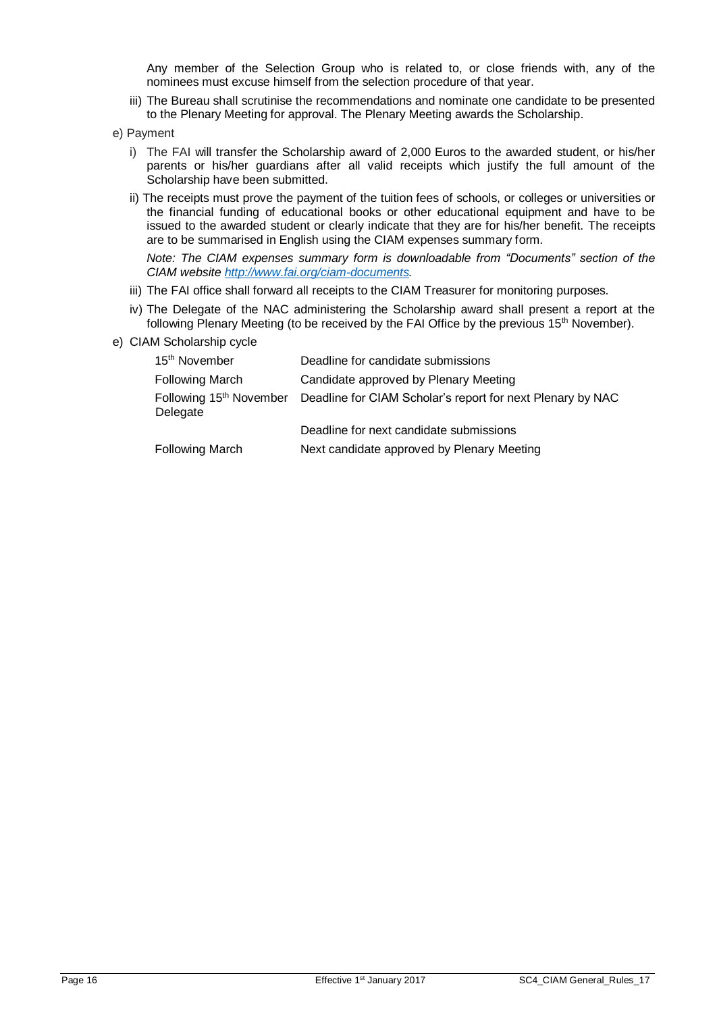Any member of the Selection Group who is related to, or close friends with, any of the nominees must excuse himself from the selection procedure of that year.

- iii) The Bureau shall scrutinise the recommendations and nominate one candidate to be presented to the Plenary Meeting for approval. The Plenary Meeting awards the Scholarship.
- e) Payment
	- i) The FAI will transfer the Scholarship award of 2,000 Euros to the awarded student, or his/her parents or his/her guardians after all valid receipts which justify the full amount of the Scholarship have been submitted.
	- ii) The receipts must prove the payment of the tuition fees of schools, or colleges or universities or the financial funding of educational books or other educational equipment and have to be issued to the awarded student or clearly indicate that they are for his/her benefit. The receipts are to be summarised in English using the CIAM expenses summary form.

*Note: The CIAM expenses summary form is downloadable from "Documents" section of the CIAM website [http://www.fai.org/ciam-documents.](http://www.fai.org/ciam-documents)*

- iii) The FAI office shall forward all receipts to the CIAM Treasurer for monitoring purposes.
- iv) The Delegate of the NAC administering the Scholarship award shall present a report at the following Plenary Meeting (to be received by the FAI Office by the previous 15<sup>th</sup> November).
- e) CIAM Scholarship cycle

| 15 <sup>th</sup> November                       | Deadline for candidate submissions                         |
|-------------------------------------------------|------------------------------------------------------------|
| <b>Following March</b>                          | Candidate approved by Plenary Meeting                      |
| Following 15 <sup>th</sup> November<br>Delegate | Deadline for CIAM Scholar's report for next Plenary by NAC |
|                                                 | Deadline for next candidate submissions                    |
| <b>Following March</b>                          | Next candidate approved by Plenary Meeting                 |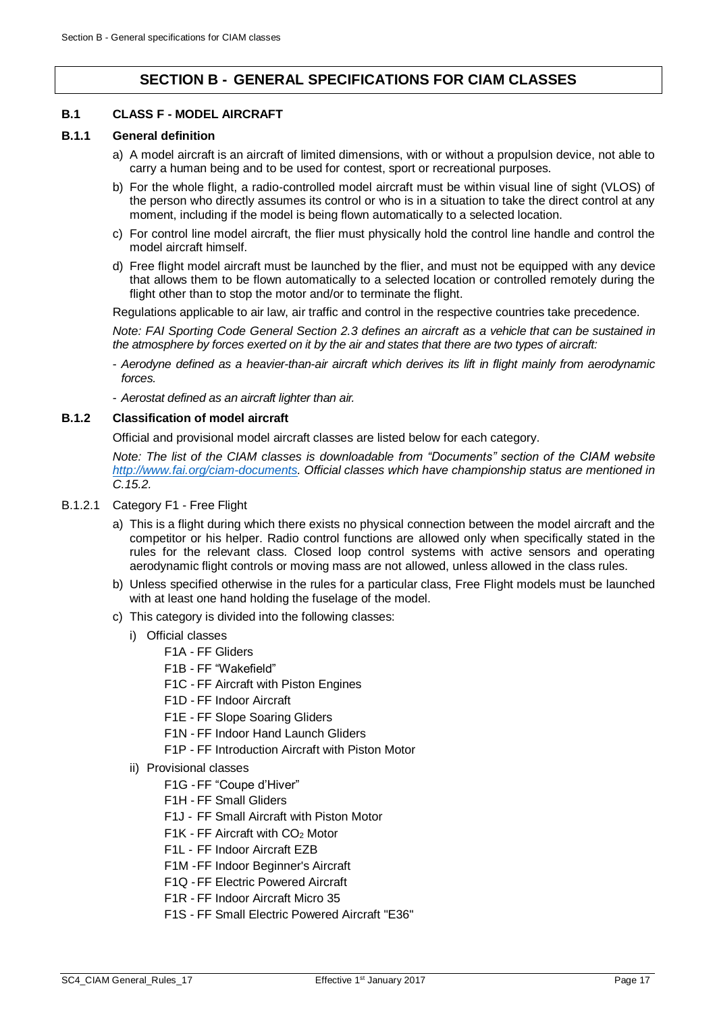# **SECTION B - GENERAL SPECIFICATIONS FOR CIAM CLASSES**

# <span id="page-16-1"></span><span id="page-16-0"></span>**B.1 CLASS F - MODEL AIRCRAFT**

#### **B.1.1 General definition**

- a) A model aircraft is an aircraft of limited dimensions, with or without a propulsion device, not able to carry a human being and to be used for contest, sport or recreational purposes.
- b) For the whole flight, a radio-controlled model aircraft must be within visual line of sight (VLOS) of the person who directly assumes its control or who is in a situation to take the direct control at any moment, including if the model is being flown automatically to a selected location.
- c) For control line model aircraft, the flier must physically hold the control line handle and control the model aircraft himself.
- d) Free flight model aircraft must be launched by the flier, and must not be equipped with any device that allows them to be flown automatically to a selected location or controlled remotely during the flight other than to stop the motor and/or to terminate the flight.

Regulations applicable to air law, air traffic and control in the respective countries take precedence.

*Note: FAI Sporting Code General Section 2.3 defines an aircraft as a vehicle that can be sustained in the atmosphere by forces exerted on it by the air and states that there are two types of aircraft:* 

- *Aerodyne defined as a heavier-than-air aircraft which derives its lift in flight mainly from aerodynamic forces.*
- *Aerostat defined as an aircraft lighter than air.*

# **B.1.2 Classification of model aircraft**

Official and provisional model aircraft classes are listed below for each category.

*Note: The list of the CIAM classes is downloadable from "Documents" section of the CIAM website [http://www.fai.org/ciam-documents.](http://www.fai.org/ciam-documents) Official classes which have championship status are mentioned in [C.15.2.](#page-35-0)*

- B.1.2.1 Category F1 Free Flight
	- a) This is a flight during which there exists no physical connection between the model aircraft and the competitor or his helper. Radio control functions are allowed only when specifically stated in the rules for the relevant class. Closed loop control systems with active sensors and operating aerodynamic flight controls or moving mass are not allowed, unless allowed in the class rules.
	- b) Unless specified otherwise in the rules for a particular class, Free Flight models must be launched with at least one hand holding the fuselage of the model.
	- c) This category is divided into the following classes:
		- i) Official classes
			- F1A FF Gliders
			- F1B FF "Wakefield"
			- F1C FF Aircraft with Piston Engines
			- F1D FF Indoor Aircraft
			- F1E FF Slope Soaring Gliders
			- F1N FF Indoor Hand Launch Gliders
			- F1P FF Introduction Aircraft with Piston Motor
		- ii) Provisional classes
			- F1G -FF "Coupe d'Hiver"
			- F1H FF Small Gliders
			- F1J FF Small Aircraft with Piston Motor
			- $F1K$  FF Aircraft with  $CO<sub>2</sub>$  Motor
			- F1L FF Indoor Aircraft EZB
			- F1M -FF Indoor Beginner's Aircraft
			- F1Q -FF Electric Powered Aircraft
			- F1R FF Indoor Aircraft Micro 35
			- F1S FF Small Electric Powered Aircraft "E36"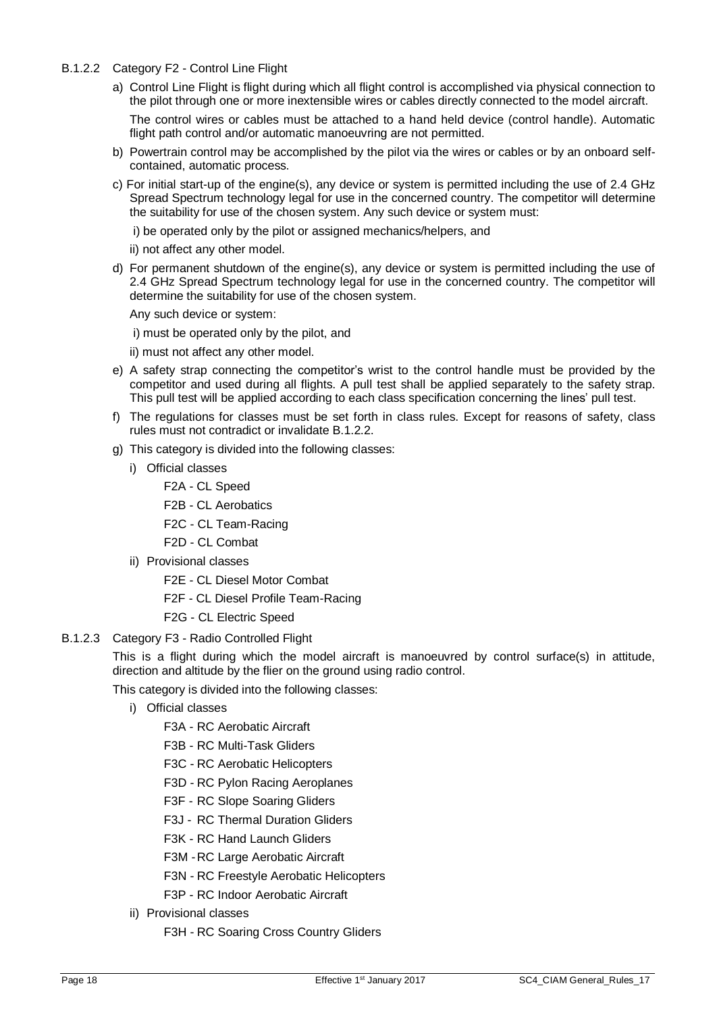- <span id="page-17-0"></span>B.1.2.2 Category F2 - Control Line Flight
	- a) Control Line Flight is flight during which all flight control is accomplished via physical connection to the pilot through one or more inextensible wires or cables directly connected to the model aircraft.

The control wires or cables must be attached to a hand held device (control handle). Automatic flight path control and/or automatic manoeuvring are not permitted.

- b) Powertrain control may be accomplished by the pilot via the wires or cables or by an onboard selfcontained, automatic process.
- c) For initial start-up of the engine(s), any device or system is permitted including the use of 2.4 GHz Spread Spectrum technology legal for use in the concerned country. The competitor will determine the suitability for use of the chosen system. Any such device or system must:
	- i) be operated only by the pilot or assigned mechanics/helpers, and
	- ii) not affect any other model.
- d) For permanent shutdown of the engine(s), any device or system is permitted including the use of 2.4 GHz Spread Spectrum technology legal for use in the concerned country. The competitor will determine the suitability for use of the chosen system.
	- Any such device or system:
	- i) must be operated only by the pilot, and
	- ii) must not affect any other model.
- e) A safety strap connecting the competitor's wrist to the control handle must be provided by the competitor and used during all flights. A pull test shall be applied separately to the safety strap. This pull test will be applied according to each class specification concerning the lines' pull test.
- f) The regulations for classes must be set forth in class rules. Except for reasons of safety, class rules must not contradict or invalidate [B.1.2.2.](#page-17-0)
- g) This category is divided into the following classes:
	- i) Official classes
		- F2A CL Speed
		- F2B CL Aerobatics
		- F2C CL Team-Racing
		- F2D CL Combat
	- ii) Provisional classes
		- F2E CL Diesel Motor Combat
		- F2F CL Diesel Profile Team-Racing
		- F2G CL Electric Speed

#### B.1.2.3 Category F3 - Radio Controlled Flight

This is a flight during which the model aircraft is manoeuvred by control surface(s) in attitude, direction and altitude by the flier on the ground using radio control.

This category is divided into the following classes:

- i) Official classes
	- F3A RC Aerobatic Aircraft
	- F3B RC Multi-Task Gliders
	- F3C RC Aerobatic Helicopters
	- F3D RC Pylon Racing Aeroplanes
	- F3F RC Slope Soaring Gliders
	- F3J RC Thermal Duration Gliders
	- F3K RC Hand Launch Gliders
	- F3M -RC Large Aerobatic Aircraft
	- F3N RC Freestyle Aerobatic Helicopters
	- F3P RC Indoor Aerobatic Aircraft
- ii) Provisional classes
	- F3H RC Soaring Cross Country Gliders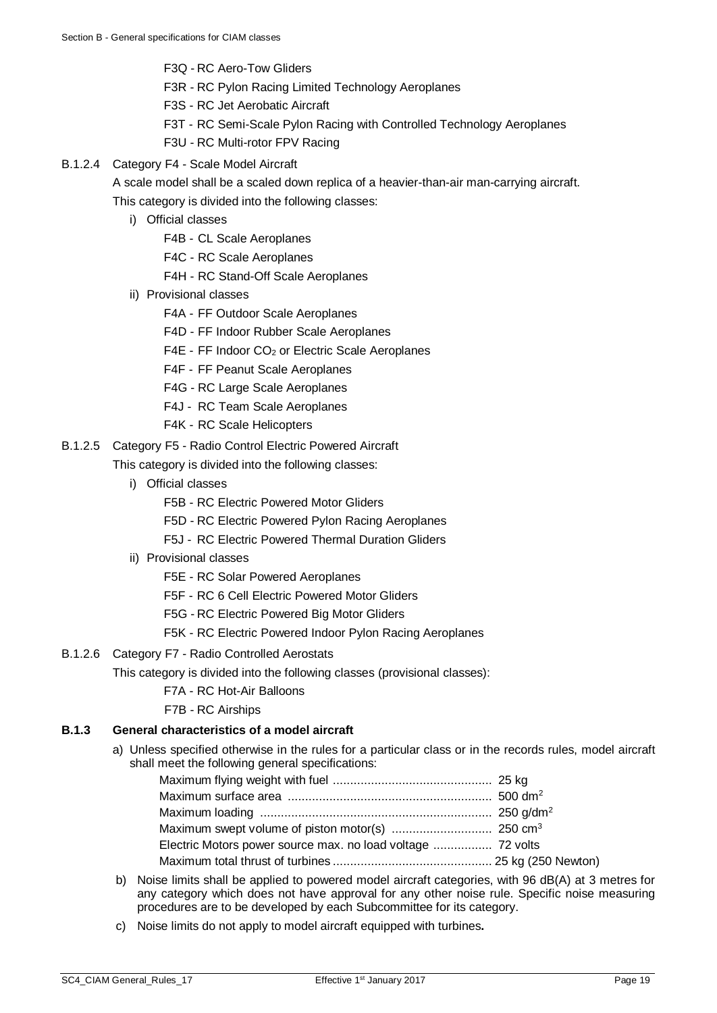- F3Q RC Aero-Tow Gliders
- F3R RC Pylon Racing Limited Technology Aeroplanes
- F3S RC Jet Aerobatic Aircraft
- F3T RC Semi-Scale Pylon Racing with Controlled Technology Aeroplanes
- F3U RC Multi-rotor FPV Racing
- B.1.2.4 Category F4 Scale Model Aircraft

A scale model shall be a scaled down replica of a heavier-than-air man-carrying aircraft. This category is divided into the following classes:

- i) Official classes
	- F4B CL Scale Aeroplanes
	- F4C RC Scale Aeroplanes
	- F4H RC Stand-Off Scale Aeroplanes
- ii) Provisional classes
	- F4A FF Outdoor Scale Aeroplanes
	- F4D FF Indoor Rubber Scale Aeroplanes
	- F4E FF Indoor CO<sub>2</sub> or Electric Scale Aeroplanes
	- F4F FF Peanut Scale Aeroplanes
	- F4G RC Large Scale Aeroplanes
	- F4J RC Team Scale Aeroplanes
	- F4K RC Scale Helicopters
- B.1.2.5 Category F5 Radio Control Electric Powered Aircraft

This category is divided into the following classes:

- i) Official classes
	- F5B RC Electric Powered Motor Gliders
	- F5D RC Electric Powered Pylon Racing Aeroplanes
	- F5J RC Electric Powered Thermal Duration Gliders
- ii) Provisional classes
	- F5E RC Solar Powered Aeroplanes
	- F5F RC 6 Cell Electric Powered Motor Gliders
	- F5G RC Electric Powered Big Motor Gliders
	- F5K RC Electric Powered Indoor Pylon Racing Aeroplanes
- B.1.2.6 Category F7 Radio Controlled Aerostats
	- This category is divided into the following classes (provisional classes):
		- F7A RC Hot-Air Balloons
		- F7B RC Airships

# **B.1.3 General characteristics of a model aircraft**

a) Unless specified otherwise in the rules for a particular class or in the records rules, model aircraft shall meet the following general specifications:

- b) Noise limits shall be applied to powered model aircraft categories, with 96 dB(A) at 3 metres for any category which does not have approval for any other noise rule. Specific noise measuring procedures are to be developed by each Subcommittee for its category.
- c) Noise limits do not apply to model aircraft equipped with turbines**.**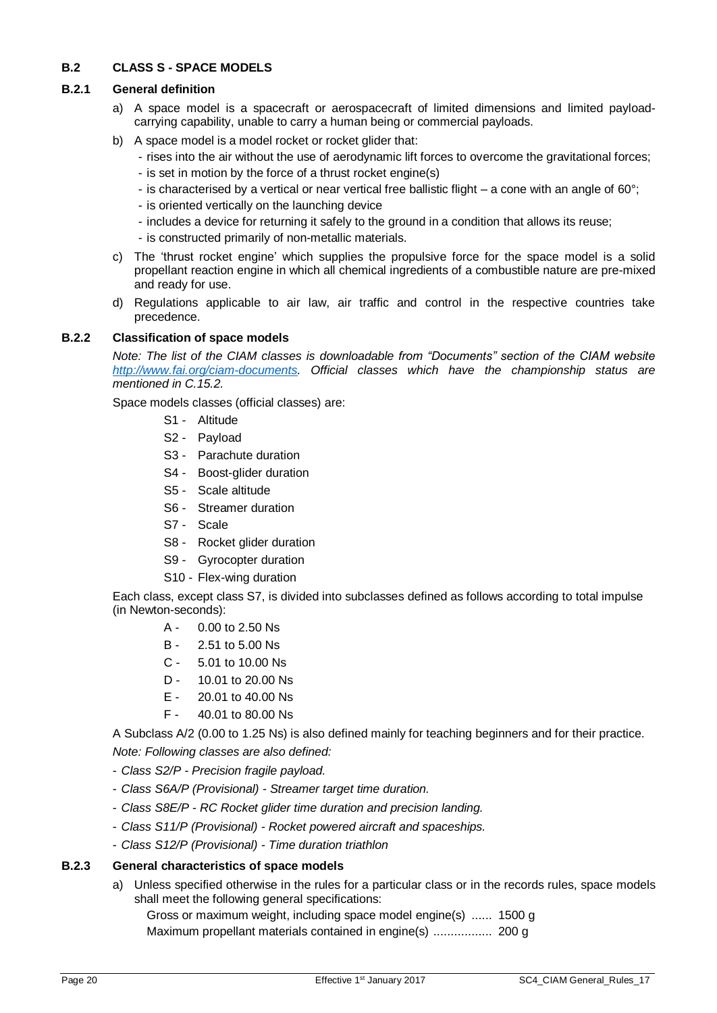# <span id="page-19-0"></span>**B.2 CLASS S - SPACE MODELS**

# **B.2.1 General definition**

- a) A space model is a spacecraft or aerospacecraft of limited dimensions and limited payloadcarrying capability, unable to carry a human being or commercial payloads.
- b) A space model is a model rocket or rocket glider that:
	- rises into the air without the use of aerodynamic lift forces to overcome the gravitational forces;
	- is set in motion by the force of a thrust rocket engine(s)
	- is characterised by a vertical or near vertical free ballistic flight a cone with an angle of 60°;
	- is oriented vertically on the launching device
	- includes a device for returning it safely to the ground in a condition that allows its reuse;
	- is constructed primarily of non-metallic materials.
- c) The 'thrust rocket engine' which supplies the propulsive force for the space model is a solid propellant reaction engine in which all chemical ingredients of a combustible nature are pre-mixed and ready for use.
- d) Regulations applicable to air law, air traffic and control in the respective countries take precedence.

# **B.2.2 Classification of space models**

*Note: The list of the CIAM classes is downloadable from "Documents" section of the CIAM website [http://www.fai.org/ciam-documents.](http://www.fai.org/ciam-documents) Official classes which have the championship status are mentioned in [C.15.2.](#page-35-0)*

Space models classes (official classes) are:

- S1 Altitude
- S2 Payload
- S3 Parachute duration
- S4 Boost-glider duration
- S5 Scale altitude
- S6 Streamer duration
- S7 Scale
- S8 Rocket glider duration
- S9 Gyrocopter duration
- S10 Flex-wing duration

Each class, except class S7, is divided into subclasses defined as follows according to total impulse (in Newton-seconds):

- A 0.00 to 2.50 Ns
- B 2.51 to 5.00 Ns
- C 5.01 to 10.00 Ns
- D 10.01 to 20.00 Ns
- E 20.01 to 40.00 Ns
- F 40.01 to 80.00 Ns

A Subclass A/2 (0.00 to 1.25 Ns) is also defined mainly for teaching beginners and for their practice. *Note: Following classes are also defined:*

- *Class S2/P - Precision fragile payload.*
- *Class S6A/P (Provisional) - Streamer target time duration.*
- *Class S8E/P - RC Rocket glider time duration and precision landing.*
- *Class S11/P (Provisional) - Rocket powered aircraft and spaceships.*
- *Class S12/P (Provisional) - Time duration triathlon*

# **B.2.3 General characteristics of space models**

a) Unless specified otherwise in the rules for a particular class or in the records rules, space models shall meet the following general specifications:

Gross or maximum weight, including space model engine(s) ...... 1500 g

Maximum propellant materials contained in engine(s) ................. 200 g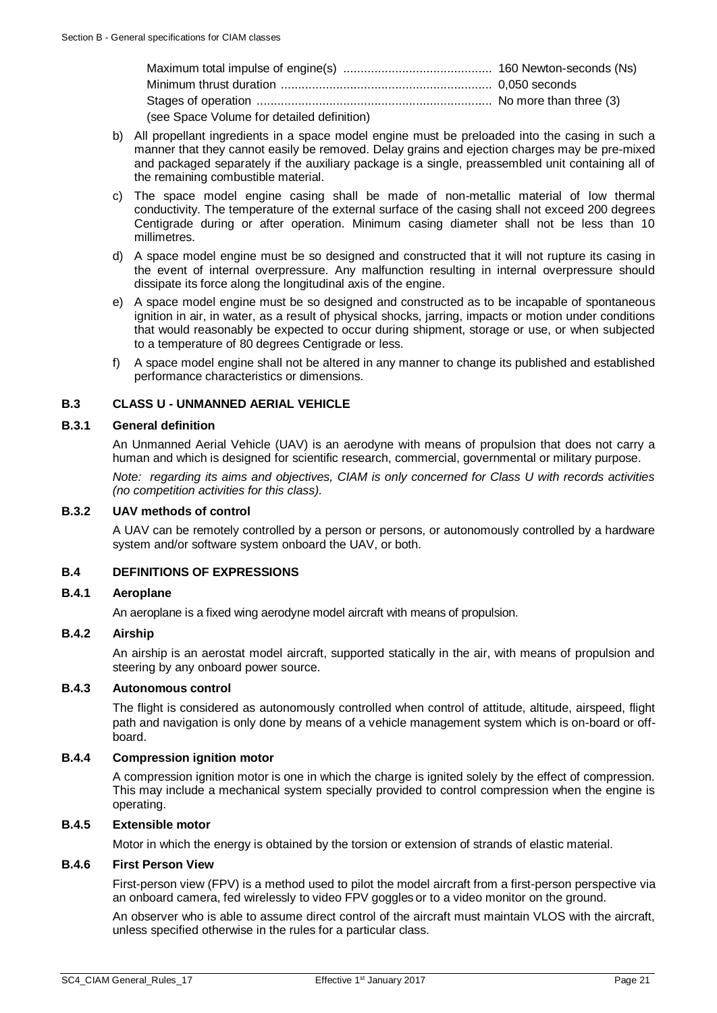| (see Space Volume for detailed definition) |  |
|--------------------------------------------|--|

- b) All propellant ingredients in a space model engine must be preloaded into the casing in such a manner that they cannot easily be removed. Delay grains and ejection charges may be pre-mixed and packaged separately if the auxiliary package is a single, preassembled unit containing all of the remaining combustible material.
- c) The space model engine casing shall be made of non-metallic material of low thermal conductivity. The temperature of the external surface of the casing shall not exceed 200 degrees Centigrade during or after operation. Minimum casing diameter shall not be less than 10 millimetres.
- d) A space model engine must be so designed and constructed that it will not rupture its casing in the event of internal overpressure. Any malfunction resulting in internal overpressure should dissipate its force along the longitudinal axis of the engine.
- e) A space model engine must be so designed and constructed as to be incapable of spontaneous ignition in air, in water, as a result of physical shocks, jarring, impacts or motion under conditions that would reasonably be expected to occur during shipment, storage or use, or when subjected to a temperature of 80 degrees Centigrade or less.
- f) A space model engine shall not be altered in any manner to change its published and established performance characteristics or dimensions.

# <span id="page-20-0"></span>**B.3 CLASS U - UNMANNED AERIAL VEHICLE**

# **B.3.1 General definition**

An Unmanned Aerial Vehicle (UAV) is an aerodyne with means of propulsion that does not carry a human and which is designed for scientific research, commercial, governmental or military purpose.

*Note: regarding its aims and objectives, CIAM is only concerned for Class U with records activities (no competition activities for this class).* 

# **B.3.2 UAV methods of control**

A UAV can be remotely controlled by a person or persons, or autonomously controlled by a hardware system and/or software system onboard the UAV, or both.

# <span id="page-20-1"></span>**B.4 DEFINITIONS OF EXPRESSIONS**

# **B.4.1 Aeroplane**

An aeroplane is a fixed wing aerodyne model aircraft with means of propulsion.

# **B.4.2 Airship**

An airship is an aerostat model aircraft, supported statically in the air, with means of propulsion and steering by any onboard power source.

# **B.4.3 Autonomous control**

The flight is considered as autonomously controlled when control of attitude, altitude, airspeed, flight path and navigation is only done by means of a vehicle management system which is on-board or offboard.

# **B.4.4 Compression ignition motor**

A compression ignition motor is one in which the charge is ignited solely by the effect of compression. This may include a mechanical system specially provided to control compression when the engine is operating.

# **B.4.5 Extensible motor**

Motor in which the energy is obtained by the torsion or extension of strands of elastic material.

#### **B.4.6 First Person View**

First-person view (FPV) is a method used to pilot the model aircraft from a first-person perspective via an onboard camera, fed wirelessly to video FPV goggles or to a video monitor on the ground.

An observer who is able to assume direct control of the aircraft must maintain VLOS with the aircraft, unless specified otherwise in the rules for a particular class.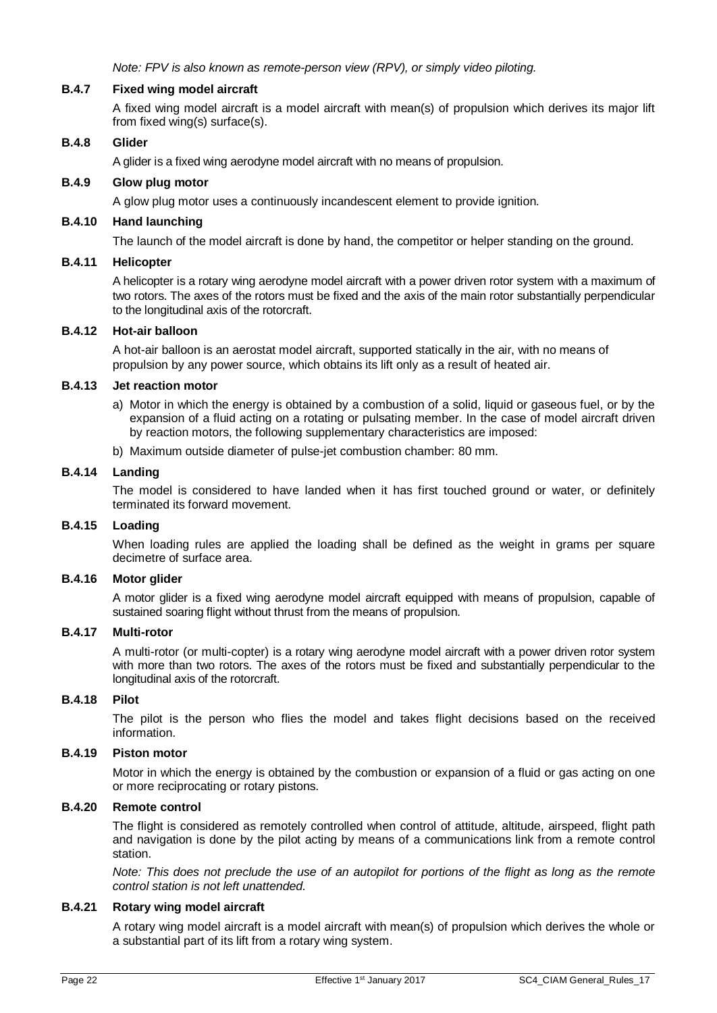*Note: FPV is also known as remote-person view (RPV), or simply video piloting.*

# **B.4.7 Fixed wing model aircraft**

A fixed wing model aircraft is a model aircraft with mean(s) of propulsion which derives its major lift from fixed wing(s) surface(s).

#### **B.4.8 Glider**

A glider is a fixed wing aerodyne model aircraft with no means of propulsion.

#### **B.4.9 Glow plug motor**

A glow plug motor uses a continuously incandescent element to provide ignition.

#### **B.4.10 Hand launching**

The launch of the model aircraft is done by hand, the competitor or helper standing on the ground.

# **B.4.11 Helicopter**

A helicopter is a rotary wing aerodyne model aircraft with a power driven rotor system with a maximum of two rotors. The axes of the rotors must be fixed and the axis of the main rotor substantially perpendicular to the longitudinal axis of the rotorcraft.

#### **B.4.12 Hot-air balloon**

A hot-air balloon is an aerostat model aircraft, supported statically in the air, with no means of propulsion by any power source, which obtains its lift only as a result of heated air.

#### **B.4.13 Jet reaction motor**

- a) Motor in which the energy is obtained by a combustion of a solid, liquid or gaseous fuel, or by the expansion of a fluid acting on a rotating or pulsating member. In the case of model aircraft driven by reaction motors, the following supplementary characteristics are imposed:
- b) Maximum outside diameter of pulse-jet combustion chamber: 80 mm.

#### **B.4.14 Landing**

The model is considered to have landed when it has first touched ground or water, or definitely terminated its forward movement.

#### **B.4.15 Loading**

When loading rules are applied the loading shall be defined as the weight in grams per square decimetre of surface area.

#### **B.4.16 Motor glider**

A motor glider is a fixed wing aerodyne model aircraft equipped with means of propulsion, capable of sustained soaring flight without thrust from the means of propulsion.

#### **B.4.17 Multi-rotor**

A multi-rotor (or multi-copter) is a rotary wing aerodyne model aircraft with a power driven rotor system with more than two rotors. The axes of the rotors must be fixed and substantially perpendicular to the longitudinal axis of the rotorcraft.

#### **B.4.18 Pilot**

The pilot is the person who flies the model and takes flight decisions based on the received information.

#### **B.4.19 Piston motor**

Motor in which the energy is obtained by the combustion or expansion of a fluid or gas acting on one or more reciprocating or rotary pistons.

#### **B.4.20 Remote control**

The flight is considered as remotely controlled when control of attitude, altitude, airspeed, flight path and navigation is done by the pilot acting by means of a communications link from a remote control station.

*Note: This does not preclude the use of an autopilot for portions of the flight as long as the remote control station is not left unattended.*

#### **B.4.21 Rotary wing model aircraft**

A rotary wing model aircraft is a model aircraft with mean(s) of propulsion which derives the whole or a substantial part of its lift from a rotary wing system.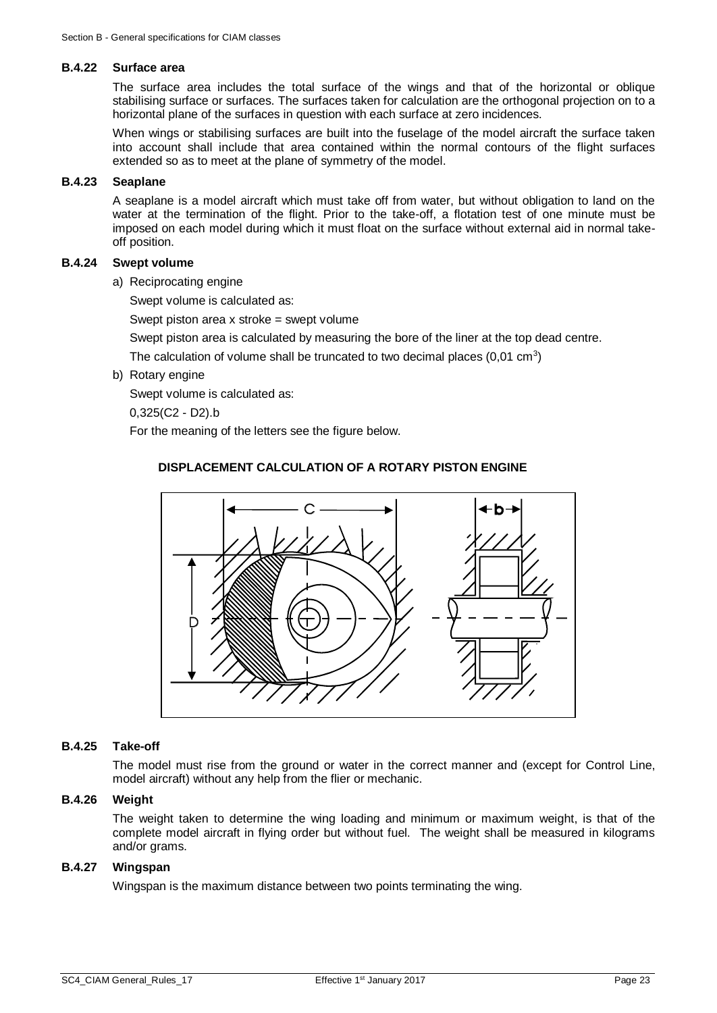#### **B.4.22 Surface area**

The surface area includes the total surface of the wings and that of the horizontal or oblique stabilising surface or surfaces. The surfaces taken for calculation are the orthogonal projection on to a horizontal plane of the surfaces in question with each surface at zero incidences.

When wings or stabilising surfaces are built into the fuselage of the model aircraft the surface taken into account shall include that area contained within the normal contours of the flight surfaces extended so as to meet at the plane of symmetry of the model.

# **B.4.23 Seaplane**

A seaplane is a model aircraft which must take off from water, but without obligation to land on the water at the termination of the flight. Prior to the take-off, a flotation test of one minute must be imposed on each model during which it must float on the surface without external aid in normal takeoff position.

#### **B.4.24 Swept volume**

a) Reciprocating engine

Swept volume is calculated as:

Swept piston area x stroke = swept volume

Swept piston area is calculated by measuring the bore of the liner at the top dead centre.

The calculation of volume shall be truncated to two decimal places (0,01 cm<sup>3</sup>)

b) Rotary engine

Swept volume is calculated as:

0,325(C2 - D2).b

For the meaning of the letters see the figure below.

#### **DISPLACEMENT CALCULATION OF A ROTARY PISTON ENGINE**



#### **B.4.25 Take-off**

The model must rise from the ground or water in the correct manner and (except for Control Line, model aircraft) without any help from the flier or mechanic.

#### **B.4.26 Weight**

The weight taken to determine the wing loading and minimum or maximum weight, is that of the complete model aircraft in flying order but without fuel. The weight shall be measured in kilograms and/or grams.

#### **B.4.27 Wingspan**

Wingspan is the maximum distance between two points terminating the wing.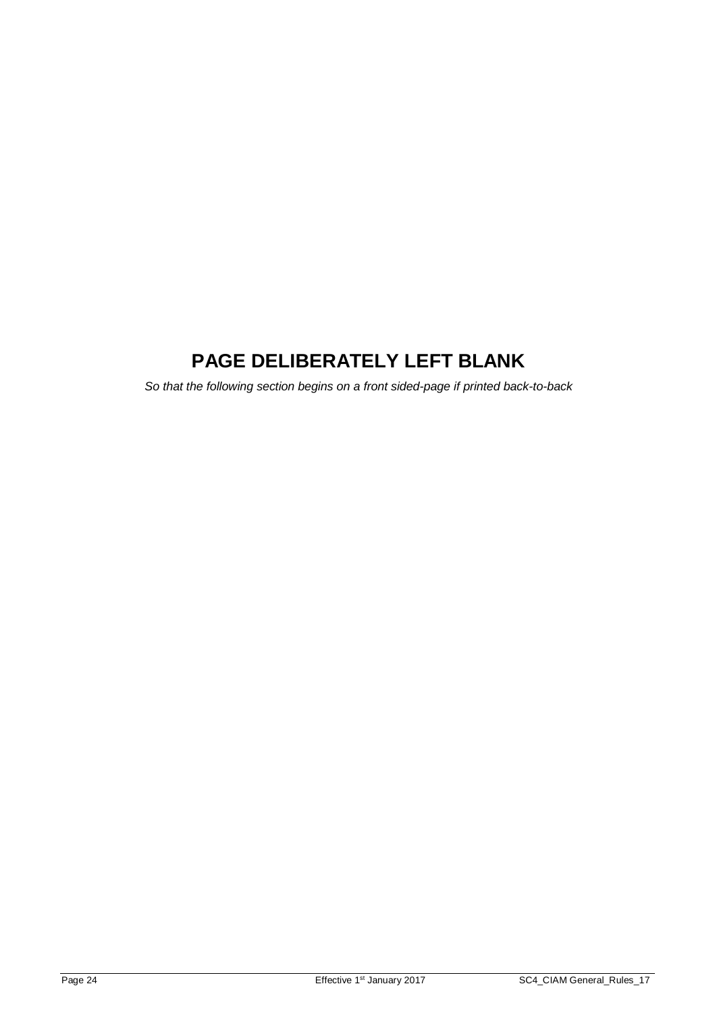# **PAGE DELIBERATELY LEFT BLANK**

*So that the following section begins on a front sided-page if printed back-to-back*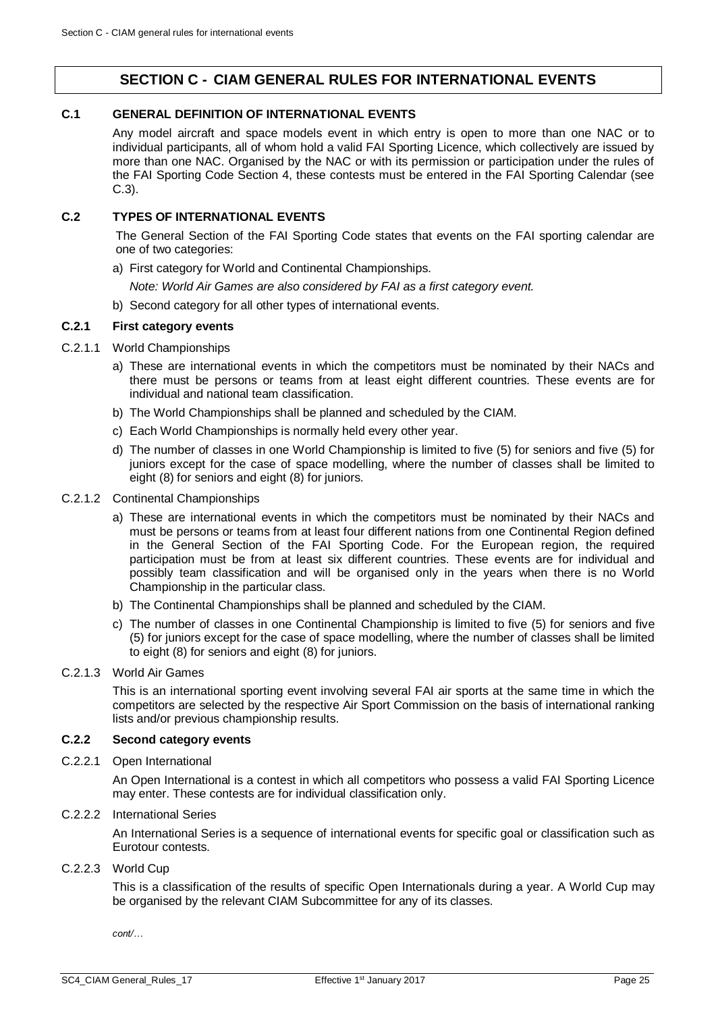# **SECTION C - CIAM GENERAL RULES FOR INTERNATIONAL EVENTS**

# <span id="page-24-1"></span><span id="page-24-0"></span>**C.1 GENERAL DEFINITION OF INTERNATIONAL EVENTS**

Any model aircraft and space models event in which entry is open to more than one NAC or to individual participants, all of whom hold a valid FAI Sporting Licence, which collectively are issued by more than one NAC. Organised by the NAC or with its permission or participation under the rules of the FAI Sporting Code Section 4, these contests must be entered in the FAI Sporting Calendar (see [C.3\)](#page-25-0).

# <span id="page-24-2"></span>**C.2 TYPES OF INTERNATIONAL EVENTS**

The General Section of the FAI Sporting Code states that events on the FAI sporting calendar are one of two categories:

a) First category for World and Continental Championships.

*Note: World Air Games are also considered by FAI as a first category event.*

b) Second category for all other types of international events.

#### **C.2.1 First category events**

- C.2.1.1 World Championships
	- a) These are international events in which the competitors must be nominated by their NACs and there must be persons or teams from at least eight different countries. These events are for individual and national team classification.
	- b) The World Championships shall be planned and scheduled by the CIAM.
	- c) Each World Championships is normally held every other year.
	- d) The number of classes in one World Championship is limited to five (5) for seniors and five (5) for juniors except for the case of space modelling, where the number of classes shall be limited to eight (8) for seniors and eight (8) for juniors.
- C.2.1.2 Continental Championships
	- a) These are international events in which the competitors must be nominated by their NACs and must be persons or teams from at least four different nations from one Continental Region defined in the General Section of the FAI Sporting Code. For the European region, the required participation must be from at least six different countries. These events are for individual and possibly team classification and will be organised only in the years when there is no World Championship in the particular class.
	- b) The Continental Championships shall be planned and scheduled by the CIAM.
	- c) The number of classes in one Continental Championship is limited to five (5) for seniors and five (5) for juniors except for the case of space modelling, where the number of classes shall be limited to eight (8) for seniors and eight (8) for juniors.
- C.2.1.3 World Air Games

This is an international sporting event involving several FAI air sports at the same time in which the competitors are selected by the respective Air Sport Commission on the basis of international ranking lists and/or previous championship results.

# **C.2.2 Second category events**

C.2.2.1 Open International

An Open International is a contest in which all competitors who possess a valid FAI Sporting Licence may enter. These contests are for individual classification only.

C.2.2.2 International Series

An International Series is a sequence of international events for specific goal or classification such as Eurotour contests.

#### C.2.2.3 World Cup

This is a classification of the results of specific Open Internationals during a year. A World Cup may be organised by the relevant CIAM Subcommittee for any of its classes.

*cont/…*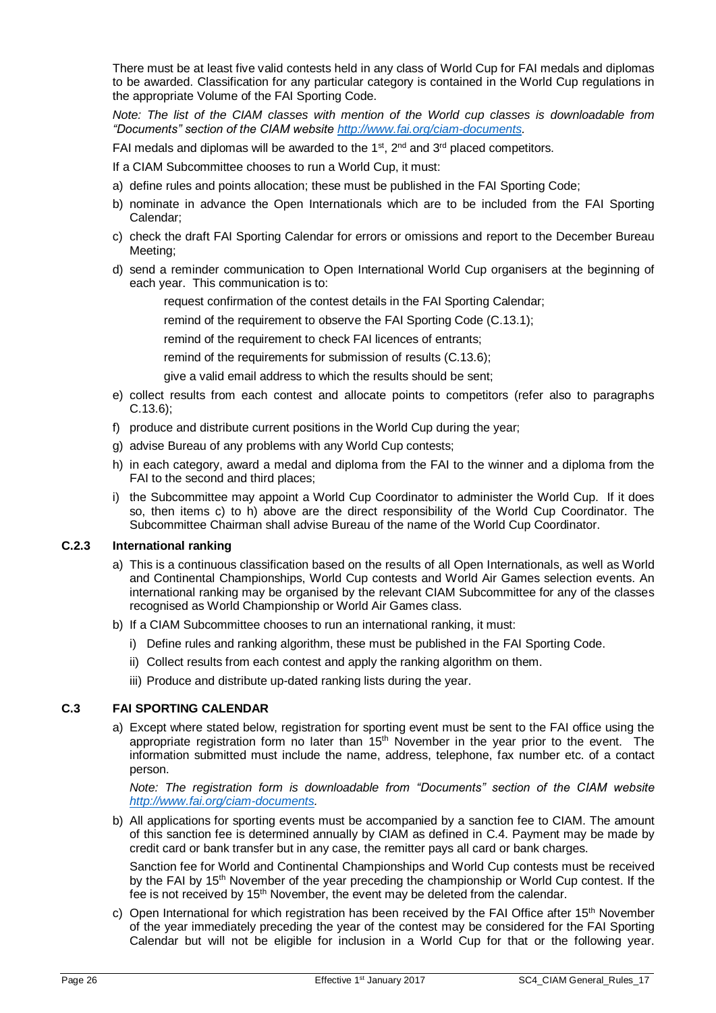There must be at least five valid contests held in any class of World Cup for FAI medals and diplomas to be awarded. Classification for any particular category is contained in the World Cup regulations in the appropriate Volume of the FAI Sporting Code.

*Note: The list of the CIAM classes with mention of the World cup classes is downloadable from "Documents" section of the CIAM website [http://www.fai.org/ciam-documents.](http://www.fai.org/ciam-documents)*

FAI medals and diplomas will be awarded to the 1<sup>st</sup>, 2<sup>nd</sup> and 3<sup>rd</sup> placed competitors.

If a CIAM Subcommittee chooses to run a World Cup, it must:

- a) define rules and points allocation; these must be published in the FAI Sporting Code;
- b) nominate in advance the Open Internationals which are to be included from the FAI Sporting Calendar;
- c) check the draft FAI Sporting Calendar for errors or omissions and report to the December Bureau Meeting;
- d) send a reminder communication to Open International World Cup organisers at the beginning of each year. This communication is to:
	- request confirmation of the contest details in the FAI Sporting Calendar;

remind of the requirement to observe the FAI Sporting Code [\(C.13.1\)](#page-32-1);

remind of the requirement to check FAI licences of entrants;

remind of the requirements for submission of results [\(C.13.6\)](#page-33-1);

give a valid email address to which the results should be sent;

- e) collect results from each contest and allocate points to competitors (refer also to paragraphs [C.13.6\)](#page-33-1);
- f) produce and distribute current positions in the World Cup during the year;
- g) advise Bureau of any problems with any World Cup contests;
- h) in each category, award a medal and diploma from the FAI to the winner and a diploma from the FAI to the second and third places;
- i) the Subcommittee may appoint a World Cup Coordinator to administer the World Cup. If it does so, then items c) to h) above are the direct responsibility of the World Cup Coordinator. The Subcommittee Chairman shall advise Bureau of the name of the World Cup Coordinator.

# **C.2.3 International ranking**

- a) This is a continuous classification based on the results of all Open Internationals, as well as World and Continental Championships, World Cup contests and World Air Games selection events. An international ranking may be organised by the relevant CIAM Subcommittee for any of the classes recognised as World Championship or World Air Games class.
- b) If a CIAM Subcommittee chooses to run an international ranking, it must:
	- i) Define rules and ranking algorithm, these must be published in the FAI Sporting Code.
	- ii) Collect results from each contest and apply the ranking algorithm on them.
	- iii) Produce and distribute up-dated ranking lists during the year.

# <span id="page-25-0"></span>**C.3 FAI SPORTING CALENDAR**

a) Except where stated below, registration for sporting event must be sent to the FAI office using the appropriate registration form no later than  $15<sup>th</sup>$  November in the year prior to the event. The information submitted must include the name, address, telephone, fax number etc. of a contact person.

*Note: The registration form is downloadable from "Documents" section of the CIAM website [http://www.fai.org/ciam-documents.](http://www.fai.org/ciam-documents)* 

b) All applications for sporting events must be accompanied by a sanction fee to CIAM. The amount of this sanction fee is determined annually by CIAM as defined in [C.4.](#page-26-0) Payment may be made by credit card or bank transfer but in any case, the remitter pays all card or bank charges.

Sanction fee for World and Continental Championships and World Cup contests must be received by the FAI by 15<sup>th</sup> November of the year preceding the championship or World Cup contest. If the fee is not received by 15<sup>th</sup> November, the event may be deleted from the calendar.

c) Open International for which registration has been received by the FAI Office after  $15<sup>th</sup>$  November of the year immediately preceding the year of the contest may be considered for the FAI Sporting Calendar but will not be eligible for inclusion in a World Cup for that or the following year.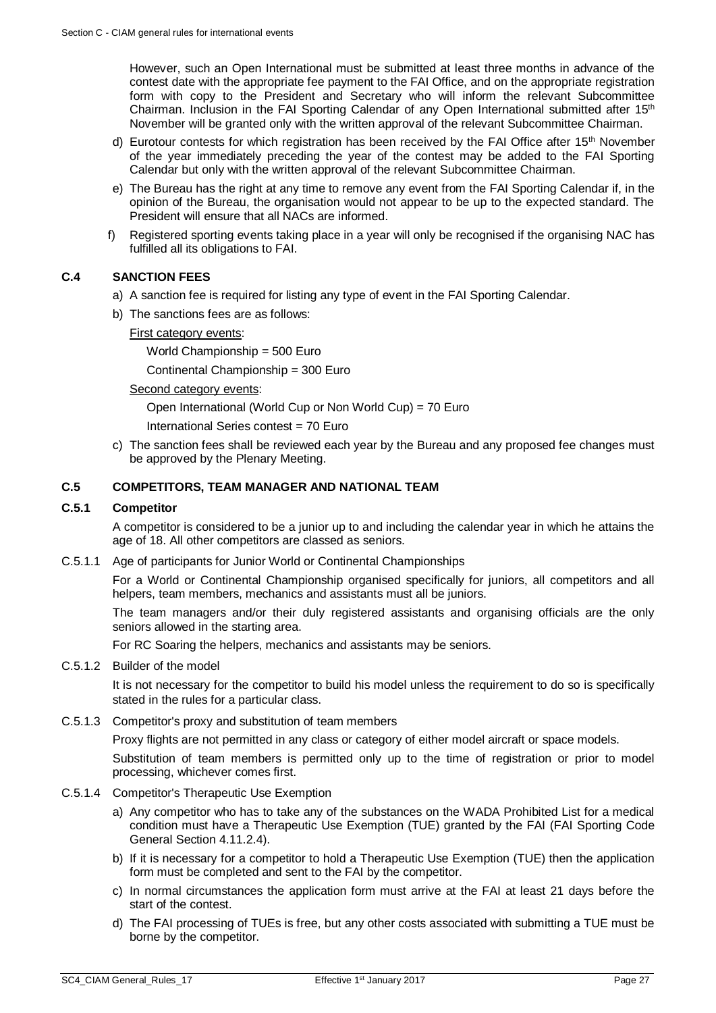However, such an Open International must be submitted at least three months in advance of the contest date with the appropriate fee payment to the FAI Office, and on the appropriate registration form with copy to the President and Secretary who will inform the relevant Subcommittee Chairman. Inclusion in the FAI Sporting Calendar of any Open International submitted after 15<sup>th</sup> November will be granted only with the written approval of the relevant Subcommittee Chairman.

- d) Eurotour contests for which registration has been received by the FAI Office after 15<sup>th</sup> November of the year immediately preceding the year of the contest may be added to the FAI Sporting Calendar but only with the written approval of the relevant Subcommittee Chairman.
- e) The Bureau has the right at any time to remove any event from the FAI Sporting Calendar if, in the opinion of the Bureau, the organisation would not appear to be up to the expected standard. The President will ensure that all NACs are informed.
- f) Registered sporting events taking place in a year will only be recognised if the organising NAC has fulfilled all its obligations to FAI.

# <span id="page-26-0"></span>**C.4 SANCTION FEES**

- a) A sanction fee is required for listing any type of event in the FAI Sporting Calendar.
- b) The sanctions fees are as follows:

# First category events:

World Championship = 500 Euro

Continental Championship = 300 Euro

# Second category events:

Open International (World Cup or Non World Cup) = 70 Euro

International Series contest = 70 Euro

c) The sanction fees shall be reviewed each year by the Bureau and any proposed fee changes must be approved by the Plenary Meeting.

# <span id="page-26-1"></span>**C.5 COMPETITORS, TEAM MANAGER AND NATIONAL TEAM**

# **C.5.1 Competitor**

A competitor is considered to be a junior up to and including the calendar year in which he attains the age of 18. All other competitors are classed as seniors.

# C.5.1.1 Age of participants for Junior World or Continental Championships

For a World or Continental Championship organised specifically for juniors, all competitors and all helpers, team members, mechanics and assistants must all be juniors.

The team managers and/or their duly registered assistants and organising officials are the only seniors allowed in the starting area.

For RC Soaring the helpers, mechanics and assistants may be seniors.

#### C.5.1.2 Builder of the model

It is not necessary for the competitor to build his model unless the requirement to do so is specifically stated in the rules for a particular class.

# C.5.1.3 Competitor's proxy and substitution of team members

Proxy flights are not permitted in any class or category of either model aircraft or space models.

Substitution of team members is permitted only up to the time of registration or prior to model processing, whichever comes first.

# C.5.1.4 Competitor's Therapeutic Use Exemption

- a) Any competitor who has to take any of the substances on the WADA Prohibited List for a medical condition must have a Therapeutic Use Exemption (TUE) granted by the FAI (FAI Sporting Code General Section 4.11.2.4).
- b) If it is necessary for a competitor to hold a Therapeutic Use Exemption (TUE) then the application form must be completed and sent to the FAI by the competitor.
- c) In normal circumstances the application form must arrive at the FAI at least 21 days before the start of the contest.
- d) The FAI processing of TUEs is free, but any other costs associated with submitting a TUE must be borne by the competitor.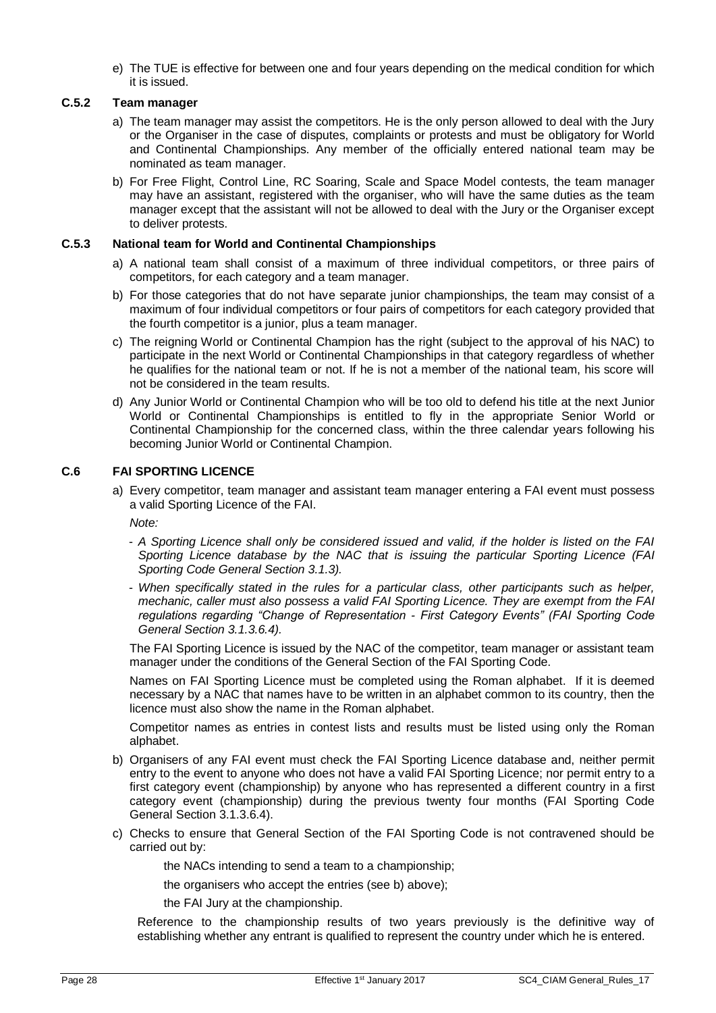e) The TUE is effective for between one and four years depending on the medical condition for which it is issued.

# **C.5.2 Team manager**

- a) The team manager may assist the competitors. He is the only person allowed to deal with the Jury or the Organiser in the case of disputes, complaints or protests and must be obligatory for World and Continental Championships. Any member of the officially entered national team may be nominated as team manager.
- b) For Free Flight, Control Line, RC Soaring, Scale and Space Model contests, the team manager may have an assistant, registered with the organiser, who will have the same duties as the team manager except that the assistant will not be allowed to deal with the Jury or the Organiser except to deliver protests.

# <span id="page-27-1"></span>**C.5.3 National team for World and Continental Championships**

- a) A national team shall consist of a maximum of three individual competitors, or three pairs of competitors, for each category and a team manager.
- b) For those categories that do not have separate junior championships, the team may consist of a maximum of four individual competitors or four pairs of competitors for each category provided that the fourth competitor is a junior, plus a team manager.
- c) The reigning World or Continental Champion has the right (subject to the approval of his NAC) to participate in the next World or Continental Championships in that category regardless of whether he qualifies for the national team or not. If he is not a member of the national team, his score will not be considered in the team results.
- d) Any Junior World or Continental Champion who will be too old to defend his title at the next Junior World or Continental Championships is entitled to fly in the appropriate Senior World or Continental Championship for the concerned class, within the three calendar years following his becoming Junior World or Continental Champion.

# <span id="page-27-0"></span>**C.6 FAI SPORTING LICENCE**

a) Every competitor, team manager and assistant team manager entering a FAI event must possess a valid Sporting Licence of the FAI.

*Note:* 

- *A Sporting Licence shall only be considered issued and valid, if the holder is listed on the FAI Sporting Licence database by the NAC that is issuing the particular Sporting Licence (FAI Sporting Code General Section 3.1.3).*
- *When specifically stated in the rules for a particular class, other participants such as helper, mechanic, caller must also possess a valid FAI Sporting Licence. They are exempt from the FAI regulations regarding "Change of Representation - First Category Events" (FAI Sporting Code General Section 3.1.3.6.4).*

The FAI Sporting Licence is issued by the NAC of the competitor, team manager or assistant team manager under the conditions of the General Section of the FAI Sporting Code.

Names on FAI Sporting Licence must be completed using the Roman alphabet. If it is deemed necessary by a NAC that names have to be written in an alphabet common to its country, then the licence must also show the name in the Roman alphabet.

Competitor names as entries in contest lists and results must be listed using only the Roman alphabet.

- b) Organisers of any FAI event must check the FAI Sporting Licence database and, neither permit entry to the event to anyone who does not have a valid FAI Sporting Licence; nor permit entry to a first category event (championship) by anyone who has represented a different country in a first category event (championship) during the previous twenty four months (FAI Sporting Code General Section 3.1.3.6.4).
- c) Checks to ensure that General Section of the FAI Sporting Code is not contravened should be carried out by:
	- the NACs intending to send a team to a championship;
	- the organisers who accept the entries (see b) above);
	- the FAI Jury at the championship.

Reference to the championship results of two years previously is the definitive way of establishing whether any entrant is qualified to represent the country under which he is entered.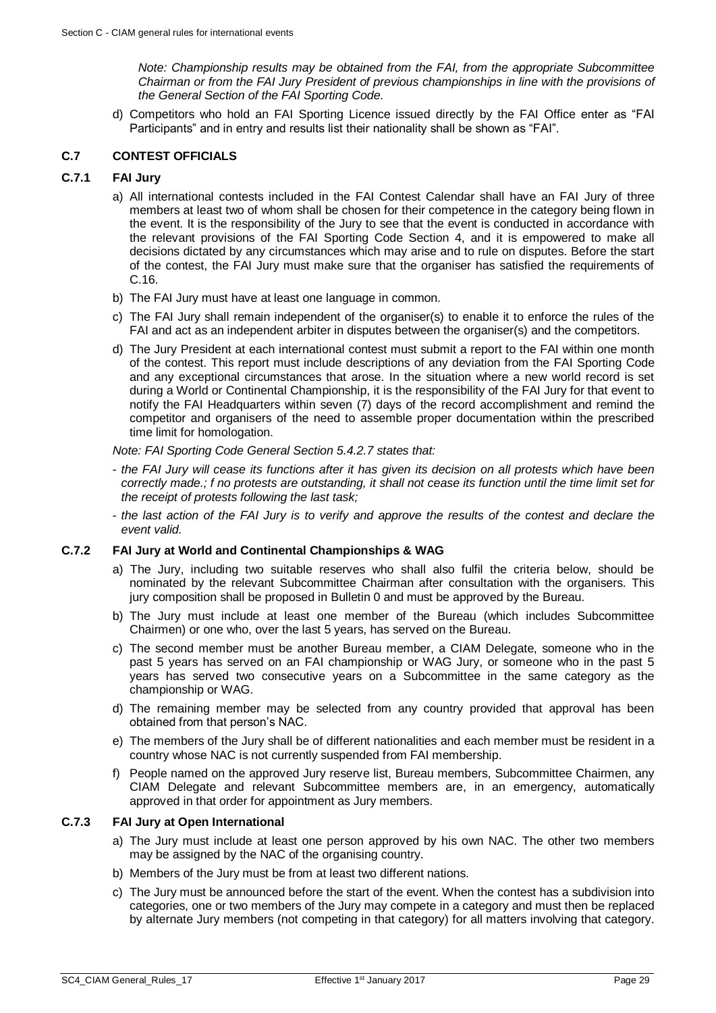*Note: Championship results may be obtained from the FAI, from the appropriate Subcommittee Chairman or from the FAI Jury President of previous championships in line with the provisions of the General Section of the FAI Sporting Code.*

d) Competitors who hold an FAI Sporting Licence issued directly by the FAI Office enter as "FAI Participants" and in entry and results list their nationality shall be shown as "FAI".

# <span id="page-28-0"></span>**C.7 CONTEST OFFICIALS**

# <span id="page-28-2"></span>**C.7.1 FAI Jury**

- a) All international contests included in the FAI Contest Calendar shall have an FAI Jury of three members at least two of whom shall be chosen for their competence in the category being flown in the event. It is the responsibility of the Jury to see that the event is conducted in accordance with the relevant provisions of the FAI Sporting Code Section 4, and it is empowered to make all decisions dictated by any circumstances which may arise and to rule on disputes. Before the start of the contest, the FAI Jury must make sure that the organiser has satisfied the requirements of [C.16.](#page-39-0)
- b) The FAI Jury must have at least one language in common.
- c) The FAI Jury shall remain independent of the organiser(s) to enable it to enforce the rules of the FAI and act as an independent arbiter in disputes between the organiser(s) and the competitors.
- d) The Jury President at each international contest must submit a report to the FAI within one month of the contest. This report must include descriptions of any deviation from the FAI Sporting Code and any exceptional circumstances that arose. In the situation where a new world record is set during a World or Continental Championship, it is the responsibility of the FAI Jury for that event to notify the FAI Headquarters within seven (7) days of the record accomplishment and remind the competitor and organisers of the need to assemble proper documentation within the prescribed time limit for homologation.

*Note: FAI Sporting Code General Section 5.4.2.7 states that:*

- *the FAI Jury will cease its functions after it has given its decision on all protests which have been correctly made.; f no protests are outstanding, it shall not cease its function until the time limit set for the receipt of protests following the last task;*
- *the last action of the FAI Jury is to verify and approve the results of the contest and declare the event valid.*

# **C.7.2 FAI Jury at World and Continental Championships & WAG**

- a) The Jury, including two suitable reserves who shall also fulfil the criteria below, should be nominated by the relevant Subcommittee Chairman after consultation with the organisers. This jury composition shall be proposed in Bulletin 0 and must be approved by the Bureau.
- b) The Jury must include at least one member of the Bureau (which includes Subcommittee Chairmen) or one who, over the last 5 years, has served on the Bureau.
- c) The second member must be another Bureau member, a CIAM Delegate, someone who in the past 5 years has served on an FAI championship or WAG Jury, or someone who in the past 5 years has served two consecutive years on a Subcommittee in the same category as the championship or WAG.
- d) The remaining member may be selected from any country provided that approval has been obtained from that person's NAC.
- e) The members of the Jury shall be of different nationalities and each member must be resident in a country whose NAC is not currently suspended from FAI membership.
- f) People named on the approved Jury reserve list, Bureau members, Subcommittee Chairmen, any CIAM Delegate and relevant Subcommittee members are, in an emergency, automatically approved in that order for appointment as Jury members.

# <span id="page-28-1"></span>**C.7.3 FAI Jury at Open International**

- a) The Jury must include at least one person approved by his own NAC. The other two members may be assigned by the NAC of the organising country.
- b) Members of the Jury must be from at least two different nations.
- c) The Jury must be announced before the start of the event. When the contest has a subdivision into categories, one or two members of the Jury may compete in a category and must then be replaced by alternate Jury members (not competing in that category) for all matters involving that category.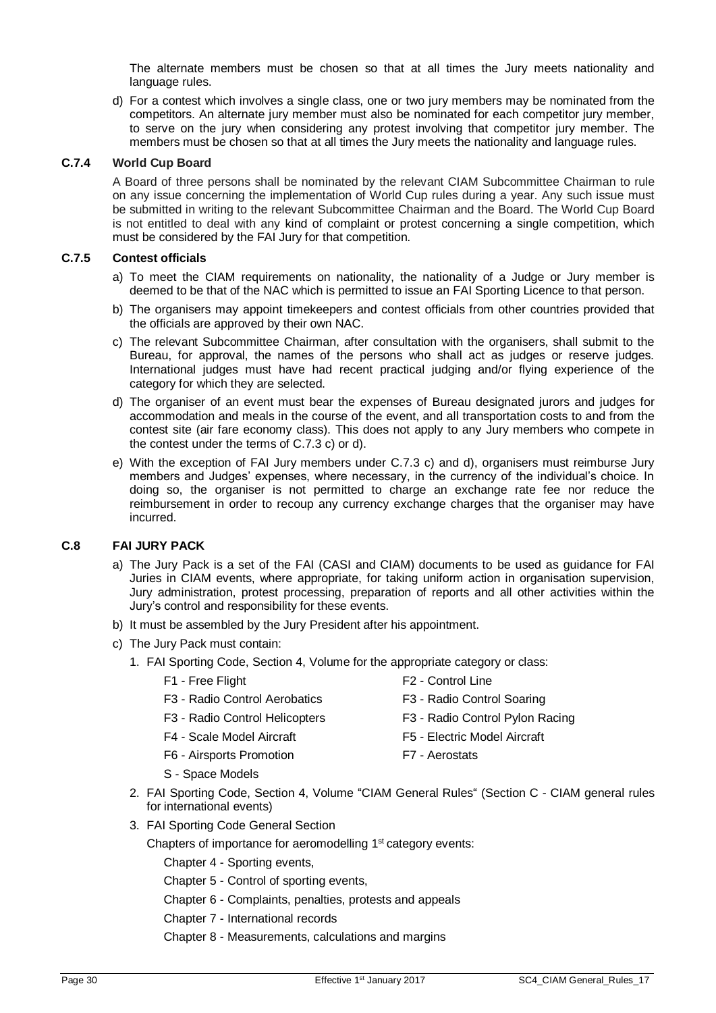The alternate members must be chosen so that at all times the Jury meets nationality and language rules.

d) For a contest which involves a single class, one or two jury members may be nominated from the competitors. An alternate jury member must also be nominated for each competitor jury member, to serve on the jury when considering any protest involving that competitor jury member. The members must be chosen so that at all times the Jury meets the nationality and language rules.

#### **C.7.4 World Cup Board**

A Board of three persons shall be nominated by the relevant CIAM Subcommittee Chairman to rule on any issue concerning the implementation of World Cup rules during a year. Any such issue must be submitted in writing to the relevant Subcommittee Chairman and the Board. The World Cup Board is not entitled to deal with any kind of complaint or protest concerning a single competition, which must be considered by the FAI Jury for that competition.

# **C.7.5 Contest officials**

- a) To meet the CIAM requirements on nationality, the nationality of a Judge or Jury member is deemed to be that of the NAC which is permitted to issue an FAI Sporting Licence to that person.
- b) The organisers may appoint timekeepers and contest officials from other countries provided that the officials are approved by their own NAC.
- c) The relevant Subcommittee Chairman, after consultation with the organisers, shall submit to the Bureau, for approval, the names of the persons who shall act as judges or reserve judges. International judges must have had recent practical judging and/or flying experience of the category for which they are selected.
- d) The organiser of an event must bear the expenses of Bureau designated jurors and judges for accommodation and meals in the course of the event, and all transportation costs to and from the contest site (air fare economy class). This does not apply to any Jury members who compete in the contest under the terms of [C.7.3](#page-28-1) c) or d).
- e) With the exception of FAI Jury members under [C.7.3](#page-28-1) c) and d), organisers must reimburse Jury members and Judges' expenses, where necessary, in the currency of the individual's choice. In doing so, the organiser is not permitted to charge an exchange rate fee nor reduce the reimbursement in order to recoup any currency exchange charges that the organiser may have incurred.

# <span id="page-29-0"></span>**C.8 FAI JURY PACK**

- a) The Jury Pack is a set of the FAI (CASI and CIAM) documents to be used as guidance for FAI Juries in CIAM events, where appropriate, for taking uniform action in organisation supervision, Jury administration, protest processing, preparation of reports and all other activities within the Jury's control and responsibility for these events.
- b) It must be assembled by the Jury President after his appointment.
- c) The Jury Pack must contain:
	- 1. FAI Sporting Code, Section 4, Volume for the appropriate category or class:
		-
		- F1 Free Flight F2 Control Line
		- F3 Radio Control Aerobatics F3 Radio Control Soaring
			-
		- F3 Radio Control Helicopters F3 Radio Control Pylon Racing
		- F4 Scale Model Aircraft F5 Electric Model Aircraft
		- F6 Airsports Promotion F7 Aerostats
		- S Space Models
	- 2. FAI Sporting Code, Section 4, Volume "CIAM General Rules" (Section C CIAM general rules for international events)
	- 3. FAI Sporting Code General Section
		- Chapters of importance for aeromodelling 1<sup>st</sup> category events:
			- Chapter 4 Sporting events,
			- Chapter 5 Control of sporting events,
			- Chapter 6 Complaints, penalties, protests and appeals
			- Chapter 7 International records
			- Chapter 8 Measurements, calculations and margins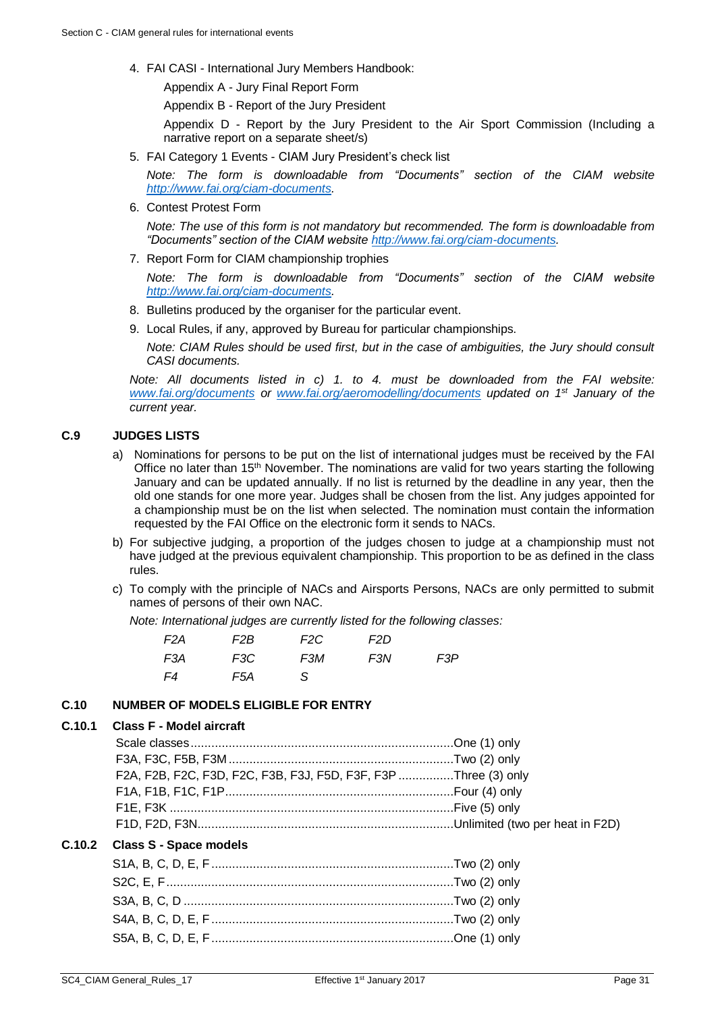4. FAI CASI - International Jury Members Handbook:

Appendix A - Jury Final Report Form

Appendix B - Report of the Jury President

Appendix D - Report by the Jury President to the Air Sport Commission (Including a narrative report on a separate sheet/s)

5. FAI Category 1 Events - CIAM Jury President's check list

*Note: The form is downloadable from "Documents" section of the CIAM website [http://www.fai.org/ciam-documents.](http://www.fai.org/ciam-documents)* 

6. Contest Protest Form

*Note: The use of this form is not mandatory but recommended. The form is downloadable from "Documents" section of the CIAM website [http://www.fai.org/ciam-documents.](http://www.fai.org/ciam-documents)* 

7. Report Form for CIAM championship trophies

*Note: The form is downloadable from "Documents" section of the CIAM website [http://www.fai.org/ciam-documents.](http://www.fai.org/ciam-documents)* 

- 8. Bulletins produced by the organiser for the particular event.
- 9. Local Rules, if any, approved by Bureau for particular championships.

*Note: CIAM Rules should be used first, but in the case of ambiguities, the Jury should consult CASI documents.*

*Note: All documents listed in c) 1. to 4. must be downloaded from the FAI website: [www.fai.org/documents](http://www.fai.org/documents) or [www.fai.org/aeromodelling/documents](http://www.fai.org/aeromodelling/documents) updated on 1st January of the current year.* 

# <span id="page-30-0"></span>**C.9 JUDGES LISTS**

- a) Nominations for persons to be put on the list of international judges must be received by the FAI Office no later than 15<sup>th</sup> November. The nominations are valid for two years starting the following January and can be updated annually. If no list is returned by the deadline in any year, then the old one stands for one more year. Judges shall be chosen from the list. Any judges appointed for a championship must be on the list when selected. The nomination must contain the information requested by the FAI Office on the electronic form it sends to NACs.
- b) For subjective judging, a proportion of the judges chosen to judge at a championship must not have judged at the previous equivalent championship. This proportion to be as defined in the class rules.
- c) To comply with the principle of NACs and Airsports Persons, NACs are only permitted to submit names of persons of their own NAC.

*Note: International judges are currently listed for the following classes:*

| F2A | F2B | F2C | F2D |     |
|-----|-----|-----|-----|-----|
| F3A | F3C | F3M | F3N | F3P |
| F4  | F5A | -S  |     |     |

# <span id="page-30-1"></span>**C.10 NUMBER OF MODELS ELIGIBLE FOR ENTRY**

# **C.10.1 Class F - Model aircraft**

| F2A, F2B, F2C, F3D, F2C, F3B, F3J, F5D, F3F, F3P Three (3) only |  |
|-----------------------------------------------------------------|--|
|                                                                 |  |
|                                                                 |  |
|                                                                 |  |

# **C.10.2 Class S - Space models**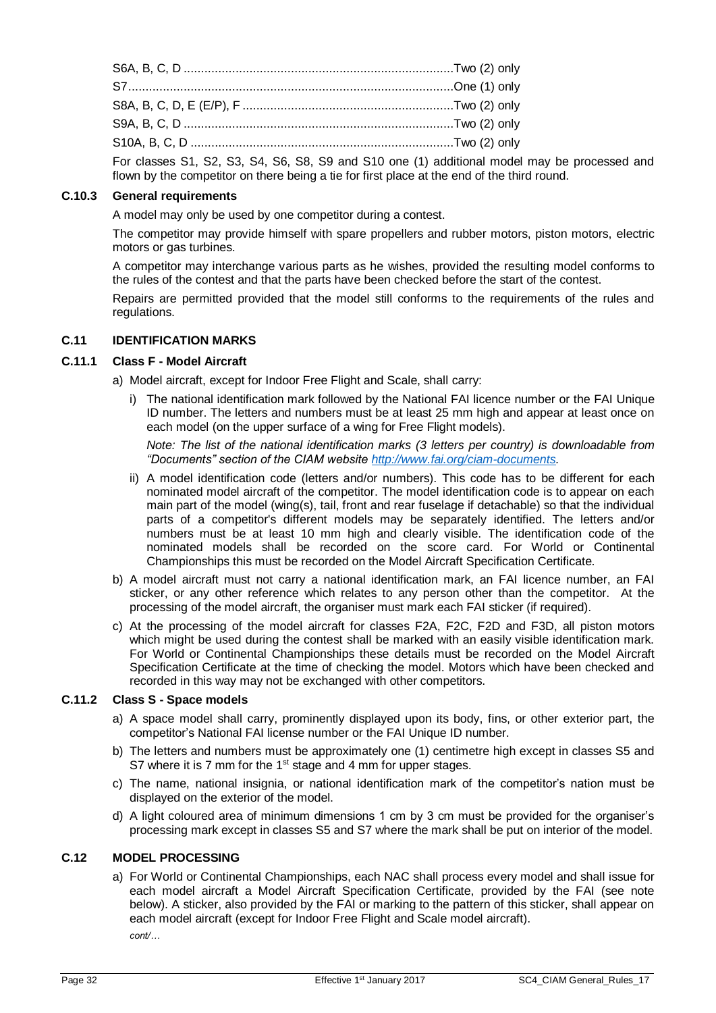| For classes S1, S2, S4, S6, S8, S9 and S10 one (1) additional model |  |
|---------------------------------------------------------------------|--|

es S1, S2, S3, S4, S6, S8, S9 and S10 one (1) additional model may be processed and flown by the competitor on there being a tie for first place at the end of the third round.

# **C.10.3 General requirements**

A model may only be used by one competitor during a contest.

The competitor may provide himself with spare propellers and rubber motors, piston motors, electric motors or gas turbines.

A competitor may interchange various parts as he wishes, provided the resulting model conforms to the rules of the contest and that the parts have been checked before the start of the contest.

Repairs are permitted provided that the model still conforms to the requirements of the rules and regulations.

# <span id="page-31-0"></span>**C.11 IDENTIFICATION MARKS**

#### **C.11.1 Class F - Model Aircraft**

a) Model aircraft, except for Indoor Free Flight and Scale, shall carry:

i) The national identification mark followed by the National FAI licence number or the FAI Unique ID number. The letters and numbers must be at least 25 mm high and appear at least once on each model (on the upper surface of a wing for Free Flight models).

*Note: The list of the national identification marks (3 letters per country) is downloadable from "Documents" section of the CIAM website [http://www.fai.org/ciam-documents.](http://www.fai.org/ciam-documents)*

- ii) A model identification code (letters and/or numbers). This code has to be different for each nominated model aircraft of the competitor. The model identification code is to appear on each main part of the model (wing(s), tail, front and rear fuselage if detachable) so that the individual parts of a competitor's different models may be separately identified. The letters and/or numbers must be at least 10 mm high and clearly visible. The identification code of the nominated models shall be recorded on the score card. For World or Continental Championships this must be recorded on the Model Aircraft Specification Certificate.
- b) A model aircraft must not carry a national identification mark, an FAI licence number, an FAI sticker, or any other reference which relates to any person other than the competitor. At the processing of the model aircraft, the organiser must mark each FAI sticker (if required).
- c) At the processing of the model aircraft for classes F2A, F2C, F2D and F3D, all piston motors which might be used during the contest shall be marked with an easily visible identification mark. For World or Continental Championships these details must be recorded on the Model Aircraft Specification Certificate at the time of checking the model. Motors which have been checked and recorded in this way may not be exchanged with other competitors.

# **C.11.2 Class S - Space models**

- a) A space model shall carry, prominently displayed upon its body, fins, or other exterior part, the competitor's National FAI license number or the FAI Unique ID number.
- b) The letters and numbers must be approximately one (1) centimetre high except in classes S5 and S7 where it is 7 mm for the  $1<sup>st</sup>$  stage and 4 mm for upper stages.
- c) The name, national insignia, or national identification mark of the competitor's nation must be displayed on the exterior of the model.
- d) A light coloured area of minimum dimensions 1 cm by 3 cm must be provided for the organiser's processing mark except in classes S5 and S7 where the mark shall be put on interior of the model.

# <span id="page-31-1"></span>**C.12 MODEL PROCESSING**

a) For World or Continental Championships, each NAC shall process every model and shall issue for each model aircraft a Model Aircraft Specification Certificate, provided by the FAI (see note below). A sticker, also provided by the FAI or marking to the pattern of this sticker, shall appear on each model aircraft (except for Indoor Free Flight and Scale model aircraft). *cont/…*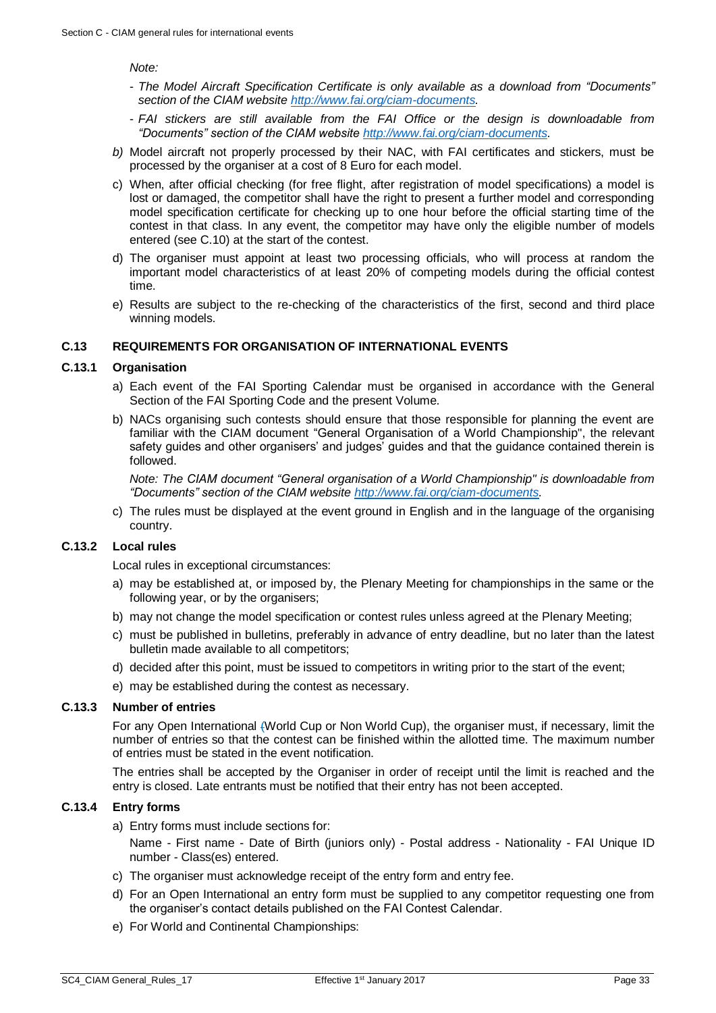#### *Note:*

- *The Model Aircraft Specification Certificate is only available as a download from "Documents" section of the CIAM websit[e http://www.fai.org/ciam-documents.](http://www.fai.org/ciam-documents)*
- *FAI stickers are still available from the FAI Office or the design is downloadable from "Documents" section of the CIAM website [http://www.fai.org/ciam-documents.](http://www.fai.org/ciam-documents)*
- *b)* Model aircraft not properly processed by their NAC, with FAI certificates and stickers, must be processed by the organiser at a cost of 8 Euro for each model.
- c) When, after official checking (for free flight, after registration of model specifications) a model is lost or damaged, the competitor shall have the right to present a further model and corresponding model specification certificate for checking up to one hour before the official starting time of the contest in that class. In any event, the competitor may have only the eligible number of models entered (see [C.10\)](#page-30-1) at the start of the contest.
- d) The organiser must appoint at least two processing officials, who will process at random the important model characteristics of at least 20% of competing models during the official contest time.
- e) Results are subject to the re-checking of the characteristics of the first, second and third place winning models.

#### <span id="page-32-0"></span>**C.13 REQUIREMENTS FOR ORGANISATION OF INTERNATIONAL EVENTS**

#### <span id="page-32-1"></span>**C.13.1 Organisation**

- a) Each event of the FAI Sporting Calendar must be organised in accordance with the General Section of the FAI Sporting Code and the present Volume.
- b) NACs organising such contests should ensure that those responsible for planning the event are familiar with the CIAM document "General Organisation of a World Championship", the relevant safety guides and other organisers' and judges' guides and that the guidance contained therein is followed.

*Note: The CIAM document "General organisation of a World Championship" is downloadable from "Documents" section of the CIAM website [http://www.fai.org/ciam-documents.](http://www.fai.org/ciam-documents)* 

c) The rules must be displayed at the event ground in English and in the language of the organising country.

# **C.13.2 Local rules**

Local rules in exceptional circumstances:

- a) may be established at, or imposed by, the Plenary Meeting for championships in the same or the following year, or by the organisers;
- b) may not change the model specification or contest rules unless agreed at the Plenary Meeting;
- c) must be published in bulletins, preferably in advance of entry deadline, but no later than the latest bulletin made available to all competitors;
- d) decided after this point, must be issued to competitors in writing prior to the start of the event;
- e) may be established during the contest as necessary.

#### **C.13.3 Number of entries**

For any Open International (World Cup or Non World Cup), the organiser must, if necessary, limit the number of entries so that the contest can be finished within the allotted time. The maximum number of entries must be stated in the event notification.

The entries shall be accepted by the Organiser in order of receipt until the limit is reached and the entry is closed. Late entrants must be notified that their entry has not been accepted.

#### **C.13.4 Entry forms**

a) Entry forms must include sections for:

Name - First name - Date of Birth (juniors only) - Postal address - Nationality - FAI Unique ID number - Class(es) entered.

- c) The organiser must acknowledge receipt of the entry form and entry fee.
- d) For an Open International an entry form must be supplied to any competitor requesting one from the organiser's contact details published on the FAI Contest Calendar.
- e) For World and Continental Championships: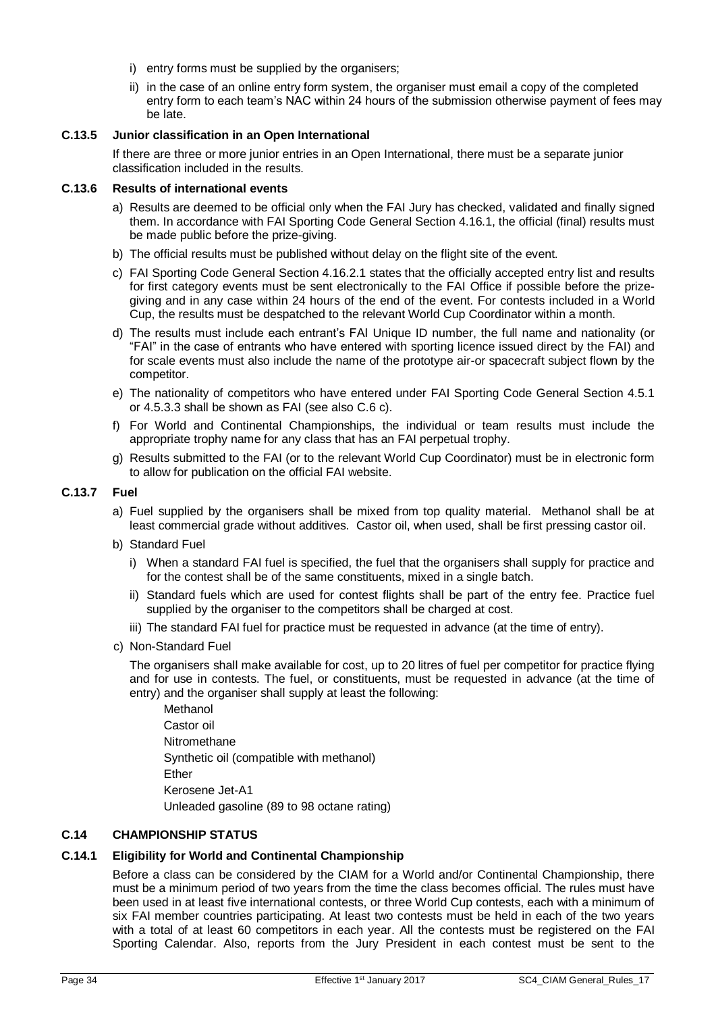- i) entry forms must be supplied by the organisers:
- ii) in the case of an online entry form system, the organiser must email a copy of the completed entry form to each team's NAC within 24 hours of the submission otherwise payment of fees may be late.

# **C.13.5 Junior classification in an Open International**

If there are three or more junior entries in an Open International, there must be a separate junior classification included in the results.

# <span id="page-33-1"></span>**C.13.6 Results of international events**

- a) Results are deemed to be official only when the FAI Jury has checked, validated and finally signed them. In accordance with FAI Sporting Code General Section 4.16.1, the official (final) results must be made public before the prize-giving.
- b) The official results must be published without delay on the flight site of the event.
- c) FAI Sporting Code General Section 4.16.2.1 states that the officially accepted entry list and results for first category events must be sent electronically to the FAI Office if possible before the prizegiving and in any case within 24 hours of the end of the event. For contests included in a World Cup, the results must be despatched to the relevant World Cup Coordinator within a month.
- d) The results must include each entrant's FAI Unique ID number, the full name and nationality (or "FAI" in the case of entrants who have entered with sporting licence issued direct by the FAI) and for scale events must also include the name of the prototype air-or spacecraft subject flown by the competitor.
- e) The nationality of competitors who have entered under FAI Sporting Code General Section 4.5.1 or 4.5.3.3 shall be shown as FAI (see als[o C.6](#page-27-0) c).
- f) For World and Continental Championships, the individual or team results must include the appropriate trophy name for any class that has an FAI perpetual trophy.
- g) Results submitted to the FAI (or to the relevant World Cup Coordinator) must be in electronic form to allow for publication on the official FAI website.

# **C.13.7 Fuel**

- a) Fuel supplied by the organisers shall be mixed from top quality material. Methanol shall be at least commercial grade without additives. Castor oil, when used, shall be first pressing castor oil.
- b) Standard Fuel
	- i) When a standard FAI fuel is specified, the fuel that the organisers shall supply for practice and for the contest shall be of the same constituents, mixed in a single batch.
	- ii) Standard fuels which are used for contest flights shall be part of the entry fee. Practice fuel supplied by the organiser to the competitors shall be charged at cost.
	- iii) The standard FAI fuel for practice must be requested in advance (at the time of entry).
- c) Non-Standard Fuel

The organisers shall make available for cost, up to 20 litres of fuel per competitor for practice flying and for use in contests. The fuel, or constituents, must be requested in advance (at the time of entry) and the organiser shall supply at least the following:

Methanol Castor oil Nitromethane Synthetic oil (compatible with methanol) Ether Kerosene Jet-A1 Unleaded gasoline (89 to 98 octane rating)

# <span id="page-33-0"></span>**C.14 CHAMPIONSHIP STATUS**

# **C.14.1 Eligibility for World and Continental Championship**

Before a class can be considered by the CIAM for a World and/or Continental Championship, there must be a minimum period of two years from the time the class becomes official. The rules must have been used in at least five international contests, or three World Cup contests, each with a minimum of six FAI member countries participating. At least two contests must be held in each of the two years with a total of at least 60 competitors in each year. All the contests must be registered on the FAI Sporting Calendar. Also, reports from the Jury President in each contest must be sent to the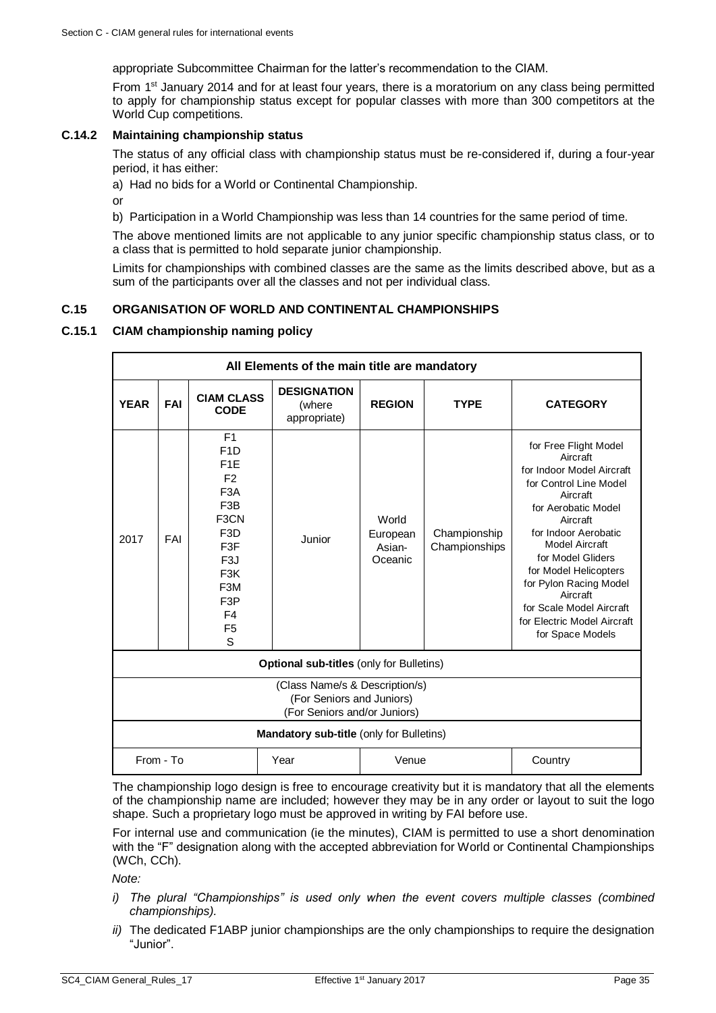appropriate Subcommittee Chairman for the latter's recommendation to the CIAM.

From 1st January 2014 and for at least four years, there is a moratorium on any class being permitted to apply for championship status except for popular classes with more than 300 competitors at the World Cup competitions.

# **C.14.2 Maintaining championship status**

The status of any official class with championship status must be re-considered if, during a four-year period, it has either:

a) Had no bids for a World or Continental Championship.

or

b) Participation in a World Championship was less than 14 countries for the same period of time.

The above mentioned limits are not applicable to any junior specific championship status class, or to a class that is permitted to hold separate junior championship.

Limits for championships with combined classes are the same as the limits described above, but as a sum of the participants over all the classes and not per individual class.

# <span id="page-34-0"></span>**C.15 ORGANISATION OF WORLD AND CONTINENTAL CHAMPIONSHIPS**

# **C.15.1 CIAM championship naming policy**

| All Elements of the main title are mandatory                                                |            |                                                                                                                                                                                                                                                                               |                                              |                                        |                               |                                                                                                                                                                                                                                                                                                                                                      |  |  |
|---------------------------------------------------------------------------------------------|------------|-------------------------------------------------------------------------------------------------------------------------------------------------------------------------------------------------------------------------------------------------------------------------------|----------------------------------------------|----------------------------------------|-------------------------------|------------------------------------------------------------------------------------------------------------------------------------------------------------------------------------------------------------------------------------------------------------------------------------------------------------------------------------------------------|--|--|
| <b>YEAR</b>                                                                                 | <b>FAI</b> | <b>CIAM CLASS</b><br><b>CODE</b>                                                                                                                                                                                                                                              | <b>DESIGNATION</b><br>(where<br>appropriate) | <b>REGION</b>                          | <b>TYPE</b>                   | <b>CATEGORY</b>                                                                                                                                                                                                                                                                                                                                      |  |  |
| 2017                                                                                        | FAI        | F <sub>1</sub><br>F <sub>1</sub> D<br>F <sub>1</sub> E<br>F <sub>2</sub><br>F <sub>3</sub> A<br>F <sub>3</sub> B<br>F <sub>3</sub> CN<br>F <sub>3</sub> D<br>F3F<br>F <sub>3</sub> J<br>F <sub>3</sub> K<br>F <sub>3</sub> M<br>F <sub>3</sub> P<br>F4<br>F <sub>5</sub><br>S | Junior                                       | World<br>European<br>Asian-<br>Oceanic | Championship<br>Championships | for Free Flight Model<br>Aircraft<br>for Indoor Model Aircraft<br>for Control Line Model<br>Aircraft<br>for Aerobatic Model<br>Aircraft<br>for Indoor Aerobatic<br>Model Aircraft<br>for Model Gliders<br>for Model Helicopters<br>for Pylon Racing Model<br>Aircraft<br>for Scale Model Aircraft<br>for Electric Model Aircraft<br>for Space Models |  |  |
| <b>Optional sub-titles (only for Bulletins)</b>                                             |            |                                                                                                                                                                                                                                                                               |                                              |                                        |                               |                                                                                                                                                                                                                                                                                                                                                      |  |  |
| (Class Name/s & Description/s)<br>(For Seniors and Juniors)<br>(For Seniors and/or Juniors) |            |                                                                                                                                                                                                                                                                               |                                              |                                        |                               |                                                                                                                                                                                                                                                                                                                                                      |  |  |
| Mandatory sub-title (only for Bulletins)                                                    |            |                                                                                                                                                                                                                                                                               |                                              |                                        |                               |                                                                                                                                                                                                                                                                                                                                                      |  |  |
| From - To                                                                                   |            |                                                                                                                                                                                                                                                                               | Year                                         | Venue                                  |                               | Country                                                                                                                                                                                                                                                                                                                                              |  |  |

The championship logo design is free to encourage creativity but it is mandatory that all the elements of the championship name are included; however they may be in any order or layout to suit the logo shape. Such a proprietary logo must be approved in writing by FAI before use.

For internal use and communication (ie the minutes), CIAM is permitted to use a short denomination with the "F" designation along with the accepted abbreviation for World or Continental Championships (WCh, CCh).

*Note:*

- *i) The plural "Championships" is used only when the event covers multiple classes (combined championships).*
- *ii)* The dedicated F1ABP junior championships are the only championships to require the designation "Junior".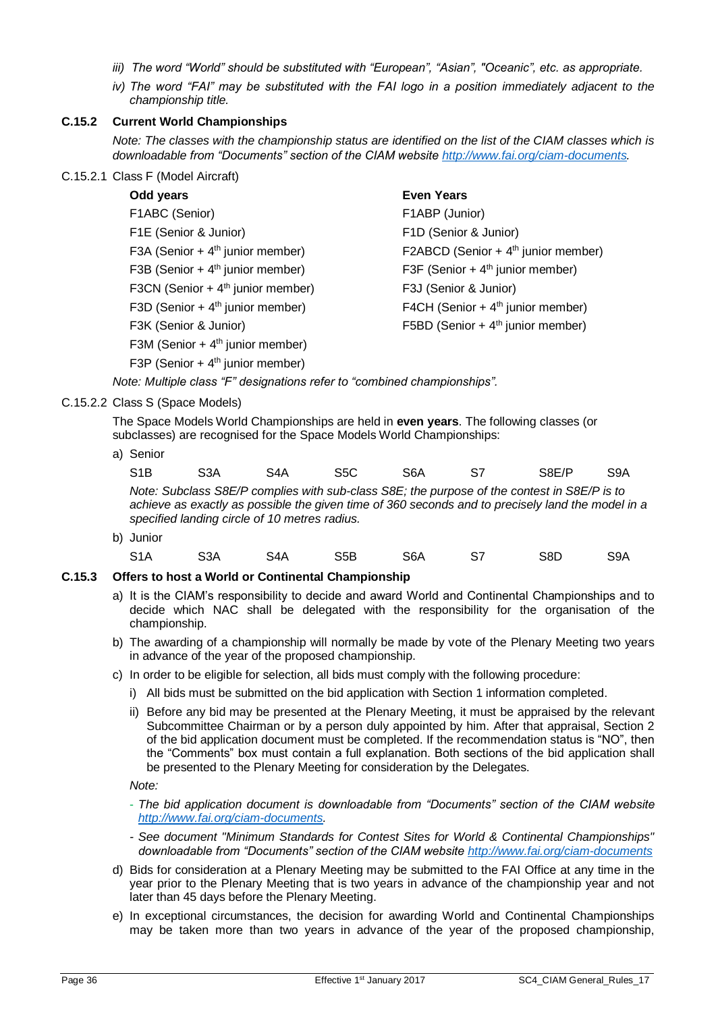- *iii) The word "World" should be substituted with "European", "Asian", "Oceanic", etc. as appropriate.*
- *iv) The word "FAI" may be substituted with the FAI logo in a position immediately adjacent to the championship title.*

# <span id="page-35-0"></span>**C.15.2 Current World Championships**

*Note: The classes with the championship status are identified on the list of the CIAM classes which is downloadable from "Documents" section of the CIAM website [http://www.fai.org/ciam-documents.](http://www.fai.org/ciam-documents)*

C.15.2.1 Class F (Model Aircraft)

| Odd years                                    | <b>Even Years</b>                               |
|----------------------------------------------|-------------------------------------------------|
| F1ABC (Senior)                               | F1ABP (Junior)                                  |
| F1E (Senior & Junior)                        | F1D (Senior & Junior)                           |
| F3A (Senior + $4th$ junior member)           | F2ABCD (Senior + 4 <sup>th</sup> junior member) |
| F3B (Senior + 4 <sup>th</sup> junior member) | F3F (Senior + $4th$ junior member)              |
| F3CN (Senior + $4th$ junior member)          | F3J (Senior & Junior)                           |
| F3D (Senior + $4th$ junior member)           | F4CH (Senior + $4th$ junior member)             |
| F3K (Senior & Junior)                        | F5BD (Senior + $4th$ junior member)             |
| F3M (Senior + $4th$ junior member)           |                                                 |
| F3P (Senior + $4th$ junior member)           |                                                 |

*Note: Multiple class "F" designations refer to "combined championships".*

C.15.2.2 Class S (Space Models)

The Space Models World Championships are held in **even years**. The following classes (or subclasses) are recognised for the Space Models World Championships:

a) Senior

| S1B<br>S8E/P<br>S5C<br>S6A<br>S3A<br>S4A | S9A |
|------------------------------------------|-----|
|------------------------------------------|-----|

*Note: Subclass S8E/P complies with sub-class S8E; the purpose of the contest in S8E/P is to achieve as exactly as possible the given time of 360 seconds and to precisely land the model in a specified landing circle of 10 metres radius.*

b) Junior S1A S3A S4A S5B S6A S7 S8D S9A

# **C.15.3 Offers to host a World or Continental Championship**

- a) It is the CIAM's responsibility to decide and award World and Continental Championships and to decide which NAC shall be delegated with the responsibility for the organisation of the championship.
- b) The awarding of a championship will normally be made by vote of the Plenary Meeting two years in advance of the year of the proposed championship.
- c) In order to be eligible for selection, all bids must comply with the following procedure:
	- i) All bids must be submitted on the bid application with Section 1 information completed.
	- ii) Before any bid may be presented at the Plenary Meeting, it must be appraised by the relevant Subcommittee Chairman or by a person duly appointed by him. After that appraisal, Section 2 of the bid application document must be completed. If the recommendation status is "NO", then the "Comments" box must contain a full explanation. Both sections of the bid application shall be presented to the Plenary Meeting for consideration by the Delegates.

*Note:* 

- *The bid application document is downloadable from "Documents" section of the CIAM website [http://www.fai.org/ciam-documents.](http://www.fai.org/ciam-documents)*

- *- See document "Minimum Standards for Contest Sites for World & Continental Championships" downloadable from "Documents" section of the CIAM website <http://www.fai.org/ciam-documents>*
- d) Bids for consideration at a Plenary Meeting may be submitted to the FAI Office at any time in the year prior to the Plenary Meeting that is two years in advance of the championship year and not later than 45 days before the Plenary Meeting.
- e) In exceptional circumstances, the decision for awarding World and Continental Championships may be taken more than two years in advance of the year of the proposed championship,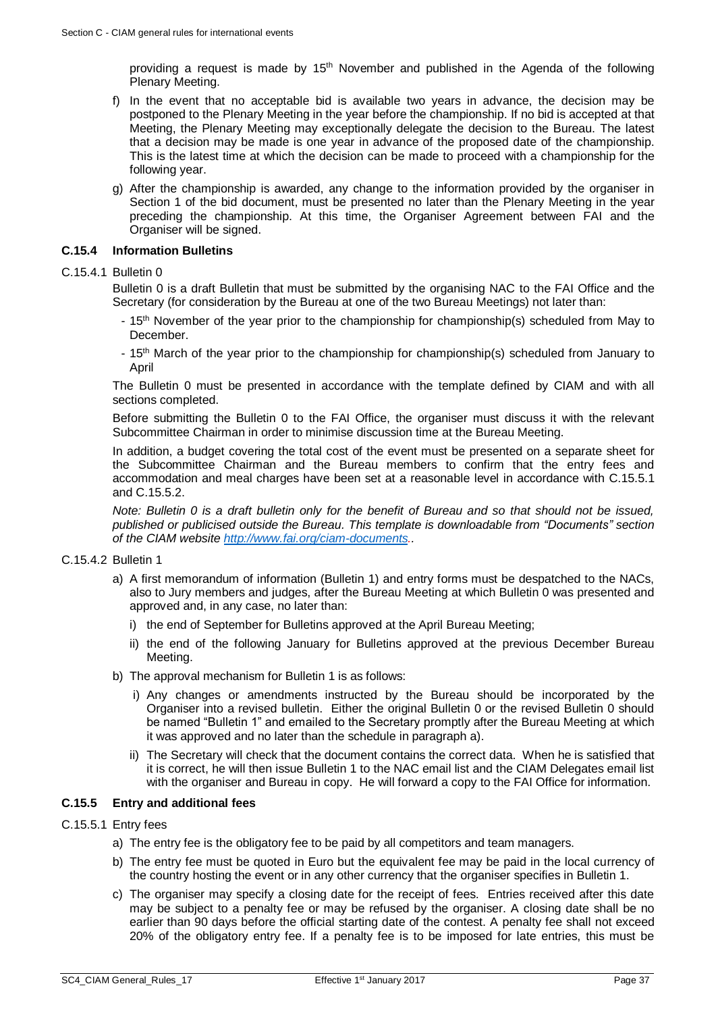providing a request is made by  $15<sup>th</sup>$  November and published in the Agenda of the following Plenary Meeting.

- f) In the event that no acceptable bid is available two years in advance, the decision may be postponed to the Plenary Meeting in the year before the championship. If no bid is accepted at that Meeting, the Plenary Meeting may exceptionally delegate the decision to the Bureau. The latest that a decision may be made is one year in advance of the proposed date of the championship. This is the latest time at which the decision can be made to proceed with a championship for the following year.
- g) After the championship is awarded, any change to the information provided by the organiser in Section 1 of the bid document, must be presented no later than the Plenary Meeting in the year preceding the championship. At this time, the Organiser Agreement between FAI and the Organiser will be signed.

# **C.15.4 Information Bulletins**

#### C.15.4.1 Bulletin 0

Bulletin 0 is a draft Bulletin that must be submitted by the organising NAC to the FAI Office and the Secretary (for consideration by the Bureau at one of the two Bureau Meetings) not later than:

- 15<sup>th</sup> November of the year prior to the championship for championship(s) scheduled from May to December.
- 15th March of the year prior to the championship for championship(s) scheduled from January to April

The Bulletin 0 must be presented in accordance with the template defined by CIAM and with all sections completed.

Before submitting the Bulletin 0 to the FAI Office, the organiser must discuss it with the relevant Subcommittee Chairman in order to minimise discussion time at the Bureau Meeting.

In addition, a budget covering the total cost of the event must be presented on a separate sheet for the Subcommittee Chairman and the Bureau members to confirm that the entry fees and accommodation and meal charges have been set at a reasonable level in accordance with [C.15.5.1](#page-36-0) and [C.15.5.2.](#page-37-0)

*Note: Bulletin 0 is a draft bulletin only for the benefit of Bureau and so that should not be issued, published or publicised outside the Bureau. This template is downloadable from "Documents" section of the CIAM website [http://www.fai.org/ciam-documents.](http://www.fai.org/ciam-documents).*

#### C.15.4.2 Bulletin 1

- a) A first memorandum of information (Bulletin 1) and entry forms must be despatched to the NACs, also to Jury members and judges, after the Bureau Meeting at which Bulletin 0 was presented and approved and, in any case, no later than:
	- i) the end of September for Bulletins approved at the April Bureau Meeting;
	- ii) the end of the following January for Bulletins approved at the previous December Bureau Meeting.
- b) The approval mechanism for Bulletin 1 is as follows:
	- i) Any changes or amendments instructed by the Bureau should be incorporated by the Organiser into a revised bulletin. Either the original Bulletin 0 or the revised Bulletin 0 should be named "Bulletin 1" and emailed to the Secretary promptly after the Bureau Meeting at which it was approved and no later than the schedule in paragraph a).
	- ii) The Secretary will check that the document contains the correct data. When he is satisfied that it is correct, he will then issue Bulletin 1 to the NAC email list and the CIAM Delegates email list with the organiser and Bureau in copy. He will forward a copy to the FAI Office for information.

# **C.15.5 Entry and additional fees**

- <span id="page-36-0"></span>C.15.5.1 Entry fees
	- a) The entry fee is the obligatory fee to be paid by all competitors and team managers.
	- b) The entry fee must be quoted in Euro but the equivalent fee may be paid in the local currency of the country hosting the event or in any other currency that the organiser specifies in Bulletin 1.
	- c) The organiser may specify a closing date for the receipt of fees. Entries received after this date may be subject to a penalty fee or may be refused by the organiser. A closing date shall be no earlier than 90 days before the official starting date of the contest. A penalty fee shall not exceed 20% of the obligatory entry fee. If a penalty fee is to be imposed for late entries, this must be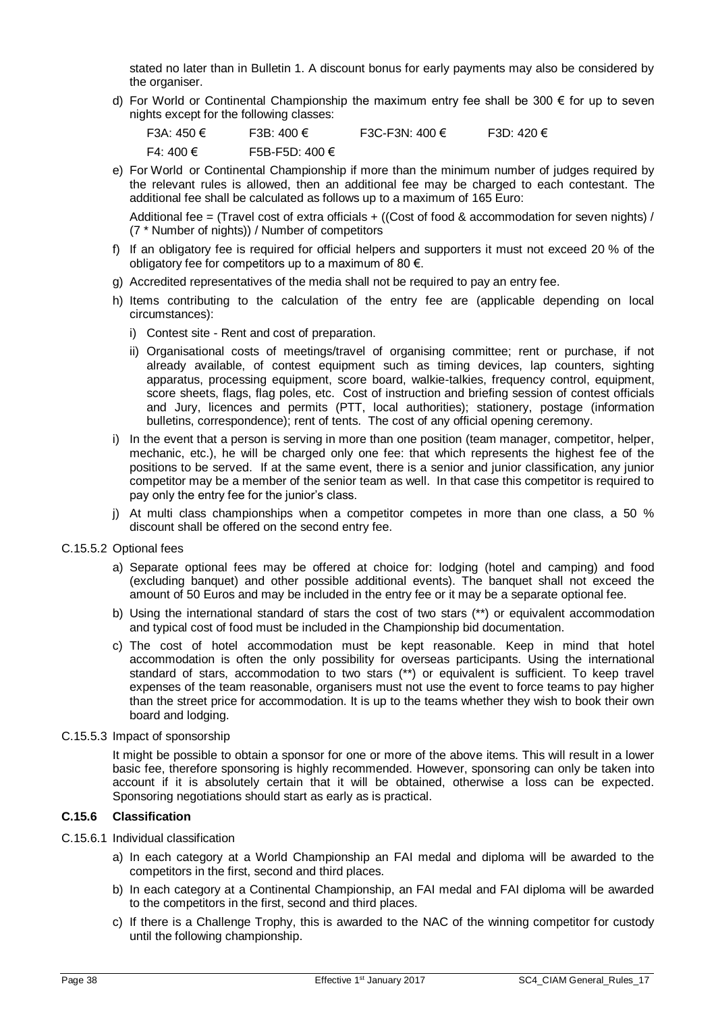stated no later than in Bulletin 1. A discount bonus for early payments may also be considered by the organiser.

d) For World or Continental Championship the maximum entry fee shall be 300  $\epsilon$  for up to seven nights except for the following classes:

| F3A: 450 $\in$ | F3B: $400 \in$ | F3C-F3N: 400 € | F3D: 420 $\in$ |
|----------------|----------------|----------------|----------------|
| F4: 400 €      | F5B-F5D: 400 € |                |                |

e) For World or Continental Championship if more than the minimum number of judges required by the relevant rules is allowed, then an additional fee may be charged to each contestant. The additional fee shall be calculated as follows up to a maximum of 165 Euro:

Additional fee = (Travel cost of extra officials + ((Cost of food & accommodation for seven nights) / (7 \* Number of nights)) / Number of competitors

- f) If an obligatory fee is required for official helpers and supporters it must not exceed 20 % of the obligatory fee for competitors up to a maximum of 80  $\epsilon$ .
- g) Accredited representatives of the media shall not be required to pay an entry fee.
- h) Items contributing to the calculation of the entry fee are (applicable depending on local circumstances):
	- i) Contest site Rent and cost of preparation.
	- ii) Organisational costs of meetings/travel of organising committee; rent or purchase, if not already available, of contest equipment such as timing devices, lap counters, sighting apparatus, processing equipment, score board, walkie-talkies, frequency control, equipment, score sheets, flags, flag poles, etc. Cost of instruction and briefing session of contest officials and Jury, licences and permits (PTT, local authorities); stationery, postage (information bulletins, correspondence); rent of tents. The cost of any official opening ceremony.
- i) In the event that a person is serving in more than one position (team manager, competitor, helper, mechanic, etc.), he will be charged only one fee: that which represents the highest fee of the positions to be served. If at the same event, there is a senior and junior classification, any junior competitor may be a member of the senior team as well. In that case this competitor is required to pay only the entry fee for the junior's class.
- j) At multi class championships when a competitor competes in more than one class, a 50 % discount shall be offered on the second entry fee.
- <span id="page-37-0"></span>C.15.5.2 Optional fees
	- a) Separate optional fees may be offered at choice for: lodging (hotel and camping) and food (excluding banquet) and other possible additional events). The banquet shall not exceed the amount of 50 Euros and may be included in the entry fee or it may be a separate optional fee.
	- b) Using the international standard of stars the cost of two stars (\*\*) or equivalent accommodation and typical cost of food must be included in the Championship bid documentation.
	- c) The cost of hotel accommodation must be kept reasonable. Keep in mind that hotel accommodation is often the only possibility for overseas participants. Using the international standard of stars, accommodation to two stars (\*\*) or equivalent is sufficient. To keep travel expenses of the team reasonable, organisers must not use the event to force teams to pay higher than the street price for accommodation. It is up to the teams whether they wish to book their own board and lodging.
- C.15.5.3 Impact of sponsorship

It might be possible to obtain a sponsor for one or more of the above items. This will result in a lower basic fee, therefore sponsoring is highly recommended. However, sponsoring can only be taken into account if it is absolutely certain that it will be obtained, otherwise a loss can be expected. Sponsoring negotiations should start as early as is practical.

# **C.15.6 Classification**

- C.15.6.1 Individual classification
	- a) In each category at a World Championship an FAI medal and diploma will be awarded to the competitors in the first, second and third places.
	- b) In each category at a Continental Championship, an FAI medal and FAI diploma will be awarded to the competitors in the first, second and third places.
	- c) If there is a Challenge Trophy, this is awarded to the NAC of the winning competitor for custody until the following championship.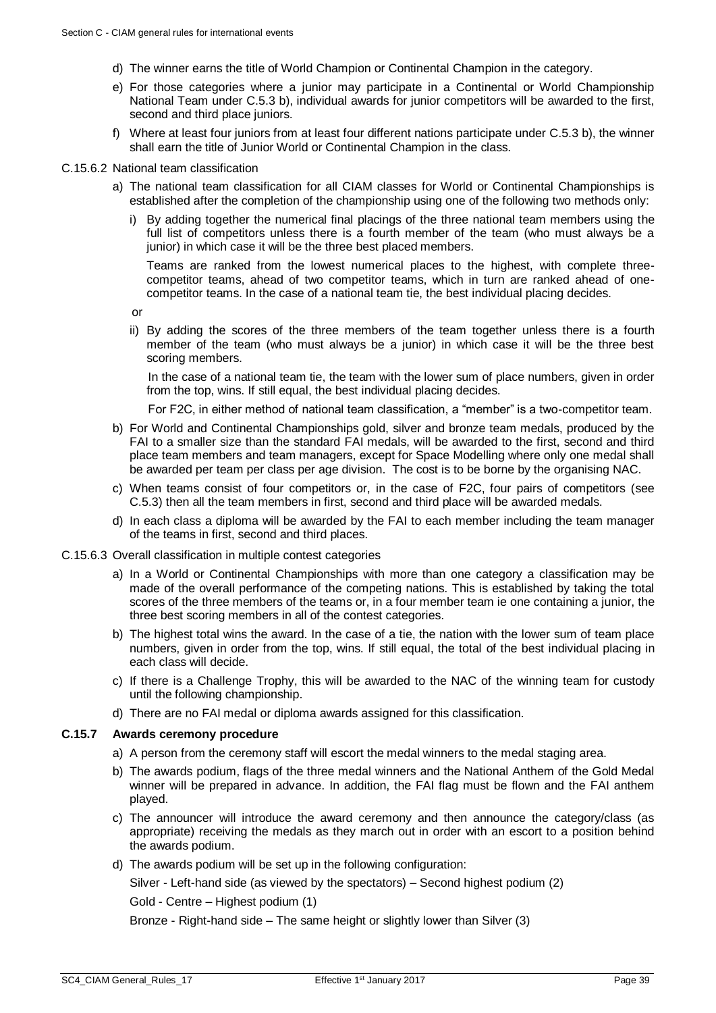- d) The winner earns the title of World Champion or Continental Champion in the category.
- e) For those categories where a junior may participate in a Continental or World Championship National Team under [C.5.3](#page-27-1) b), individual awards for junior competitors will be awarded to the first, second and third place juniors.
- f) Where at least four juniors from at least four different nations participate under [C.5.3](#page-27-1) b), the winner shall earn the title of Junior World or Continental Champion in the class.

#### C.15.6.2 National team classification

- a) The national team classification for all CIAM classes for World or Continental Championships is established after the completion of the championship using one of the following two methods only:
	- i) By adding together the numerical final placings of the three national team members using the full list of competitors unless there is a fourth member of the team (who must always be a junior) in which case it will be the three best placed members.

Teams are ranked from the lowest numerical places to the highest, with complete threecompetitor teams, ahead of two competitor teams, which in turn are ranked ahead of onecompetitor teams. In the case of a national team tie, the best individual placing decides.

or

ii) By adding the scores of the three members of the team together unless there is a fourth member of the team (who must always be a junior) in which case it will be the three best scoring members.

In the case of a national team tie, the team with the lower sum of place numbers, given in order from the top, wins. If still equal, the best individual placing decides.

For F2C, in either method of national team classification, a "member" is a two-competitor team.

- b) For World and Continental Championships gold, silver and bronze team medals, produced by the FAI to a smaller size than the standard FAI medals, will be awarded to the first, second and third place team members and team managers, except for Space Modelling where only one medal shall be awarded per team per class per age division. The cost is to be borne by the organising NAC.
- c) When teams consist of four competitors or, in the case of F2C, four pairs of competitors (see [C.5.3\)](#page-27-1) then all the team members in first, second and third place will be awarded medals.
- d) In each class a diploma will be awarded by the FAI to each member including the team manager of the teams in first, second and third places.

#### C.15.6.3 Overall classification in multiple contest categories

- a) In a World or Continental Championships with more than one category a classification may be made of the overall performance of the competing nations. This is established by taking the total scores of the three members of the teams or, in a four member team ie one containing a junior, the three best scoring members in all of the contest categories.
- b) The highest total wins the award. In the case of a tie, the nation with the lower sum of team place numbers, given in order from the top, wins. If still equal, the total of the best individual placing in each class will decide.
- c) If there is a Challenge Trophy, this will be awarded to the NAC of the winning team for custody until the following championship.
- d) There are no FAI medal or diploma awards assigned for this classification.

# **C.15.7 Awards ceremony procedure**

- a) A person from the ceremony staff will escort the medal winners to the medal staging area.
- b) The awards podium, flags of the three medal winners and the National Anthem of the Gold Medal winner will be prepared in advance. In addition, the FAI flag must be flown and the FAI anthem played.
- c) The announcer will introduce the award ceremony and then announce the category/class (as appropriate) receiving the medals as they march out in order with an escort to a position behind the awards podium.
- d) The awards podium will be set up in the following configuration:

Silver - Left-hand side (as viewed by the spectators) – Second highest podium (2)

Gold - Centre – Highest podium (1)

Bronze - Right-hand side – The same height or slightly lower than Silver (3)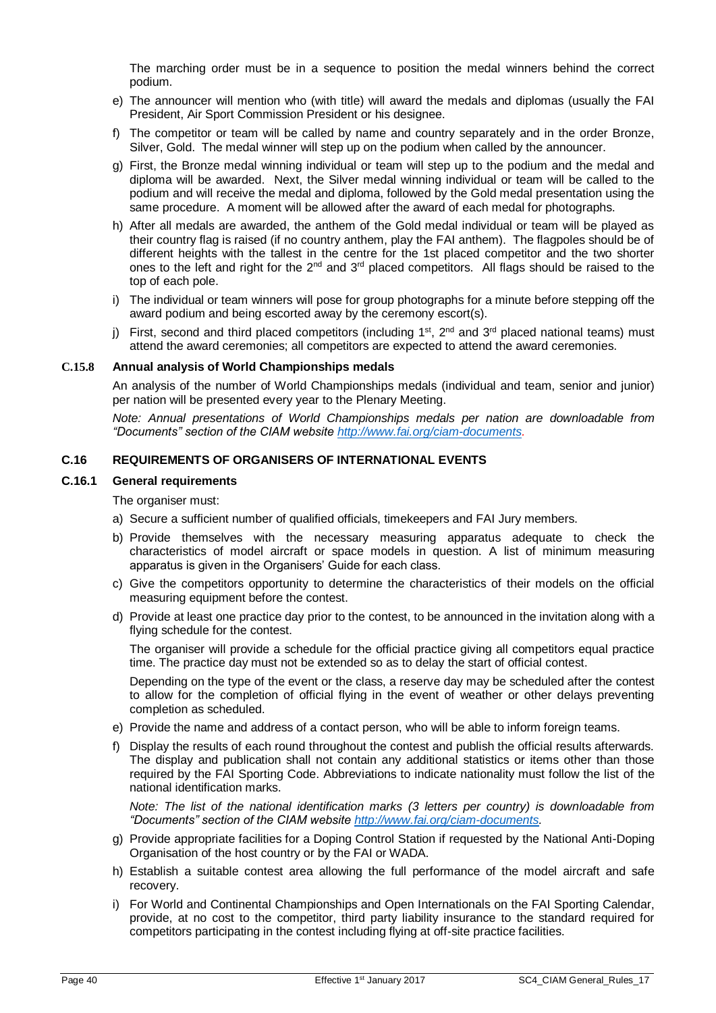The marching order must be in a sequence to position the medal winners behind the correct podium.

- e) The announcer will mention who (with title) will award the medals and diplomas (usually the FAI President, Air Sport Commission President or his designee.
- f) The competitor or team will be called by name and country separately and in the order Bronze, Silver, Gold. The medal winner will step up on the podium when called by the announcer.
- g) First, the Bronze medal winning individual or team will step up to the podium and the medal and diploma will be awarded. Next, the Silver medal winning individual or team will be called to the podium and will receive the medal and diploma, followed by the Gold medal presentation using the same procedure. A moment will be allowed after the award of each medal for photographs.
- h) After all medals are awarded, the anthem of the Gold medal individual or team will be played as their country flag is raised (if no country anthem, play the FAI anthem). The flagpoles should be of different heights with the tallest in the centre for the 1st placed competitor and the two shorter ones to the left and right for the  $2^{nd}$  and  $3^{rd}$  placed competitors. All flags should be raised to the top of each pole.
- i) The individual or team winners will pose for group photographs for a minute before stepping off the award podium and being escorted away by the ceremony escort(s).
- j) First, second and third placed competitors (including  $1<sup>st</sup>$ ,  $2<sup>nd</sup>$  and  $3<sup>rd</sup>$  placed national teams) must attend the award ceremonies; all competitors are expected to attend the award ceremonies.

#### **C.15.8 Annual analysis of World Championships medals**

An analysis of the number of World Championships medals (individual and team, senior and junior) per nation will be presented every year to the Plenary Meeting.

*Note: Annual presentations of World Championships medals per nation are downloadable from "Documents" section of the CIAM website [http://www.fai.org/ciam-documents.](http://www.fai.org/ciam-documents)*

# <span id="page-39-0"></span>**C.16 REQUIREMENTS OF ORGANISERS OF INTERNATIONAL EVENTS**

#### **C.16.1 General requirements**

The organiser must:

- a) Secure a sufficient number of qualified officials, timekeepers and FAI Jury members.
- b) Provide themselves with the necessary measuring apparatus adequate to check the characteristics of model aircraft or space models in question. A list of minimum measuring apparatus is given in the Organisers' Guide for each class.
- c) Give the competitors opportunity to determine the characteristics of their models on the official measuring equipment before the contest.
- d) Provide at least one practice day prior to the contest, to be announced in the invitation along with a flying schedule for the contest.

The organiser will provide a schedule for the official practice giving all competitors equal practice time. The practice day must not be extended so as to delay the start of official contest.

Depending on the type of the event or the class, a reserve day may be scheduled after the contest to allow for the completion of official flying in the event of weather or other delays preventing completion as scheduled.

- e) Provide the name and address of a contact person, who will be able to inform foreign teams.
- f) Display the results of each round throughout the contest and publish the official results afterwards. The display and publication shall not contain any additional statistics or items other than those required by the FAI Sporting Code. Abbreviations to indicate nationality must follow the list of the national identification marks.

*Note: The list of the national identification marks (3 letters per country) is downloadable from "Documents" section of the CIAM website [http://www.fai.org/ciam-documents.](http://www.fai.org/ciam-documents)*

- g) Provide appropriate facilities for a Doping Control Station if requested by the National Anti-Doping Organisation of the host country or by the FAI or WADA.
- h) Establish a suitable contest area allowing the full performance of the model aircraft and safe recovery.
- i) For World and Continental Championships and Open Internationals on the FAI Sporting Calendar, provide, at no cost to the competitor, third party liability insurance to the standard required for competitors participating in the contest including flying at off-site practice facilities.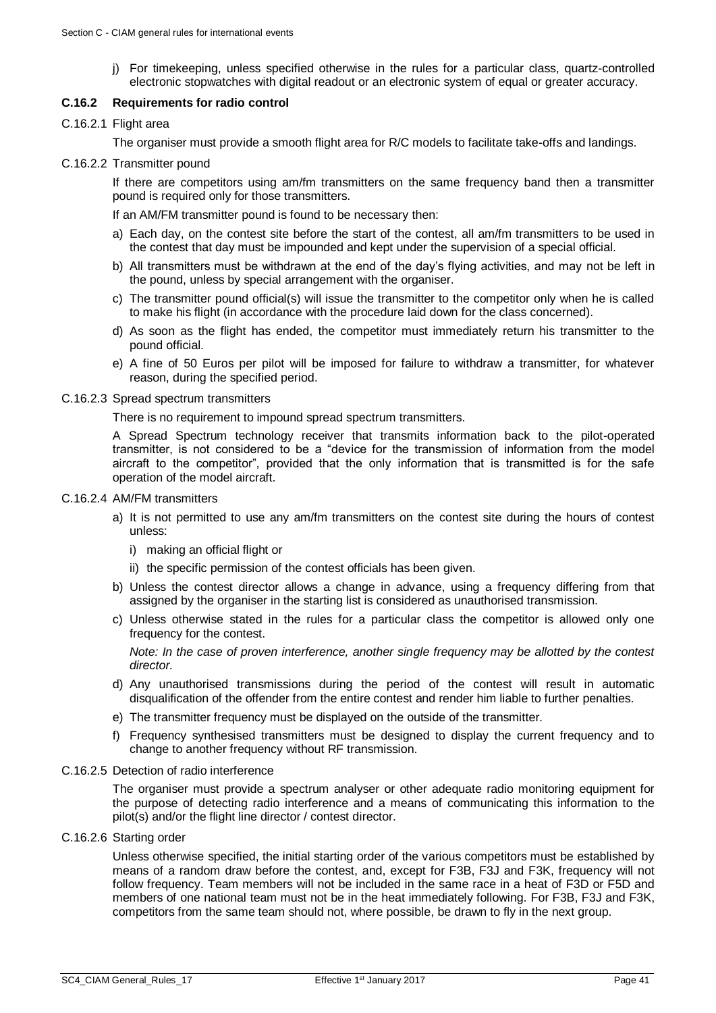j) For timekeeping, unless specified otherwise in the rules for a particular class, quartz-controlled electronic stopwatches with digital readout or an electronic system of equal or greater accuracy.

# **C.16.2 Requirements for radio control**

# C.16.2.1 Flight area

The organiser must provide a smooth flight area for R/C models to facilitate take-offs and landings.

C.16.2.2 Transmitter pound

If there are competitors using am/fm transmitters on the same frequency band then a transmitter pound is required only for those transmitters.

If an AM/FM transmitter pound is found to be necessary then:

- a) Each day, on the contest site before the start of the contest, all am/fm transmitters to be used in the contest that day must be impounded and kept under the supervision of a special official.
- b) All transmitters must be withdrawn at the end of the day's flying activities, and may not be left in the pound, unless by special arrangement with the organiser.
- c) The transmitter pound official(s) will issue the transmitter to the competitor only when he is called to make his flight (in accordance with the procedure laid down for the class concerned).
- d) As soon as the flight has ended, the competitor must immediately return his transmitter to the pound official.
- e) A fine of 50 Euros per pilot will be imposed for failure to withdraw a transmitter, for whatever reason, during the specified period.

#### C.16.2.3 Spread spectrum transmitters

There is no requirement to impound spread spectrum transmitters.

A Spread Spectrum technology receiver that transmits information back to the pilot-operated transmitter, is not considered to be a "device for the transmission of information from the model aircraft to the competitor", provided that the only information that is transmitted is for the safe operation of the model aircraft.

#### C.16.2.4 AM/FM transmitters

- a) It is not permitted to use any am/fm transmitters on the contest site during the hours of contest unless:
	- i) making an official flight or
	- ii) the specific permission of the contest officials has been given.
- b) Unless the contest director allows a change in advance, using a frequency differing from that assigned by the organiser in the starting list is considered as unauthorised transmission.
- c) Unless otherwise stated in the rules for a particular class the competitor is allowed only one frequency for the contest.

*Note: In the case of proven interference, another single frequency may be allotted by the contest director.*

- d) Any unauthorised transmissions during the period of the contest will result in automatic disqualification of the offender from the entire contest and render him liable to further penalties.
- e) The transmitter frequency must be displayed on the outside of the transmitter.
- f) Frequency synthesised transmitters must be designed to display the current frequency and to change to another frequency without RF transmission.

#### C.16.2.5 Detection of radio interference

The organiser must provide a spectrum analyser or other adequate radio monitoring equipment for the purpose of detecting radio interference and a means of communicating this information to the pilot(s) and/or the flight line director / contest director.

# C.16.2.6 Starting order

Unless otherwise specified, the initial starting order of the various competitors must be established by means of a random draw before the contest, and, except for F3B, F3J and F3K, frequency will not follow frequency. Team members will not be included in the same race in a heat of F3D or F5D and members of one national team must not be in the heat immediately following. For F3B, F3J and F3K, competitors from the same team should not, where possible, be drawn to fly in the next group.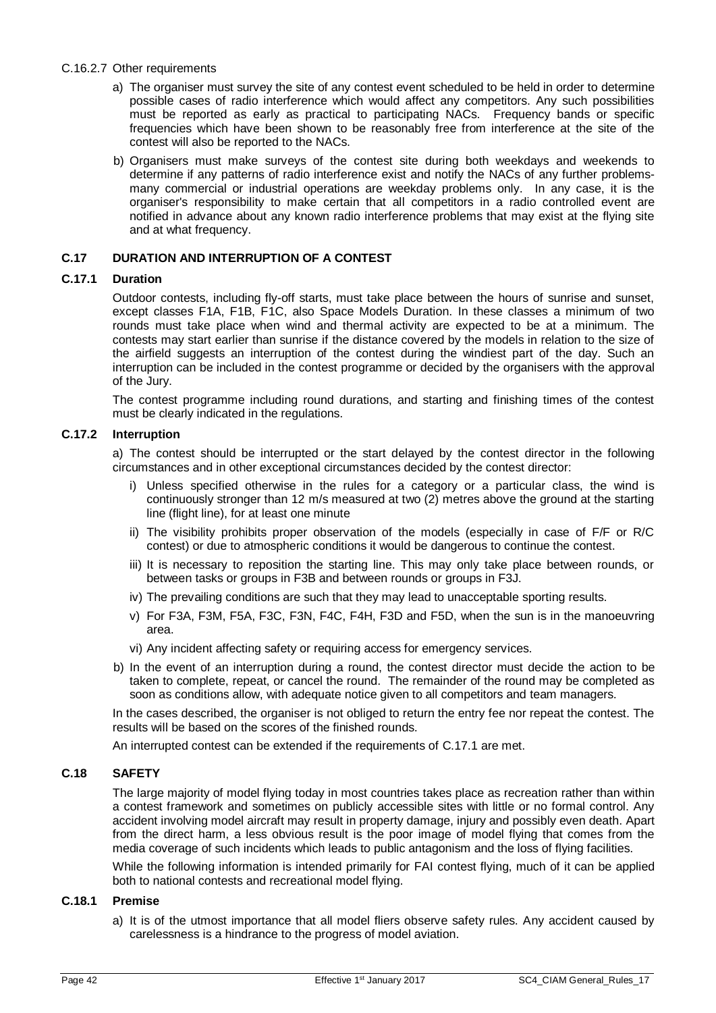#### C.16.2.7 Other requirements

- a) The organiser must survey the site of any contest event scheduled to be held in order to determine possible cases of radio interference which would affect any competitors. Any such possibilities must be reported as early as practical to participating NACs. Frequency bands or specific frequencies which have been shown to be reasonably free from interference at the site of the contest will also be reported to the NACs.
- b) Organisers must make surveys of the contest site during both weekdays and weekends to determine if any patterns of radio interference exist and notify the NACs of any further problemsmany commercial or industrial operations are weekday problems only. In any case, it is the organiser's responsibility to make certain that all competitors in a radio controlled event are notified in advance about any known radio interference problems that may exist at the flying site and at what frequency.

# <span id="page-41-0"></span>**C.17 DURATION AND INTERRUPTION OF A CONTEST**

# <span id="page-41-2"></span>**C.17.1 Duration**

Outdoor contests, including fly-off starts, must take place between the hours of sunrise and sunset, except classes F1A, F1B, F1C, also Space Models Duration. In these classes a minimum of two rounds must take place when wind and thermal activity are expected to be at a minimum. The contests may start earlier than sunrise if the distance covered by the models in relation to the size of the airfield suggests an interruption of the contest during the windiest part of the day. Such an interruption can be included in the contest programme or decided by the organisers with the approval of the Jury.

The contest programme including round durations, and starting and finishing times of the contest must be clearly indicated in the regulations.

# **C.17.2 Interruption**

a) The contest should be interrupted or the start delayed by the contest director in the following circumstances and in other exceptional circumstances decided by the contest director:

- i) Unless specified otherwise in the rules for a category or a particular class, the wind is continuously stronger than 12 m/s measured at two (2) metres above the ground at the starting line (flight line), for at least one minute
- ii) The visibility prohibits proper observation of the models (especially in case of F/F or R/C contest) or due to atmospheric conditions it would be dangerous to continue the contest.
- iii) It is necessary to reposition the starting line. This may only take place between rounds, or between tasks or groups in F3B and between rounds or groups in F3J.
- iv) The prevailing conditions are such that they may lead to unacceptable sporting results.
- v) For F3A, F3M, F5A, F3C, F3N, F4C, F4H, F3D and F5D, when the sun is in the manoeuvring area.
- vi) Any incident affecting safety or requiring access for emergency services.
- b) In the event of an interruption during a round, the contest director must decide the action to be taken to complete, repeat, or cancel the round. The remainder of the round may be completed as soon as conditions allow, with adequate notice given to all competitors and team managers.

In the cases described, the organiser is not obliged to return the entry fee nor repeat the contest. The results will be based on the scores of the finished rounds.

An interrupted contest can be extended if the requirements of [C.17.1](#page-41-2) are met.

# <span id="page-41-1"></span>**C.18 SAFETY**

The large majority of model flying today in most countries takes place as recreation rather than within a contest framework and sometimes on publicly accessible sites with little or no formal control. Any accident involving model aircraft may result in property damage, injury and possibly even death. Apart from the direct harm, a less obvious result is the poor image of model flying that comes from the media coverage of such incidents which leads to public antagonism and the loss of flying facilities.

While the following information is intended primarily for FAI contest flying, much of it can be applied both to national contests and recreational model flying.

# **C.18.1 Premise**

a) It is of the utmost importance that all model fliers observe safety rules. Any accident caused by carelessness is a hindrance to the progress of model aviation.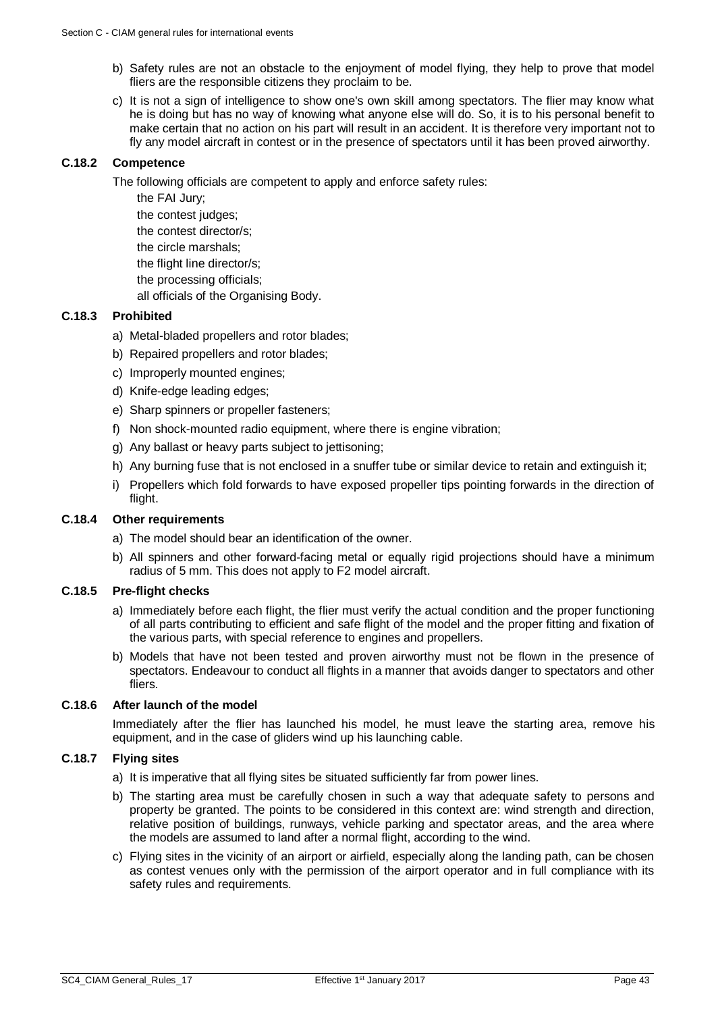- b) Safety rules are not an obstacle to the enjoyment of model flying, they help to prove that model fliers are the responsible citizens they proclaim to be.
- c) It is not a sign of intelligence to show one's own skill among spectators. The flier may know what he is doing but has no way of knowing what anyone else will do. So, it is to his personal benefit to make certain that no action on his part will result in an accident. It is therefore very important not to fly any model aircraft in contest or in the presence of spectators until it has been proved airworthy.

#### **C.18.2 Competence**

The following officials are competent to apply and enforce safety rules:

- the FAI Jury;
- the contest judges;
- the contest director/s;
- the circle marshals;
- the flight line director/s;
- the processing officials;
- all officials of the Organising Body.

# **C.18.3 Prohibited**

- a) Metal-bladed propellers and rotor blades;
- b) Repaired propellers and rotor blades;
- c) Improperly mounted engines;
- d) Knife-edge leading edges;
- e) Sharp spinners or propeller fasteners;
- f) Non shock-mounted radio equipment, where there is engine vibration;
- g) Any ballast or heavy parts subject to jettisoning;
- h) Any burning fuse that is not enclosed in a snuffer tube or similar device to retain and extinguish it;
- i) Propellers which fold forwards to have exposed propeller tips pointing forwards in the direction of flight.

# **C.18.4 Other requirements**

- a) The model should bear an identification of the owner.
- b) All spinners and other forward-facing metal or equally rigid projections should have a minimum radius of 5 mm. This does not apply to F2 model aircraft.

#### **C.18.5 Pre-flight checks**

- a) Immediately before each flight, the flier must verify the actual condition and the proper functioning of all parts contributing to efficient and safe flight of the model and the proper fitting and fixation of the various parts, with special reference to engines and propellers.
- b) Models that have not been tested and proven airworthy must not be flown in the presence of spectators. Endeavour to conduct all flights in a manner that avoids danger to spectators and other fliers.

# **C.18.6 After launch of the model**

Immediately after the flier has launched his model, he must leave the starting area, remove his equipment, and in the case of gliders wind up his launching cable.

# **C.18.7 Flying sites**

- a) It is imperative that all flying sites be situated sufficiently far from power lines.
- b) The starting area must be carefully chosen in such a way that adequate safety to persons and property be granted. The points to be considered in this context are: wind strength and direction, relative position of buildings, runways, vehicle parking and spectator areas, and the area where the models are assumed to land after a normal flight, according to the wind.
- c) Flying sites in the vicinity of an airport or airfield, especially along the landing path, can be chosen as contest venues only with the permission of the airport operator and in full compliance with its safety rules and requirements.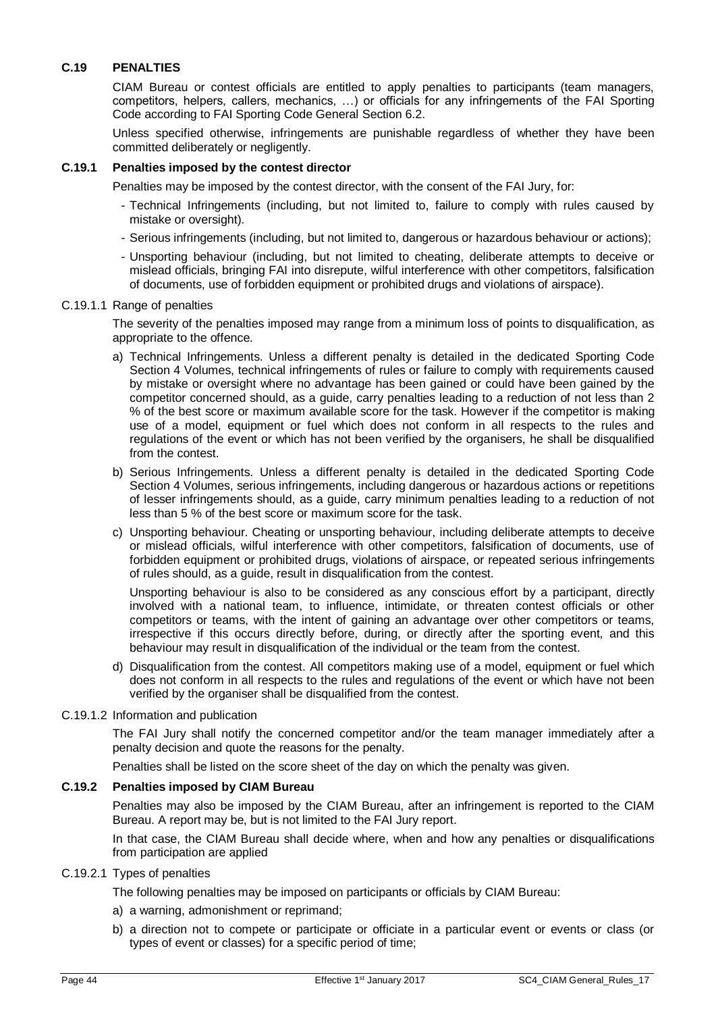# <span id="page-43-0"></span>**C.19 PENALTIES**

CIAM Bureau or contest officials are entitled to apply penalties to participants (team managers, competitors, helpers, callers, mechanics, …) or officials for any infringements of the FAI Sporting Code according to FAI Sporting Code General Section 6.2.

Unless specified otherwise, infringements are punishable regardless of whether they have been committed deliberately or negligently.

# **C.19.1 Penalties imposed by the contest director**

Penalties may be imposed by the contest director, with the consent of the FAI Jury, for:

- Technical Infringements (including, but not limited to, failure to comply with rules caused by mistake or oversight).
- Serious infringements (including, but not limited to, dangerous or hazardous behaviour or actions);
- Unsporting behaviour (including, but not limited to cheating, deliberate attempts to deceive or mislead officials, bringing FAI into disrepute, wilful interference with other competitors, falsification of documents, use of forbidden equipment or prohibited drugs and violations of airspace).

#### C.19.1.1 Range of penalties

The severity of the penalties imposed may range from a minimum loss of points to disqualification, as appropriate to the offence.

- a) Technical Infringements. Unless a different penalty is detailed in the dedicated Sporting Code Section 4 Volumes, technical infringements of rules or failure to comply with requirements caused by mistake or oversight where no advantage has been gained or could have been gained by the competitor concerned should, as a guide, carry penalties leading to a reduction of not less than 2 % of the best score or maximum available score for the task. However if the competitor is making use of a model, equipment or fuel which does not conform in all respects to the rules and regulations of the event or which has not been verified by the organisers, he shall be disqualified from the contest.
- b) Serious Infringements. Unless a different penalty is detailed in the dedicated Sporting Code Section 4 Volumes, serious infringements, including dangerous or hazardous actions or repetitions of lesser infringements should, as a guide, carry minimum penalties leading to a reduction of not less than 5 % of the best score or maximum score for the task.
- c) Unsporting behaviour. Cheating or unsporting behaviour, including deliberate attempts to deceive or mislead officials, wilful interference with other competitors, falsification of documents, use of forbidden equipment or prohibited drugs, violations of airspace, or repeated serious infringements of rules should, as a guide, result in disqualification from the contest.

Unsporting behaviour is also to be considered as any conscious effort by a participant, directly involved with a national team, to influence, intimidate, or threaten contest officials or other competitors or teams, with the intent of gaining an advantage over other competitors or teams, irrespective if this occurs directly before, during, or directly after the sporting event, and this behaviour may result in disqualification of the individual or the team from the contest.

d) Disqualification from the contest. All competitors making use of a model, equipment or fuel which does not conform in all respects to the rules and regulations of the event or which have not been verified by the organiser shall be disqualified from the contest.

#### C.19.1.2 Information and publication

The FAI Jury shall notify the concerned competitor and/or the team manager immediately after a penalty decision and quote the reasons for the penalty.

Penalties shall be listed on the score sheet of the day on which the penalty was given.

#### **C.19.2 Penalties imposed by CIAM Bureau**

Penalties may also be imposed by the CIAM Bureau, after an infringement is reported to the CIAM Bureau. A report may be, but is not limited to the FAI Jury report.

In that case, the CIAM Bureau shall decide where, when and how any penalties or disqualifications from participation are applied

#### C.19.2.1 Types of penalties

The following penalties may be imposed on participants or officials by CIAM Bureau:

- a) a warning, admonishment or reprimand;
- b) a direction not to compete or participate or officiate in a particular event or events or class (or types of event or classes) for a specific period of time;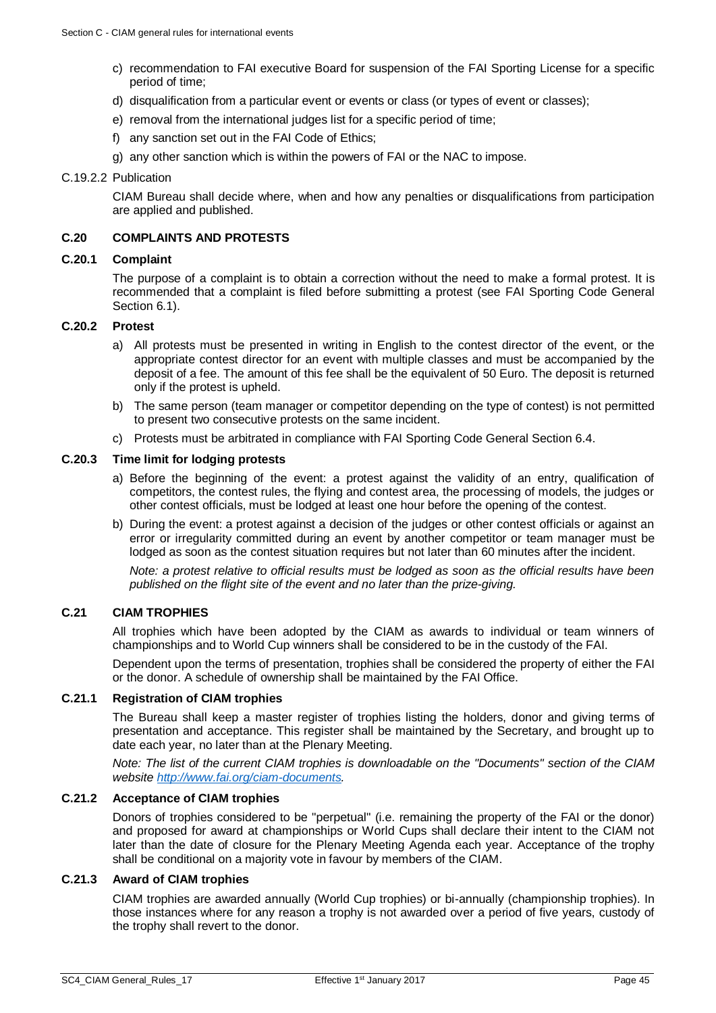- c) recommendation to FAI executive Board for suspension of the FAI Sporting License for a specific period of time;
- d) disqualification from a particular event or events or class (or types of event or classes);
- e) removal from the international judges list for a specific period of time;
- f) any sanction set out in the FAI Code of Ethics;
- g) any other sanction which is within the powers of FAI or the NAC to impose.

#### C.19.2.2 Publication

CIAM Bureau shall decide where, when and how any penalties or disqualifications from participation are applied and published.

#### <span id="page-44-0"></span>**C.20 COMPLAINTS AND PROTESTS**

# **C.20.1 Complaint**

The purpose of a complaint is to obtain a correction without the need to make a formal protest. It is recommended that a complaint is filed before submitting a protest (see FAI Sporting Code General Section 6.1).

# **C.20.2 Protest**

- a) All protests must be presented in writing in English to the contest director of the event, or the appropriate contest director for an event with multiple classes and must be accompanied by the deposit of a fee. The amount of this fee shall be the equivalent of 50 Euro. The deposit is returned only if the protest is upheld.
- b) The same person (team manager or competitor depending on the type of contest) is not permitted to present two consecutive protests on the same incident.
- c) Protests must be arbitrated in compliance with FAI Sporting Code General Section 6.4.

#### **C.20.3 Time limit for lodging protests**

- a) Before the beginning of the event: a protest against the validity of an entry, qualification of competitors, the contest rules, the flying and contest area, the processing of models, the judges or other contest officials, must be lodged at least one hour before the opening of the contest.
- b) During the event: a protest against a decision of the judges or other contest officials or against an error or irregularity committed during an event by another competitor or team manager must be lodged as soon as the contest situation requires but not later than 60 minutes after the incident.

*Note: a protest relative to official results must be lodged as soon as the official results have been published on the flight site of the event and no later than the prize-giving.*

# <span id="page-44-1"></span>**C.21 CIAM TROPHIES**

All trophies which have been adopted by the CIAM as awards to individual or team winners of championships and to World Cup winners shall be considered to be in the custody of the FAI.

Dependent upon the terms of presentation, trophies shall be considered the property of either the FAI or the donor. A schedule of ownership shall be maintained by the FAI Office.

#### **C.21.1 Registration of CIAM trophies**

The Bureau shall keep a master register of trophies listing the holders, donor and giving terms of presentation and acceptance. This register shall be maintained by the Secretary, and brought up to date each year, no later than at the Plenary Meeting.

*Note: The list of the current CIAM trophies is downloadable on the "Documents" section of the CIAM website [http://www.fai.org/ciam-documents.](http://www.fai.org/ciam-documents)*

# **C.21.2 Acceptance of CIAM trophies**

Donors of trophies considered to be "perpetual" (i.e. remaining the property of the FAI or the donor) and proposed for award at championships or World Cups shall declare their intent to the CIAM not later than the date of closure for the Plenary Meeting Agenda each year. Acceptance of the trophy shall be conditional on a majority vote in favour by members of the CIAM.

#### **C.21.3 Award of CIAM trophies**

CIAM trophies are awarded annually (World Cup trophies) or bi-annually (championship trophies). In those instances where for any reason a trophy is not awarded over a period of five years, custody of the trophy shall revert to the donor.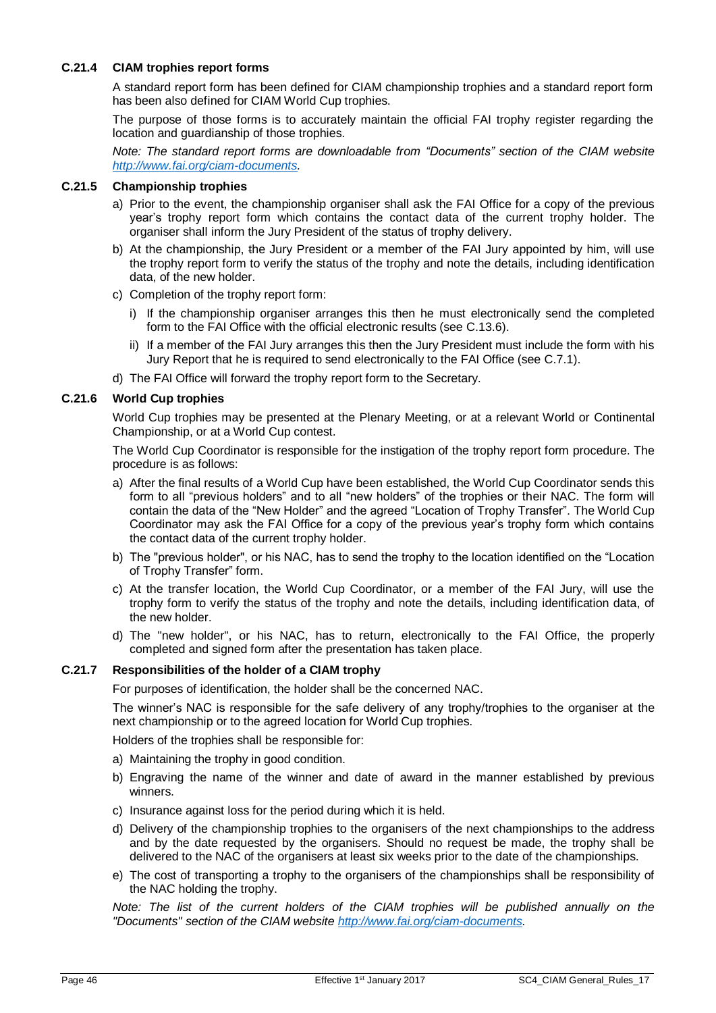# **C.21.4 CIAM trophies report forms**

A standard report form has been defined for CIAM championship trophies and a standard report form has been also defined for CIAM World Cup trophies.

The purpose of those forms is to accurately maintain the official FAI trophy register regarding the location and guardianship of those trophies.

*Note: The standard report forms are downloadable from "Documents" section of the CIAM website [http://www.fai.org/ciam-documents.](http://www.fai.org/ciam-documents)*

#### **C.21.5 Championship trophies**

- a) Prior to the event, the championship organiser shall ask the FAI Office for a copy of the previous year's trophy report form which contains the contact data of the current trophy holder. The organiser shall inform the Jury President of the status of trophy delivery.
- b) At the championship, the Jury President or a member of the FAI Jury appointed by him, will use the trophy report form to verify the status of the trophy and note the details, including identification data, of the new holder.
- c) Completion of the trophy report form:
	- i) If the championship organiser arranges this then he must electronically send the completed form to the FAI Office with the official electronic results (see [C.13.6\)](#page-33-1).
	- ii) If a member of the FAI Jury arranges this then the Jury President must include the form with his Jury Report that he is required to send electronically to the FAI Office (see [C.7.1\)](#page-28-2).
- d) The FAI Office will forward the trophy report form to the Secretary.

#### **C.21.6 World Cup trophies**

World Cup trophies may be presented at the Plenary Meeting, or at a relevant World or Continental Championship, or at a World Cup contest.

The World Cup Coordinator is responsible for the instigation of the trophy report form procedure. The procedure is as follows:

- a) After the final results of a World Cup have been established, the World Cup Coordinator sends this form to all "previous holders" and to all "new holders" of the trophies or their NAC. The form will contain the data of the "New Holder" and the agreed "Location of Trophy Transfer". The World Cup Coordinator may ask the FAI Office for a copy of the previous year's trophy form which contains the contact data of the current trophy holder.
- b) The "previous holder", or his NAC, has to send the trophy to the location identified on the "Location of Trophy Transfer" form.
- c) At the transfer location, the World Cup Coordinator, or a member of the FAI Jury, will use the trophy form to verify the status of the trophy and note the details, including identification data, of the new holder.
- d) The "new holder", or his NAC, has to return, electronically to the FAI Office, the properly completed and signed form after the presentation has taken place.

#### **C.21.7 Responsibilities of the holder of a CIAM trophy**

For purposes of identification, the holder shall be the concerned NAC.

The winner's NAC is responsible for the safe delivery of any trophy/trophies to the organiser at the next championship or to the agreed location for World Cup trophies.

Holders of the trophies shall be responsible for:

- a) Maintaining the trophy in good condition.
- b) Engraving the name of the winner and date of award in the manner established by previous winners.
- c) Insurance against loss for the period during which it is held.
- d) Delivery of the championship trophies to the organisers of the next championships to the address and by the date requested by the organisers. Should no request be made, the trophy shall be delivered to the NAC of the organisers at least six weeks prior to the date of the championships.
- e) The cost of transporting a trophy to the organisers of the championships shall be responsibility of the NAC holding the trophy.

*Note: The list of the current holders of the CIAM trophies will be published annually on the "Documents" section of the CIAM website [http://www.fai.org/ciam-documents.](http://www.fai.org/ciam-documents)*